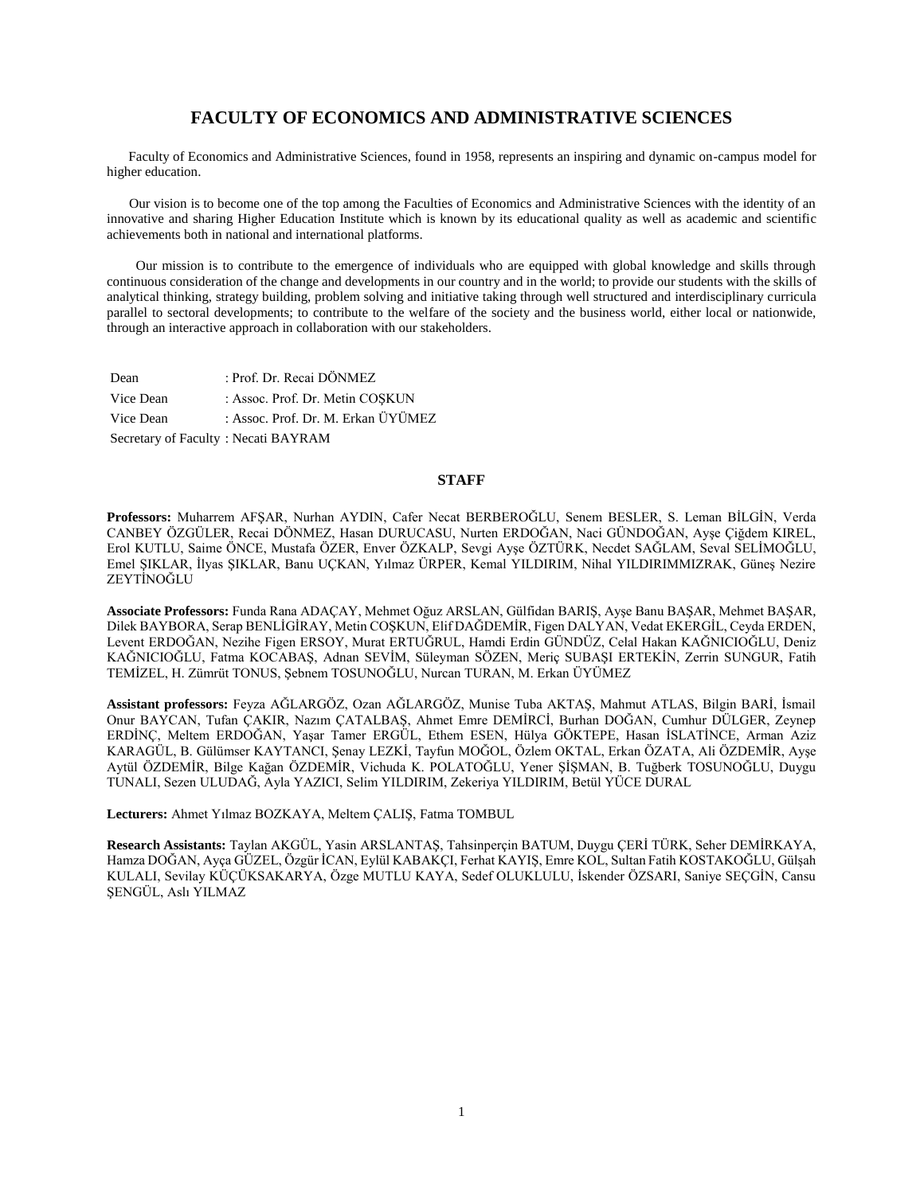### **FACULTY OF ECONOMICS AND ADMINISTRATIVE SCIENCES**

 Faculty of Economics and Administrative Sciences, found in 1958, represents an inspiring and dynamic on-campus model for higher education.

 Our vision is to become one of the top among the Faculties of Economics and Administrative Sciences with the identity of an innovative and sharing Higher Education Institute which is known by its educational quality as well as academic and scientific achievements both in national and international platforms.

 Our mission is to contribute to the emergence of individuals who are equipped with global knowledge and skills through continuous consideration of the change and developments in our country and in the world; to provide our students with the skills of analytical thinking, strategy building, problem solving and initiative taking through well structured and interdisciplinary curricula parallel to sectoral developments; to contribute to the welfare of the society and the business world, either local or nationwide, through an interactive approach in collaboration with our stakeholders.

| Dean                                | : Prof. Dr. Recai DÖNMEZ           |
|-------------------------------------|------------------------------------|
| Vice Dean                           | : Assoc. Prof. Dr. Metin COSKUN    |
| Vice Dean                           | : Assoc. Prof. Dr. M. Erkan ÜYÜMEZ |
| Secretary of Faculty: Necati BAYRAM |                                    |

### **STAFF**

**Professors:** Muharrem AFŞAR, Nurhan AYDIN, Cafer Necat BERBEROĞLU, Senem BESLER, S. Leman BİLGİN, Verda CANBEY ÖZGÜLER, Recai DÖNMEZ, Hasan DURUCASU, Nurten ERDOĞAN, Naci GÜNDOĞAN, Ayşe Çiğdem KIREL, Erol KUTLU, Saime ÖNCE, Mustafa ÖZER, Enver ÖZKALP, Sevgi Ayşe ÖZTÜRK, Necdet SAĞLAM, Seval SELİMOĞLU, Emel ŞIKLAR, İlyas ŞIKLAR, Banu UÇKAN, Yılmaz ÜRPER, Kemal YILDIRIM, Nihal YILDIRIMMIZRAK, Güneş Nezire ZEYTİNOĞLU

**Associate Professors:** Funda Rana ADAÇAY, Mehmet Oğuz ARSLAN, Gülfidan BARIŞ, Ayşe Banu BAŞAR, Mehmet BAŞAR, Dilek BAYBORA, Serap BENLİGİRAY, Metin COŞKUN, Elif DAĞDEMİR, Figen DALYAN, Vedat EKERGİL, Ceyda ERDEN, Levent ERDOĞAN, Nezihe Figen ERSOY, Murat ERTUĞRUL, Hamdi Erdin GÜNDÜZ, Celal Hakan KAĞNICIOĞLU, Deniz KAĞNICIOĞLU, Fatma KOCABAŞ, Adnan SEVİM, Süleyman SÖZEN, Meriç SUBAŞI ERTEKİN, Zerrin SUNGUR, Fatih TEMİZEL, H. Zümrüt TONUS, Şebnem TOSUNOĞLU, Nurcan TURAN, M. Erkan ÜYÜMEZ

**Assistant professors:** Feyza AĞLARGÖZ, Ozan AĞLARGÖZ, Munise Tuba AKTAŞ, Mahmut ATLAS, Bilgin BARİ, İsmail Onur BAYCAN, Tufan ÇAKIR, Nazım ÇATALBAŞ, Ahmet Emre DEMİRCİ, Burhan DOĞAN, Cumhur DÜLGER, Zeynep ERDİNÇ, Meltem ERDOĞAN, Yaşar Tamer ERGÜL, Ethem ESEN, Hülya GÖKTEPE, Hasan İSLATİNCE, Arman Aziz KARAGÜL, B. Gülümser KAYTANCI, Şenay LEZKİ, Tayfun MOĞOL, Özlem OKTAL, Erkan ÖZATA, Ali ÖZDEMİR, Ayşe Aytül ÖZDEMİR, Bilge Kağan ÖZDEMİR, Vichuda K. POLATOĞLU, Yener ŞİŞMAN, B. Tuğberk TOSUNOĞLU, Duygu TUNALI, Sezen ULUDAĞ, Ayla YAZICI, Selim YILDIRIM, Zekeriya YILDIRIM, Betül YÜCE DURAL

**Lecturers:** Ahmet Yılmaz BOZKAYA, Meltem ÇALIŞ, Fatma TOMBUL

**Research Assistants:** Taylan AKGÜL, Yasin ARSLANTAŞ, Tahsinperçin BATUM, Duygu ÇERİ TÜRK, Seher DEMİRKAYA, Hamza DOĞAN, Ayça GÜZEL, Özgür İCAN, Eylül KABAKÇI, Ferhat KAYIŞ, Emre KOL, Sultan Fatih KOSTAKOĞLU, Gülşah KULALI, Sevilay KÜÇÜKSAKARYA, Özge MUTLU KAYA, Sedef OLUKLULU, İskender ÖZSARI, Saniye SEÇGİN, Cansu ŞENGÜL, Aslı YILMAZ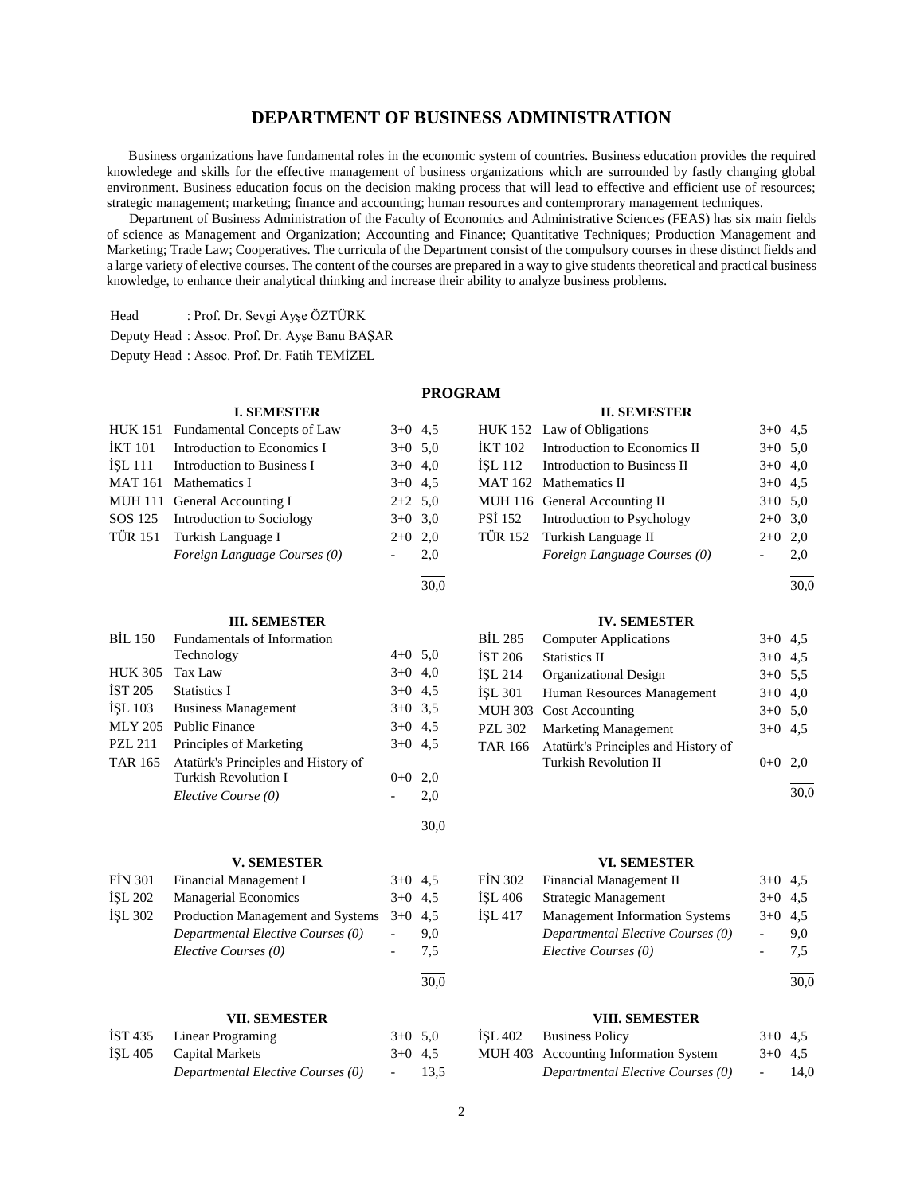### **DEPARTMENT OF BUSINESS ADMINISTRATION**

 Business organizations have fundamental roles in the economic system of countries. Business education provides the required knowledege and skills for the effective management of business organizations which are surrounded by fastly changing global environment. Business education focus on the decision making process that will lead to effective and efficient use of resources; strategic management; marketing; finance and accounting; human resources and contemprorary management techniques.

 Department of Business Administration of the Faculty of Economics and Administrative Sciences (FEAS) has six main fields of science as Management and Organization; Accounting and Finance; Quantitative Techniques; Production Management and Marketing; Trade Law; Cooperatives. The curricula of the Department consist of the compulsory courses in these distinct fields and a large variety of elective courses. The content of the courses are prepared in a way to give students theoretical and practical business knowledge, to enhance their analytical thinking and increase their ability to analyze business problems.

Head : Prof. Dr. Sevgi Ayşe ÖZTÜRK

Deputy Head : Assoc. Prof. Dr. Ayşe Banu BAŞAR

Deputy Head : Assoc. Prof. Dr. Fatih TEMİZEL

### **PROGRAM**

#### **I. SEMESTER** HUK 151 Fundamental Concepts of Law 3+0 4,5  $IKT 101$  Introduction to Economics I  $3+0.5,0$  $ISL 111$  Introduction to Business I  $3+0$  4,0 MAT 161 Mathematics I  $3+0$  4.5 MUH 111 General Accounting I  $2+2$  5,0 SOS 125 Introduction to Sociology 3+0 3,0 TÜR 151 Turkish Language I  $2+0$  2,0 *Foreign Language Courses (0)* - 2,0  $\overline{a}$ 30,0 **II. SEMESTER** HUK 152 Law of Obligations  $3+0$  4,5  $IKT 102$  Introduction to Economics II  $3+0.5,0$  $ISL 112$  Introduction to Business II  $3+0$  4,0 MAT 162 Mathematics II  $3+0$  4,5 MUH 116 General Accounting II  $3+0$  5,0 PSİ 152 Introduction to Psychology 2+0 3,0 TÜR 152 Turkish Language II 2+0 2,0 *Foreign Language Courses (0)* - 2,0 **III. SEMESTER** BİL 150 Fundamentals of Information Technology  $4+0$  5,0 HUK 305 Tax Law 3+0 4,0  $\text{IST } 205$  Statistics I 3+0 4,5 İŞL 103 Business Management 3+0 3,5 MLY 205 Public Finance  $3+0$  4,5 PZL 211 Principles of Marketing  $3+0$  4,5 TAR 165 Atatürk's Principles and History of Turkish Revolution I 0+0 2,0 *Elective Course (0)* - 2,0 l 30,0 **IV. SEMESTER** BİL 285 Computer Applications 3+0 4,5  $\text{IST } 206$  Statistics II 3+0 4,5 İŞL 214 Organizational Design 3+0 5,5 İŞL 301 Human Resources Management 3+0 4,0 MUH 303 Cost Accounting 3+0 5,0 PZL 302 Marketing Management 3+0 4,5 TAR 166 Atatürk's Principles and History of Turkish Revolution II  $0+0$  2,0 **V. SEMESTER** FIN 301 Financial Management I 3+0 4,5 İŞL 202 Managerial Economics 3+0 4,5 İŞL 302 Production Management and Systems 3+0 4,5 *Departmental Elective Courses (0)* - 9,0 *Elective Courses (0)* - 7,5 **VI. SEMESTER** FIN 302 Financial Management II 3+0 4,5 İŞL 406 Strategic Management 3+0 4,5 İŞL 417 Management Information Systems 3+0 4,5 *Departmental Elective Courses (0)* - 9,0 *Elective Courses (0)* - 7,5

l 30,0

 $\overline{a}$ 30,0

l 30,0

#### **VIII. SEMESTER**

| ISL 402 Business Policy               | $3+0$ 4.5 |      |
|---------------------------------------|-----------|------|
| MUH 403 Accounting Information System | $3+0$ 4.5 |      |
| Departmental Elective Courses (0)     | $\sim$    | 14,0 |

# 2

l 30,0

**VII. SEMESTER** İST 435 Linear Programing 3+0 5,0 İŞL 405 Capital Markets 3+0 4,5

*Departmental Elective Courses (0)* - 13,5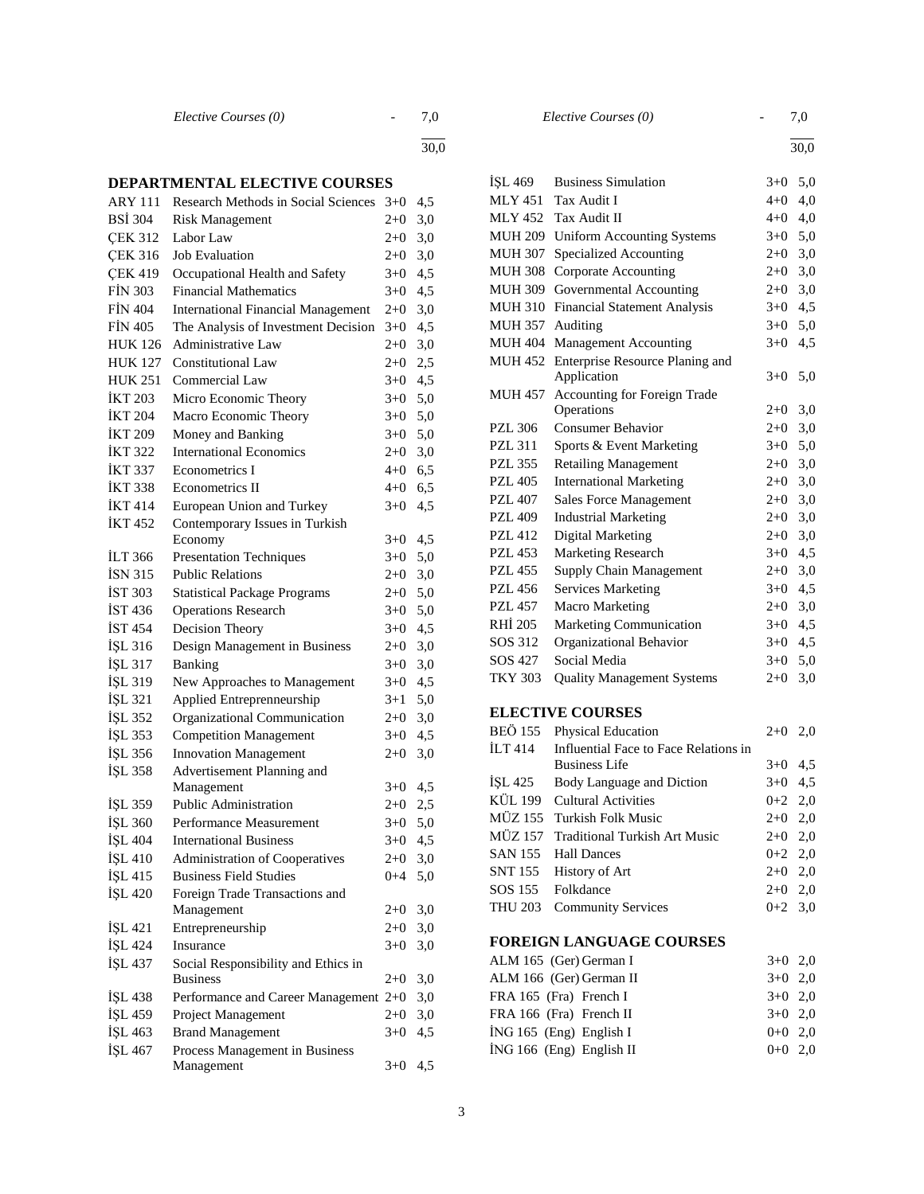*Elective Courses (0)* - 7,0

l

30,0

### **DEPARTMENTAL ELECTIVE COURSES**

| <b>ARY 111</b> | Research Methods in Social Sciences                    | $3+0$     | 4,5 |
|----------------|--------------------------------------------------------|-----------|-----|
| <b>BSİ</b> 304 | <b>Risk Management</b>                                 | $2 + 0$   | 3,0 |
| <b>CEK 312</b> | Labor Law                                              | $2+0$     | 3,0 |
| <b>CEK 316</b> | <b>Job Evaluation</b>                                  | $2 + 0$   | 3,0 |
| <b>CEK 419</b> | Occupational Health and Safety                         | $3+0$     | 4,5 |
| <b>FIN 303</b> | <b>Financial Mathematics</b>                           | $3+0$     | 4,5 |
| <b>FIN 404</b> | <b>International Financial Management</b>              | $2+0$     | 3,0 |
| <b>FIN 405</b> | The Analysis of Investment Decision                    | $3+0$     | 4,5 |
| <b>HUK 126</b> | <b>Administrative Law</b>                              | $2+0$     | 3,0 |
| <b>HUK 127</b> | <b>Constitutional Law</b>                              | $2+0$     | 2,5 |
| <b>HUK 251</b> | Commercial Law                                         | $3 + 0$   | 4,5 |
| <b>İKT 203</b> | Micro Economic Theory                                  | $3 + 0$   | 5,0 |
| <b>İKT 204</b> | Macro Economic Theory                                  | $3 + 0$   | 5,0 |
| <b>İKT 209</b> | Money and Banking                                      | $3+0$ 5,0 |     |
| <b>IKT 322</b> | <b>International Economics</b>                         | $2+0$ 3,0 |     |
| <b>IKT 337</b> | Econometrics I                                         | $4+0$ 6,5 |     |
| <b>IKT 338</b> | Econometrics II                                        | 4+0       | 6,5 |
| <b>İKT</b> 414 | European Union and Turkey                              | $3 + 0$   | 4,5 |
| <b>İKT452</b>  | Contemporary Issues in Turkish                         |           |     |
|                | Economy                                                | $3+0$     | 4,5 |
| <b>ILT 366</b> | <b>Presentation Techniques</b>                         | $3+0$     | 5,0 |
| <b>ISN 315</b> | <b>Public Relations</b>                                | $2 + 0$   | 3,0 |
| <b>IST 303</b> | <b>Statistical Package Programs</b>                    | $2 + 0$   | 5,0 |
| <b>IST 436</b> | <b>Operations Research</b>                             | $3 + 0$   | 5,0 |
| <b>IST 454</b> | Decision Theory                                        | $3 + 0$   | 4,5 |
| İŞL 316        | Design Management in Business                          | $2 + 0$   | 3,0 |
| İŞL 317        | Banking                                                | $3 + 0$   | 3,0 |
| İŞL 319        | New Approaches to Management                           | $3 + 0$   | 4,5 |
| İŞL 321        | Applied Entreprenneurship                              | $3 + 1$   | 5,0 |
| İŞL 352        | Organizational Communication                           | $2 + 0$   | 3,0 |
| İŞL 353        | <b>Competition Management</b>                          | $3+0$     | 4,5 |
| İŞL 356        | <b>Innovation Management</b>                           | $2 + 0$   | 3,0 |
| İŞL 358        | Advertisement Planning and                             |           |     |
|                | Management                                             | $3+0$     | 4,5 |
| İŞL 359        | Public Administration                                  | $2+0$     | 2,5 |
| ISL 360        | Performance Measurement                                | $3+0$     | 5,0 |
| İŞL 404        | <b>International Business</b>                          | $3 + 0$   | 4,5 |
| <b>İSL 410</b> | <b>Administration of Cooperatives</b>                  | $2+0$     | 3,0 |
| İŞL 415        | <b>Business Field Studies</b>                          | $0 + 4$   | 5,0 |
| İŞL 420        | Foreign Trade Transactions and                         |           |     |
|                | Management                                             | $2 + 0$   | 3,0 |
| ISL 421        | Entrepreneurship                                       | $2+0$     | 3,0 |
| İŞL 424        | Insurance                                              | $3+0$     | 3,0 |
| İŞL 437        | Social Responsibility and Ethics in<br><b>Business</b> | $2 + 0$   | 3,0 |
| ISL 438        | Performance and Career Management 2+0                  |           | 3,0 |
| İŞL 459        | Project Management                                     | $2 + 0$   | 3,0 |
| İŞL 463        | <b>Brand Management</b>                                | $3+0$     | 4,5 |
| İŞL 467        | Process Management in Business                         |           |     |
|                | Management                                             | $3+0$     | 4,5 |
|                |                                                        |           |     |

l

30,0

| ISL 469        | <b>Business Simulation</b>                                    | $3+0$     | 5,0 |
|----------------|---------------------------------------------------------------|-----------|-----|
| <b>MLY 451</b> | Tax Audit I                                                   | $4 + 0$   | 4,0 |
| <b>MLY 452</b> | Tax Audit II                                                  | $4 + 0$   | 4,0 |
| <b>MUH 209</b> | <b>Uniform Accounting Systems</b>                             | $3+0$     | 5,0 |
| <b>MUH 307</b> | Specialized Accounting                                        | $2+0$     | 3,0 |
| <b>MUH 308</b> | Corporate Accounting                                          | $2 + 0$   | 3,0 |
| MUH 309        | Governmental Accounting                                       | $2 + 0$   | 3,0 |
| <b>MUH 310</b> | <b>Financial Statement Analysis</b>                           | $3+0$     | 4,5 |
| MUH 357        | Auditing                                                      | $3 + 0$   | 5,0 |
| <b>MUH 404</b> | <b>Management Accounting</b>                                  | $3+0$     | 4,5 |
| <b>MUH 452</b> | Enterprise Resource Planing and<br>Application                | $3+0$     | 5,0 |
| MUH 457        | Accounting for Foreign Trade<br>Operations                    | $2+0$     | 3,0 |
| <b>PZL 306</b> | <b>Consumer Behavior</b>                                      | $2 + 0$   | 3,0 |
| <b>PZL 311</b> | Sports & Event Marketing                                      | $3+0$     | 5,0 |
| <b>PZL 355</b> | <b>Retailing Management</b>                                   | $2 + 0$   | 3,0 |
| <b>PZL 405</b> | <b>International Marketing</b>                                | $2+0$     | 3,0 |
| <b>PZL 407</b> | Sales Force Management                                        | $2+0$     | 3,0 |
| <b>PZL 409</b> | <b>Industrial Marketing</b>                                   | $2+0$     | 3,0 |
| <b>PZL 412</b> | Digital Marketing                                             | $2+0$     | 3,0 |
| <b>PZL 453</b> | <b>Marketing Research</b>                                     | $3+0$     | 4,5 |
| <b>PZL 455</b> | Supply Chain Management                                       | $2+0$     | 3,0 |
| <b>PZL 456</b> | <b>Services Marketing</b>                                     | $3+0$     | 4,5 |
| <b>PZL 457</b> | <b>Macro Marketing</b>                                        | $2+0$     | 3,0 |
| RHI 205        | Marketing Communication                                       | $3 + 0$   | 4,5 |
| SOS 312        | Organizational Behavior                                       | $3 + 0$   | 4,5 |
| SOS 427        | Social Media                                                  | $3 + 0$   | 5,0 |
| <b>TKY 303</b> | <b>Quality Management Systems</b>                             | $2 + 0$   | 3,0 |
|                | <b>ELECTIVE COURSES</b>                                       |           |     |
| <b>BEÖ 155</b> | Physical Education                                            | $2+0$     | 2,0 |
| <b>İLT</b> 414 | Influential Face to Face Relations in<br><b>Business Life</b> | $3+0$     | 4,5 |
| ISL 425        | Body Language and Diction                                     | $3+0$     | 4,5 |
| KÜL 199        | <b>Cultural Activities</b>                                    | $0 + 2$   | 2,0 |
| MÜZ 155        | <b>Turkish Folk Music</b>                                     | $2 + 0$   | 2,0 |
| <b>MÜZ 157</b> | <b>Traditional Turkish Art Music</b>                          | $2 + 0$   | 2,0 |
| <b>SAN 155</b> | <b>Hall Dances</b>                                            | $0 + 2$   | 2,0 |
| <b>SNT 155</b> | History of Art                                                | $2 + 0$   | 2,0 |
| SOS 155        | Folkdance                                                     | $2+0$ 2,0 |     |
| THU 203        | <b>Community Services</b>                                     | $0+2$     | 3,0 |
|                | FOREIGN LANGUAGE COURSES                                      |           |     |
|                | ALM 165 (Ger) German I                                        | $3+0$     | 2,0 |
|                | ALM 166 (Ger) German II                                       | $3+0$     | 2,0 |
|                | FRA 165 (Fra) French I                                        | $3+0$     | 2,0 |
|                | FRA 166 (Fra) French II                                       | $3+0$     | 2,0 |

 $i$ NG 165 (Eng) English I 0+0 2,0  $i$ NG 166 (Eng) English II 0+0 2,0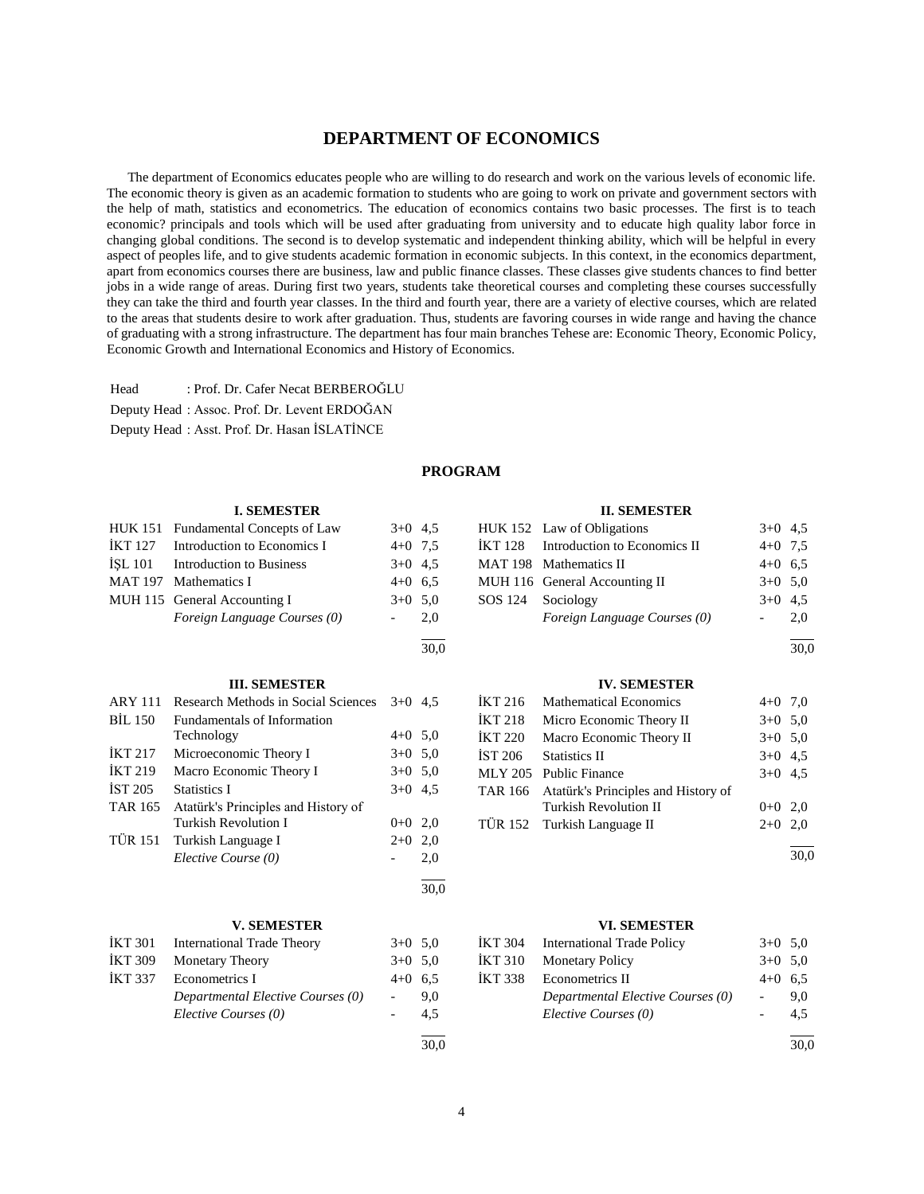### **DEPARTMENT OF ECONOMICS**

 The department of Economics educates people who are willing to do research and work on the various levels of economic life. The economic theory is given as an academic formation to students who are going to work on private and government sectors with the help of math, statistics and econometrics. The education of economics contains two basic processes. The first is to teach economic? principals and tools which will be used after graduating from university and to educate high quality labor force in changing global conditions. The second is to develop systematic and independent thinking ability, which will be helpful in every aspect of peoples life, and to give students academic formation in economic subjects. In this context, in the economics department, apart from economics courses there are business, law and public finance classes. These classes give students chances to find better jobs in a wide range of areas. During first two years, students take theoretical courses and completing these courses successfully they can take the third and fourth year classes. In the third and fourth year, there are a variety of elective courses, which are related to the areas that students desire to work after graduation. Thus, students are favoring courses in wide range and having the chance of graduating with a strong infrastructure. The department has four main branches Tehese are: Economic Theory, Economic Policy, Economic Growth and International Economics and History of Economics.

Head : Prof. Dr. Cafer Necat BERBEROĞLU Deputy Head : Assoc. Prof. Dr. Levent ERDOĞAN

Deputy Head : Asst. Prof. Dr. Hasan İSLATİNCE

### **PROGRAM**

|                | <b>I. SEMESTER</b>                  |                |           |                | <b>II. SEMESTER</b>                 |                          |           |
|----------------|-------------------------------------|----------------|-----------|----------------|-------------------------------------|--------------------------|-----------|
|                | HUK 151 Fundamental Concepts of Law | $3+0$ 4,5      |           |                | HUK 152 Law of Obligations          |                          | $3+0$ 4,5 |
| <b>İKT127</b>  | Introduction to Economics I         | $4+0$ 7.5      |           | <b>İKT128</b>  | Introduction to Economics II        | $4 + 0$                  | 7,5       |
| <b>İSL 101</b> | <b>Introduction to Business</b>     | $3+0$ 4.5      |           |                | MAT 198 Mathematics II              | $4 + 0$                  | 6.5       |
| <b>MAT 197</b> | Mathematics I                       | $4+0$ 6.5      |           |                | MUH 116 General Accounting II       |                          | $3+0$ 5,0 |
|                | MUH 115 General Accounting I        |                | $3+0$ 5.0 | SOS 124        | Sociology                           | $3+0$ 4.5                |           |
|                | Foreign Language Courses (0)        |                | 2,0       |                | Foreign Language Courses (0)        |                          | 2,0       |
|                |                                     |                | 30,0      |                |                                     |                          | 30,0      |
|                | <b>III. SEMESTER</b>                |                |           |                | <b>IV. SEMESTER</b>                 |                          |           |
| <b>ARY 111</b> | Research Methods in Social Sciences | $3+0$ 4.5      |           | IKT 216        | <b>Mathematical Economics</b>       | $4+0$ 7,0                |           |
| <b>BIL 150</b> | <b>Fundamentals of Information</b>  |                |           | <b>IKT 218</b> | Micro Economic Theory II            | $3+0$ 5,0                |           |
|                | Technology                          | $4+0$ 5,0      |           | <b>İKT 220</b> | Macro Economic Theory II            | $3+0$ 5,0                |           |
| <b>İKT 217</b> | Microeconomic Theory I              | $3+0$ 5,0      |           | <b>İST 206</b> | <b>Statistics II</b>                | $3+0$ 4.5                |           |
| <b>IKT 219</b> | Macro Economic Theory I             |                | $3+0$ 5.0 | <b>MLY 205</b> | <b>Public Finance</b>               |                          | $3+0$ 4.5 |
| <b>IST 205</b> | <b>Statistics I</b>                 | $3+0$ 4.5      |           | <b>TAR 166</b> | Atatürk's Principles and History of |                          |           |
| <b>TAR 165</b> | Atatürk's Principles and History of |                |           |                | <b>Turkish Revolution II</b>        | $0 + 0$                  | 2,0       |
|                | <b>Turkish Revolution I</b>         | $0+0$ 2,0      |           | <b>TÜR 152</b> | Turkish Language II                 | $2+0$                    | 2,0       |
| <b>TÜR 151</b> | Turkish Language I                  | $2+0$ 2,0      |           |                |                                     |                          |           |
|                | Elective Course (0)                 |                | 2,0       |                |                                     |                          | 30,0      |
|                |                                     |                | 30,0      |                |                                     |                          |           |
|                | <b>V. SEMESTER</b>                  |                |           |                | <b>VI. SEMESTER</b>                 |                          |           |
| <b>İKT 301</b> | <b>International Trade Theory</b>   | $3+0$ 5.0      |           | <b>İKT 304</b> | <b>International Trade Policy</b>   |                          | $3+0$ 5.0 |
| <b>İKT 309</b> | Monetary Theory                     | $3+0$ 5,0      |           | <b>İKT 310</b> | <b>Monetary Policy</b>              | $3+0$                    | 5,0       |
| <b>IKT 337</b> | <b>Econometrics I</b>               | $4+0$ 6.5      |           | <b>IKT 338</b> | <b>Econometrics II</b>              | $4+0$ 6.5                |           |
|                | Departmental Elective Courses (0)   | $\frac{1}{2}$  | 9,0       |                | Departmental Elective Courses (0)   | $\overline{\phantom{a}}$ | 9,0       |
|                | Elective Courses (0)                | $\overline{a}$ | 4,5       |                | Elective Courses (0)                |                          | 4,5       |
|                |                                     |                | 30.0      |                |                                     |                          | 30.0      |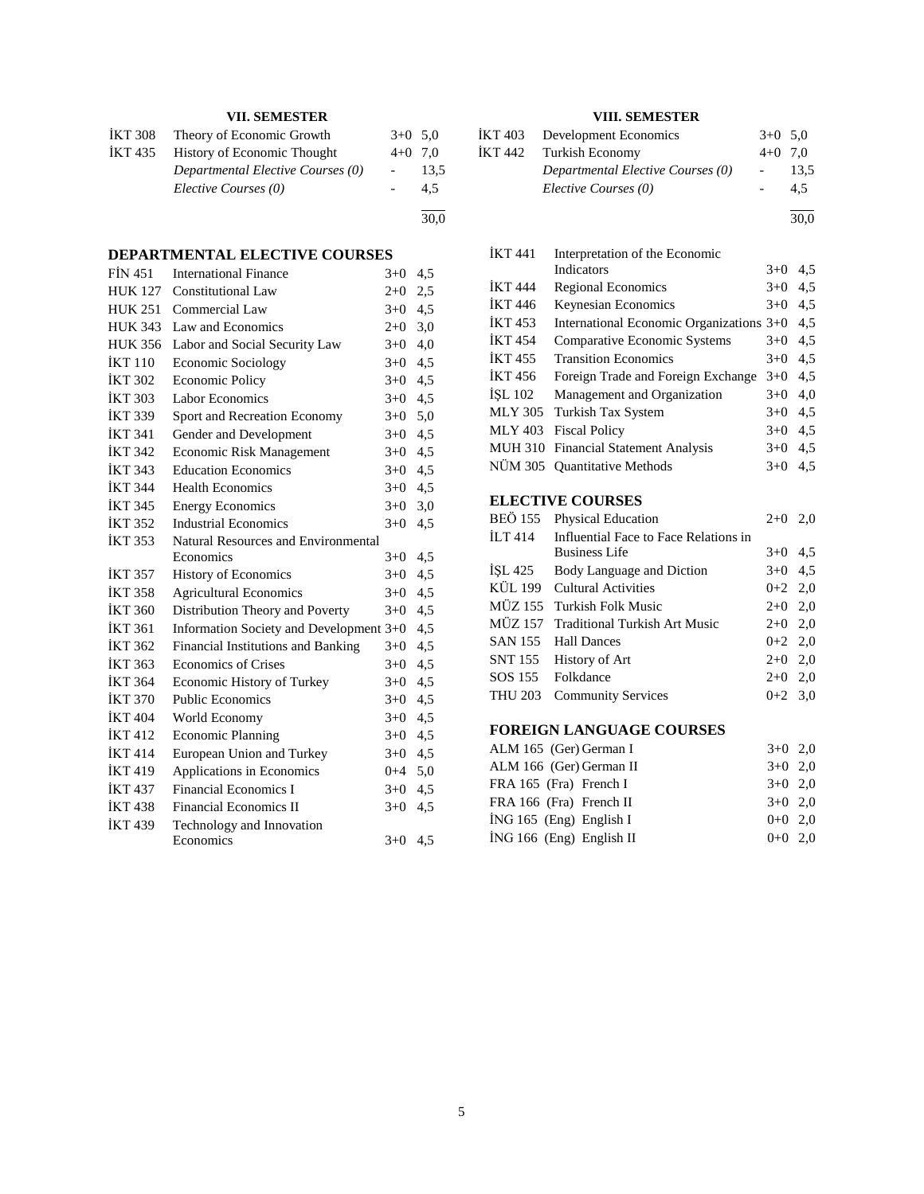### **VII. SEMESTER**

| IKT 308 | Theory of Economic Growth          | $3+0$ 5.0 |      |
|---------|------------------------------------|-----------|------|
| IKT 435 | <b>History of Economic Thought</b> | $4+0$ 7.0 |      |
|         | Departmental Elective Courses (0)  |           | 13.5 |
|         | Elective Courses (0)               |           | 4.5  |
|         |                                    |           |      |

30,0

#### **DEPARTMENTAL ELECTIVE COURSES**

| <b>FIN 451</b> | <b>International Finance</b>            | $3+0$   | 4,5 |
|----------------|-----------------------------------------|---------|-----|
| <b>HUK 127</b> | Constitutional Law                      | $2+0$   | 2,5 |
| <b>HUK 251</b> | Commercial Law                          | $3+0$   | 4,5 |
| <b>HUK 343</b> | Law and Economics                       | $2+0$   | 3,0 |
| <b>HUK 356</b> | Labor and Social Security Law           | $3+0$   | 4,0 |
| <b>İKT 110</b> | Economic Sociology                      | $3+0$   | 4,5 |
| <b>İKT 302</b> | <b>Economic Policy</b>                  | $3+0$   | 4,5 |
| <b>İKT 303</b> | Labor Economics                         | $3+0$   | 4,5 |
| <b>IKT 339</b> | Sport and Recreation Economy            | $3+0$   | 5,0 |
| <b>İKT 341</b> | Gender and Development                  | $3+0$   | 4,5 |
| <b>IKT 342</b> | <b>Economic Risk Management</b>         | $3+0$   | 4,5 |
| <b>IKT 343</b> | <b>Education Economics</b>              | $3+0$   | 4,5 |
| <b>İKT 344</b> | <b>Health Economics</b>                 | $3+0$   | 4,5 |
| <b>İKT 345</b> | <b>Energy Economics</b>                 | $3+0$   | 3,0 |
| <b>IKT 352</b> | <b>Industrial Economics</b>             | $3+0$   | 4,5 |
| <b>İKT 353</b> | Natural Resources and Environmental     |         |     |
|                | Economics                               | $3+0$   | 4,5 |
| <b>IKT 357</b> | <b>History of Economics</b>             | $3+0$   | 4,5 |
| <b>IKT 358</b> | <b>Agricultural Economics</b>           | $3+0$   | 4,5 |
| <b>IKT 360</b> | Distribution Theory and Poverty         | $3+0$   | 4,5 |
| <b>İKT 361</b> | Information Society and Development 3+0 |         | 4,5 |
| <b>İKT 362</b> | Financial Institutions and Banking      | $3+0$   | 4,5 |
| <b>İKT 363</b> | <b>Economics of Crises</b>              | $3+0$   | 4,5 |
| <b>İKT 364</b> | Economic History of Turkey              | $3+0$   | 4,5 |
| <b>IKT 370</b> | <b>Public Economics</b>                 | $3+0$   | 4,5 |
| <b>İKT 404</b> | World Economy                           | $3+0$   | 4,5 |
| <b>IKT 412</b> | <b>Economic Planning</b>                | $3+0$   | 4,5 |
| <b>IKT414</b>  | European Union and Turkey               | $3+0$   | 4,5 |
| <b>IKT 419</b> | Applications in Economics               | $0 + 4$ | 5,0 |
| <b>IKT 437</b> | <b>Financial Economics I</b>            | $3+0$   | 4,5 |
| <b>IKT 438</b> | <b>Financial Economics II</b>           | $3+0$   | 4,5 |
| <b>İKT439</b>  | Technology and Innovation               |         |     |
|                | Economics                               | $3+0$   | 4,5 |
|                |                                         |         |     |

### **VIII. SEMESTER**

| IKT 403 Development Economics     | $3+0$ 5.0 |      |
|-----------------------------------|-----------|------|
| IKT 442 Turkish Economy           | $4+0$ 7.0 |      |
| Departmental Elective Courses (0) |           | 13.5 |
| Elective Courses (0)              |           | 4.5  |
|                                   |           | 30.0 |

İKT 441 Interpretation of the Economic  $3+0$  4,5 İKT 444 Regional Economics 3+0 4,5 İKT 446 Keynesian Economics 3+0 4,5 İKT 453 International Economic Organizations 3+0 4,5 İKT 454 Comparative Economic Systems 3+0 4,5 İKT 455 Transition Economics 3+0 4,5 İKT 456 Foreign Trade and Foreign Exchange 3+0 4,5 İŞL 102 Management and Organization 3+0 4,0 MLY 305 Turkish Tax System 3+0 4,5 MLY 403 Fiscal Policy 3+0 4,5 MUH 310 Financial Statement Analysis 3+0 4,5 NÜM 305 Quantitative Methods 3+0 4,5

### **ELECTIVE COURSES**

| BEÖ 155 | <b>Physical Education</b>             | $2+0$ 2,0 |  |
|---------|---------------------------------------|-----------|--|
| İLT 414 | Influential Face to Face Relations in |           |  |
|         | <b>Business Life</b>                  | $3+0$ 4.5 |  |
|         | ISL 425 Body Language and Diction     | $3+0$ 4.5 |  |
|         | KÜL 199 Cultural Activities           | $0+2$ 2,0 |  |
|         | MÜZ 155 Turkish Folk Music            | $2+0$ 2,0 |  |
|         | MÜZ 157 Traditional Turkish Art Music | $2+0$ 2,0 |  |
|         | SAN 155 Hall Dances                   | $0+2$ 2,0 |  |
|         | SNT 155 History of Art                | $2+0$ 2,0 |  |
|         | SOS 155 Folkdance                     | $2+0$ 2,0 |  |
|         | THU 203 Community Services            | $0+2$ 3.0 |  |
|         |                                       |           |  |

### **FOREIGN LANGUAGE COURSES**

| $3+0$ 2.0 |  |
|-----------|--|
| $3+0$ 2.0 |  |
| $3+0$ 2.0 |  |
| $3+0$ 2.0 |  |
| $0+0$ 2.0 |  |
| $0+0$ 2.0 |  |
|           |  |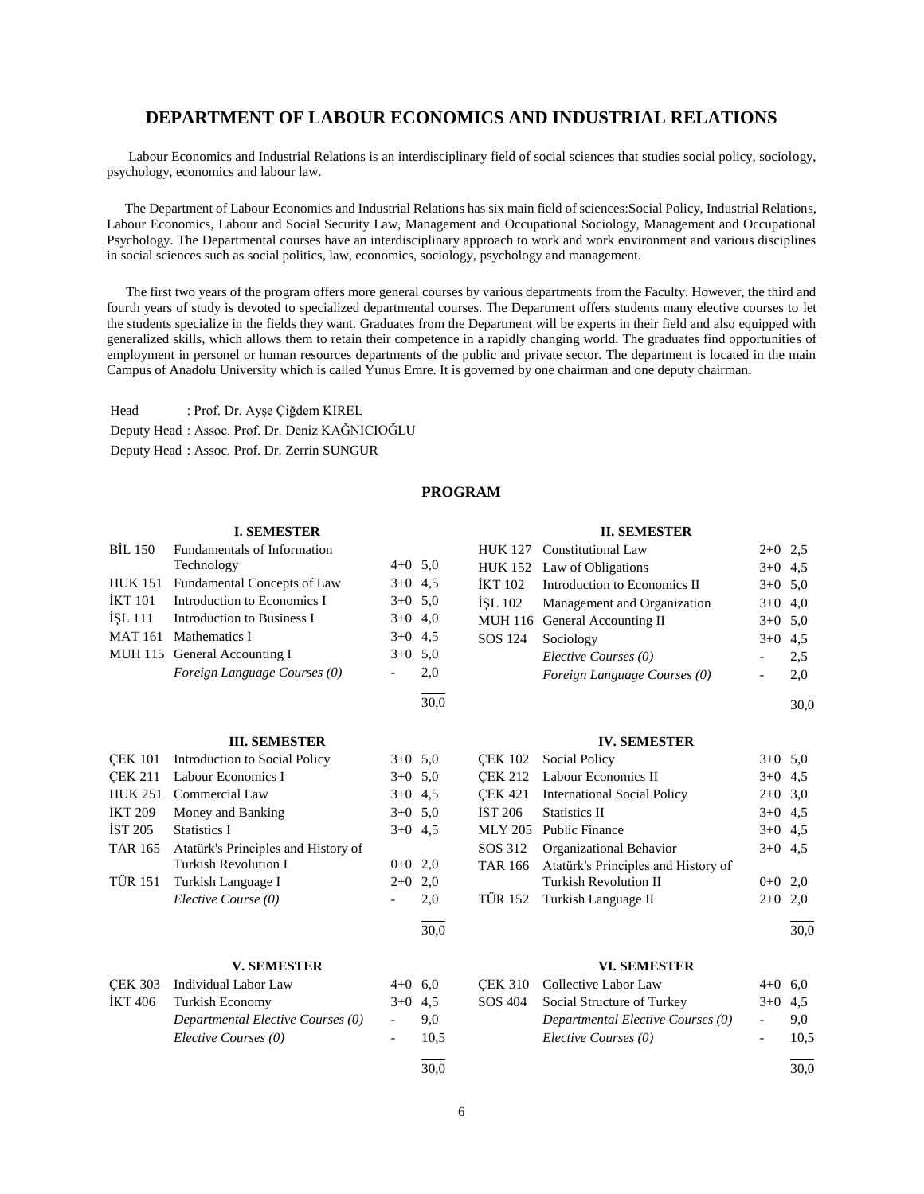## **DEPARTMENT OF LABOUR ECONOMICS AND INDUSTRIAL RELATIONS**

 Labour Economics and Industrial Relations is an interdisciplinary field of social sciences that studies social policy, sociology, psychology, economics and labour law.

 The Department of Labour Economics and Industrial Relations has six main field of sciences:Social Policy, Industrial Relations, Labour Economics, Labour and Social Security Law, Management and Occupational Sociology, Management and Occupational Psychology. The Departmental courses have an interdisciplinary approach to work and work environment and various disciplines in social sciences such as social politics, law, economics, sociology, psychology and management.

 The first two years of the program offers more general courses by various departments from the Faculty. However, the third and fourth years of study is devoted to specialized departmental courses. The Department offers students many elective courses to let the students specialize in the fields they want. Graduates from the Department will be experts in their field and also equipped with generalized skills, which allows them to retain their competence in a rapidly changing world. The graduates find opportunities of employment in personel or human resources departments of the public and private sector. The department is located in the main Campus of Anadolu University which is called Yunus Emre. It is governed by one chairman and one deputy chairman.

Head : Prof. Dr. Ayşe Çiğdem KIREL Deputy Head : Assoc. Prof. Dr. Deniz KAĞNICIOĞLU Deputy Head : Assoc. Prof. Dr. Zerrin SUNGUR

### **PROGRAM**

30,0

30,0

 $\frac{1}{30.0}$ 

### **I. SEMESTER**

|                | BIL 150 Fundamentals of Information |           |     |
|----------------|-------------------------------------|-----------|-----|
|                | Technology                          | $4+0$ 5,0 |     |
| HUK 151        | Fundamental Concepts of Law         | $3+0$ 4.5 |     |
| <b>İKT</b> 101 | Introduction to Economics I         | $3+0$ 5.0 |     |
|                | ISL 111 Introduction to Business I  | $3+0$ 4,0 |     |
|                | MAT 161 Mathematics I               | $3+0$ 4.5 |     |
|                | MUH 115 General Accounting I        | $3+0$ 5.0 |     |
|                | Foreign Language Courses (0)        |           | 2.0 |
|                |                                     |           |     |

#### **III. SEMESTER**

|                | CEK 101 Introduction to Social Policy | $3+0$ 5.0 |     |
|----------------|---------------------------------------|-----------|-----|
| <b>CEK 211</b> | Labour Economics I                    | $3+0$ 5.0 |     |
| <b>HUK 251</b> | Commercial Law                        | $3+0$ 4.5 |     |
| <b>IKT 209</b> | Money and Banking                     | $3+0$ 5.0 |     |
| İST 205        | Statistics I                          | $3+0$ 4.5 |     |
| <b>TAR 165</b> | Atatürk's Principles and History of   |           |     |
|                | Turkish Revolution I                  | $0+0$ 2,0 |     |
|                | TÜR 151 Turkish Language I            | $2+0$ 2,0 |     |
|                | Elective Course (0)                   |           | 2,0 |
|                |                                       |           |     |

#### **V. SEMESTER**

| CEK 303 Individual Labor Law      | $4+0$ 6.0 |      |
|-----------------------------------|-----------|------|
| IKT 406 Turkish Economy           | $3+0$ 4.5 |      |
| Departmental Elective Courses (0) | $-$       | 9.0  |
| Elective Courses (0)              |           | 10.5 |
|                                   |           |      |

#### **II. SEMESTER**

|                   | HUK 127 Constitutional Law           | $2+0$ 2.5 |     |
|-------------------|--------------------------------------|-----------|-----|
|                   | HUK 152 Law of Obligations           | $3+0$ 4.5 |     |
|                   | IKT 102 Introduction to Economics II | $3+0$ 5.0 |     |
|                   | ISL 102 Management and Organization  | $3+0$ 4,0 |     |
|                   | MUH 116 General Accounting II        | $3+0$ 5.0 |     |
| SOS 124 Sociology |                                      | $3+0$ 4.5 |     |
|                   | Elective Courses (0)                 |           | 2.5 |
|                   | Foreign Language Courses (0)         |           | 2.0 |
|                   |                                      |           |     |

l 30,0

#### **IV. SEMESTER**

| <b>CEK 102</b> Social Policy                | $3+0$ 5,0 |  |
|---------------------------------------------|-----------|--|
| <b>ÇEK 212</b> Labour Economics II          | $3+0$ 4.5 |  |
| CEK 421 International Social Policy         | $2+0$ 3,0 |  |
| IST 206 Statistics II                       | $3+0$ 4.5 |  |
| MLY 205 Public Finance                      | $3+0$ 4.5 |  |
| SOS 312 Organizational Behavior             | $3+0$ 4.5 |  |
| TAR 166 Atatürk's Principles and History of |           |  |
| <b>Turkish Revolution II</b>                | $0+0$ 2,0 |  |
| TÜR 152 Turkish Language II                 | $2+0$ 2,0 |  |
|                                             |           |  |

30,0

#### **VI. SEMESTER**

### CEK 310 Collective Labor Law  $4+0$  6.0 SOS 404 Social Structure of Turkey 3+0 4,5 *Departmental Elective Courses (0)* - 9,0 *Elective Courses (0)* - 10,5 l 30,0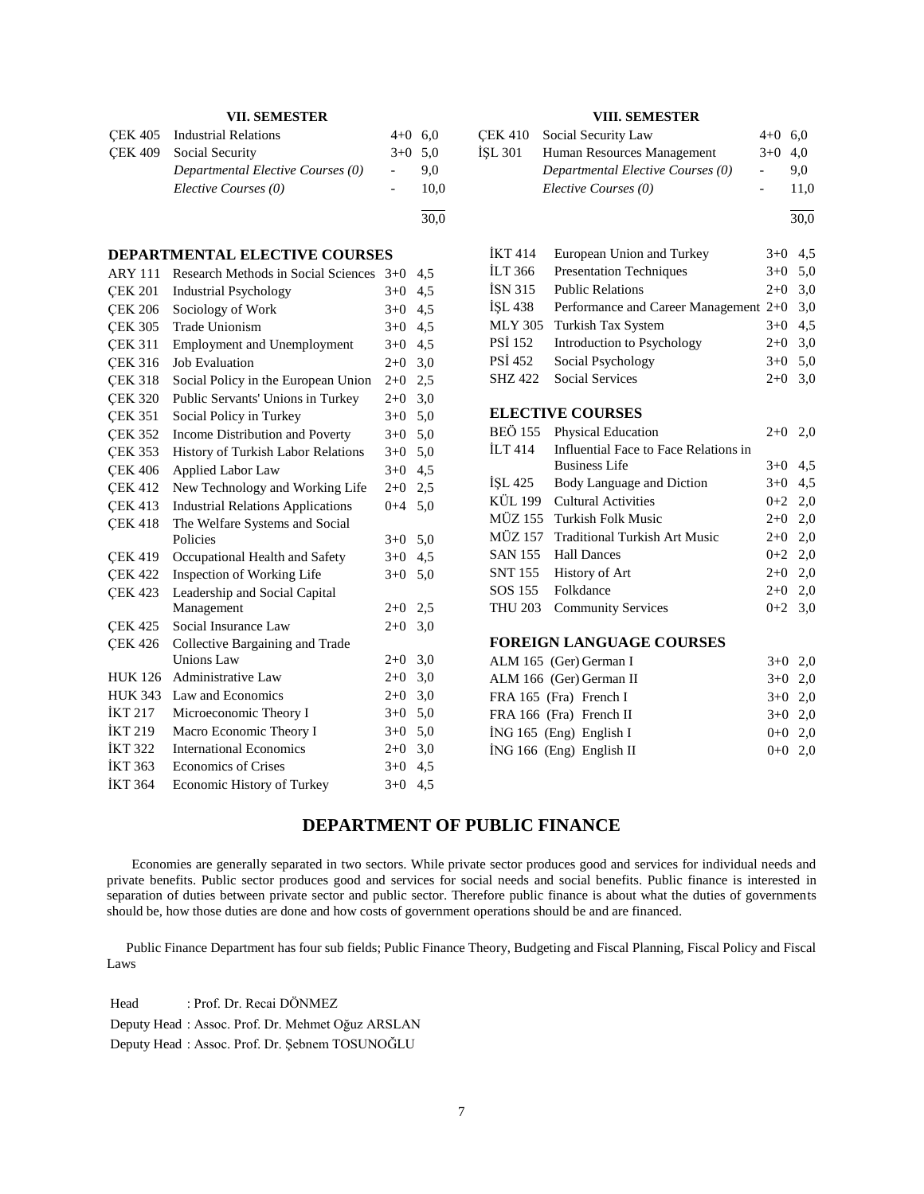### **VII. SEMESTER**

| CEK 405 Industrial Relations      | $4+0$ 6.0 |      |
|-----------------------------------|-----------|------|
| CEK 409 Social Security           | $3+0$ 5.0 |      |
| Departmental Elective Courses (0) |           | 9.0  |
| Elective Courses (0)              |           | 10.0 |
|                                   |           | 30.0 |

#### **DEPARTMENTAL ELECTIVE COURSES**

| <b>ARY 111</b> | <b>Research Methods in Social Sciences</b> | $3+0$   | 4,5 |
|----------------|--------------------------------------------|---------|-----|
| <b>CEK 201</b> | <b>Industrial Psychology</b>               | $3+0$   | 4,5 |
| <b>CEK 206</b> | Sociology of Work                          | $3+0$   | 4,5 |
| <b>CEK 305</b> | <b>Trade Unionism</b>                      | $3+0$   | 4,5 |
| <b>CEK 311</b> | <b>Employment and Unemployment</b>         | $3+0$   | 4,5 |
| <b>CEK 316</b> | <b>Job Evaluation</b>                      | $2+0$   | 3,0 |
| <b>CEK 318</b> | Social Policy in the European Union        | $2+0$   | 2,5 |
| <b>CEK 320</b> | Public Servants' Unions in Turkey          | $2+0$   | 3,0 |
| <b>CEK 351</b> | Social Policy in Turkey                    | $3+0$   | 5,0 |
| <b>CEK 352</b> | Income Distribution and Poverty            | $3+0$   | 5,0 |
| <b>ÇEK 353</b> | History of Turkish Labor Relations         | $3+0$   | 5,0 |
| <b>CEK 406</b> | <b>Applied Labor Law</b>                   | $3+0$   | 4,5 |
| <b>CEK 412</b> | New Technology and Working Life            | $2+0$   | 2,5 |
| <b>CEK 413</b> | <b>Industrial Relations Applications</b>   | $0 + 4$ | 5,0 |
| <b>CEK 418</b> | The Welfare Systems and Social             |         |     |
|                | Policies                                   | $3+0$   | 5,0 |
| <b>CEK 419</b> | Occupational Health and Safety             | $3+0$   | 4,5 |
| <b>CEK 422</b> | Inspection of Working Life                 | $3+0$   | 5,0 |
| <b>CEK 423</b> | Leadership and Social Capital              |         |     |
|                | Management                                 | $2+0$   | 2,5 |
| <b>CEK 425</b> | Social Insurance Law                       | $2+0$   | 3,0 |
| <b>CEK 426</b> | Collective Bargaining and Trade            |         |     |
|                | Unions Law                                 | $2+0$   | 3,0 |
| <b>HUK 126</b> | <b>Administrative Law</b>                  | $2+0$   | 3,0 |
| <b>HUK 343</b> | Law and Economics                          | $2 + 0$ | 3,0 |
| <b>İKT 217</b> | Microeconomic Theory I                     | $3+0$   | 5,0 |
| <b>İKT 219</b> | Macro Economic Theory I                    | $3+0$   | 5,0 |
| <b>İKT 322</b> | <b>International Economics</b>             | $2+0$   | 3,0 |
| <b>İKT 363</b> | <b>Economics of Crises</b>                 | $3+0$   | 4,5 |
| <b>İKT 364</b> | Economic History of Turkey                 | $3+0$   | 4,5 |
|                |                                            |         |     |

### **VIII. SEMESTER**

|         | CEK 410 Social Security Law       | $4+0$ 6.0 |      |
|---------|-----------------------------------|-----------|------|
| ÍSL 301 | Human Resources Management        | $3+0$ 4.0 |      |
|         | Departmental Elective Courses (0) |           | 9.0  |
|         | Elective Courses (0)              |           | 11.0 |
|         |                                   |           |      |

30,0

| İKT 414        | European Union and Turkey                   | $3+0$ 4.5 |  |
|----------------|---------------------------------------------|-----------|--|
| İLT 366        | <b>Presentation Techniques</b>              | $3+0$ 5.0 |  |
| İSN 315        | <b>Public Relations</b>                     | $2+0$ 3,0 |  |
| İSL 438        | Performance and Career Management $2+0$ 3,0 |           |  |
|                | MLY 305 Turkish Tax System                  | $3+0$ 4.5 |  |
| PSİ 152        | Introduction to Psychology                  | $2+0$ 3,0 |  |
| PSİ 452        | Social Psychology                           | $3+0$ 5.0 |  |
| <b>SHZ 422</b> | <b>Social Services</b>                      | $2+0$ 3,0 |  |

#### **ELECTIVE COURSES**

| BEÖ 155 | <b>Physical Education</b>             | $2+0$ 2,0 |  |
|---------|---------------------------------------|-----------|--|
| ILT 414 | Influential Face to Face Relations in |           |  |
|         | <b>Business Life</b>                  | $3+0$ 4.5 |  |
|         | ISL 425 Body Language and Diction     | $3+0$ 4.5 |  |
|         | KÜL 199 Cultural Activities           | $0+2$ 2,0 |  |
|         | MÜZ 155 Turkish Folk Music            | $2+0$ 2,0 |  |
|         | MÜZ 157 Traditional Turkish Art Music | $2+0$ 2,0 |  |
|         | SAN 155 Hall Dances                   | $0+2$ 2,0 |  |
|         | SNT 155 History of Art                | $2+0$ 2,0 |  |
|         | SOS 155 Folkdance                     | $2+0$ 2,0 |  |
|         | THU 203 Community Services            | $0+2$ 3.0 |  |
|         |                                       |           |  |

### **FOREIGN LANGUAGE COURSES**

| ALM 165 (Ger) German I    | $3+0$ 2.0 |  |
|---------------------------|-----------|--|
| ALM 166 (Ger) German II   | $3+0$ 2.0 |  |
| FRA 165 (Fra) French I    | $3+0$ 2.0 |  |
| FRA 166 (Fra) French II   | $3+0$ 2.0 |  |
| $ING 165$ (Eng) English I | $0+0$ 2.0 |  |
| ING 166 (Eng) English II  | $0+0$ 2.0 |  |
|                           |           |  |

### **DEPARTMENT OF PUBLIC FINANCE**

 Economies are generally separated in two sectors. While private sector produces good and services for individual needs and private benefits. Public sector produces good and services for social needs and social benefits. Public finance is interested in separation of duties between private sector and public sector. Therefore public finance is about what the duties of governments should be, how those duties are done and how costs of government operations should be and are financed.

 Public Finance Department has four sub fields; Public Finance Theory, Budgeting and Fiscal Planning, Fiscal Policy and Fiscal Laws

Head : Prof. Dr. Recai DÖNMEZ Deputy Head : Assoc. Prof. Dr. Mehmet Oğuz ARSLAN

Deputy Head : Assoc. Prof. Dr. Şebnem TOSUNOĞLU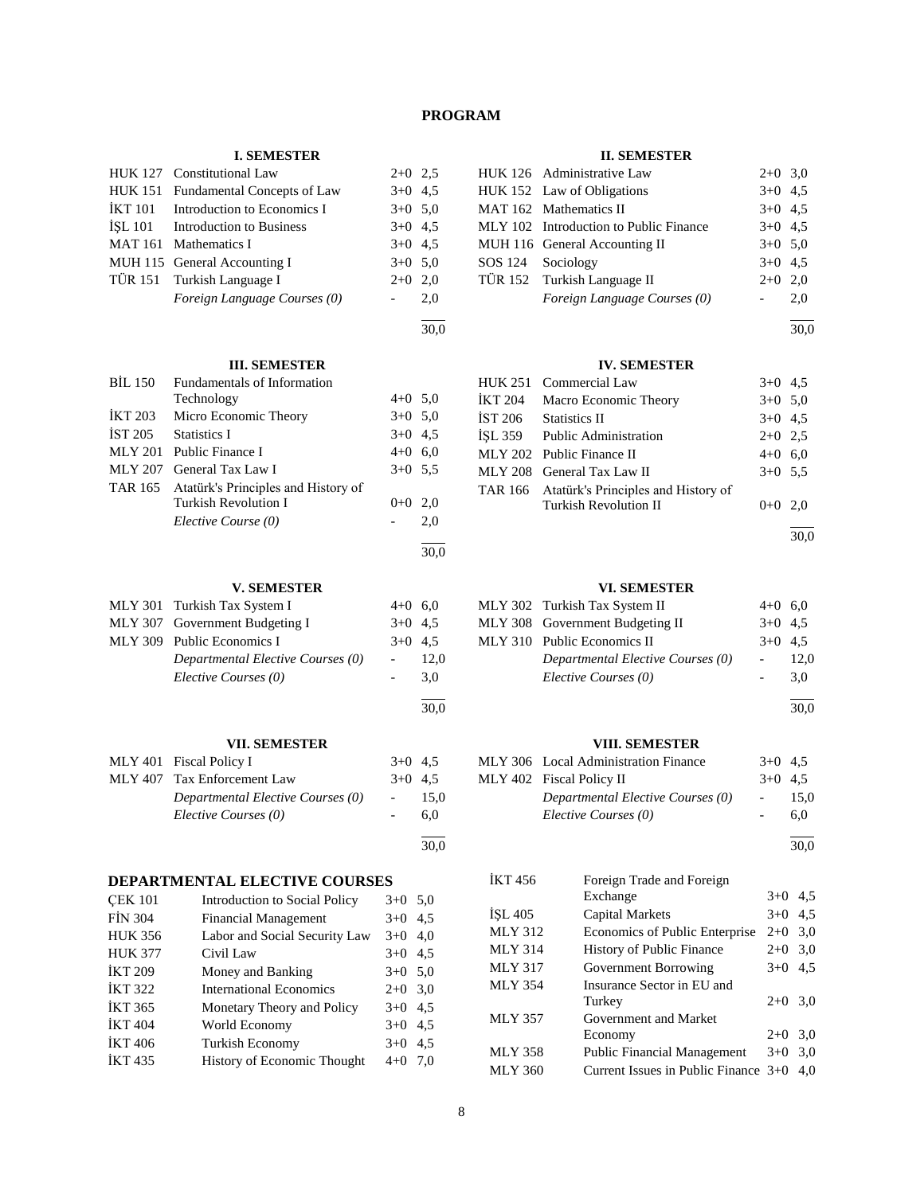### **PROGRAM**

30,0

30,0

30,0

30,0

### **I. SEMESTER**

|                | HUK 127 Constitutional Law       | $2+0$ 2.5 |     |
|----------------|----------------------------------|-----------|-----|
| <b>HUK 151</b> | Fundamental Concepts of Law      | $3+0$ 4.5 |     |
| İKT 101        | Introduction to Economics I      | $3+0$ 5.0 |     |
|                | ISL 101 Introduction to Business | $3+0$ 4.5 |     |
|                | MAT 161 Mathematics I            | $3+0$ 4.5 |     |
|                | MUH 115 General Accounting I     | $3+0$ 5,0 |     |
|                | TÜR 151 Turkish Language I       | $2+0$     | 2,0 |
|                | Foreign Language Courses (0)     |           | 2,0 |
|                |                                  |           |     |

# **III. SEMESTER**

|                | пі, осліво і ек                             |           |     |
|----------------|---------------------------------------------|-----------|-----|
| BIL 150        | Fundamentals of Information                 |           |     |
|                | Technology                                  | $4+0$ 5.0 |     |
| <b>IKT 203</b> | Micro Economic Theory                       | $3+0$ 5.0 |     |
| <b>İST 205</b> | <b>Statistics I</b>                         | $3+0$ 4.5 |     |
|                | MLY 201 Public Finance I                    | $4+0$ 6.0 |     |
| MLY 207        | General Tax Law I                           | $3+0$ 5.5 |     |
|                | TAR 165 Atatürk's Principles and History of |           |     |
|                | Turkish Revolution I                        | $()+()$   | 2.0 |
|                | Elective Course (0)                         |           | 2,0 |
|                |                                             |           |     |

#### **V. SEMESTER**

| MLY 301 Turkish Tax System I      | $4+0$ 6.0 |           |
|-----------------------------------|-----------|-----------|
| MLY 307 Government Budgeting I    | $3+0$ 4.5 |           |
| MLY 309 Public Economics I        |           | $3+0$ 4.5 |
| Departmental Elective Courses (0) |           | 12.0      |
| Elective Courses (0)              |           | 3.0       |
|                                   |           |           |

#### **VII. SEMESTER**

| ,                                 |           |      |
|-----------------------------------|-----------|------|
| MLY 401 Fiscal Policy I           | $3+0$ 4.5 |      |
| MLY 407 Tax Enforcement Law       | $3+0$ 4.5 |      |
| Departmental Elective Courses (0) |           | 15.0 |
| Elective Courses (0)              |           | 6.0  |
|                                   |           |      |

### **DEPARTMENTAL ELECTIVE COURSES**

| <b>ÇEK 101</b> | <b>Introduction to Social Policy</b> | $3+0$ 5,0 |     |
|----------------|--------------------------------------|-----------|-----|
| <b>FİN 304</b> | <b>Financial Management</b>          | $3+0$     | 4,5 |
| <b>HUK 356</b> | Labor and Social Security Law        | $3+0$ 4,0 |     |
| <b>HUK 377</b> | Civil Law                            | $3+0$ 4,5 |     |
| İKT 209        | Money and Banking                    | $3+0$ 5,0 |     |
| İKT 322        | <b>International Economics</b>       | $2+0$ 3.0 |     |
| İKT 365        | Monetary Theory and Policy           | $3+0$ 4.5 |     |
| <b>İKT 404</b> | World Economy                        | $3+0$ 4.5 |     |
| İKT 406        | <b>Turkish Economy</b>               | $3+0$     | 4,5 |
| İKT 435        | History of Economic Thought          | $4 + 0$   | 7.0 |

#### **II. SEMESTER**

|                   | HUK 126 Administrative Law             | $2+0$ 3.0 |     |
|-------------------|----------------------------------------|-----------|-----|
|                   | HUK 152 Law of Obligations             | $3+0$ 4.5 |     |
|                   | MAT 162 Mathematics II                 | $3+0$ 4.5 |     |
|                   | MLY 102 Introduction to Public Finance | $3+0$ 4.5 |     |
|                   | MUH 116 General Accounting II          | $3+0$ 5.0 |     |
| SOS 124 Sociology |                                        | $3+0$ 4.5 |     |
|                   | TÜR 152 Turkish Language II            | $2+0$     | 2.0 |
|                   | Foreign Language Courses (0)           |           | 2.0 |
|                   |                                        |           |     |

30,0

### **IV. SEMESTER**

|                | HUK 251 Commercial Law                      | $3+0$ 4.5 |  |
|----------------|---------------------------------------------|-----------|--|
| <b>IKT 204</b> | Macro Economic Theory                       | $3+0$ 5.0 |  |
|                | IST 206 Statistics II                       | $3+0$ 4.5 |  |
|                | ISL 359 Public Administration               | $2+0$ 2.5 |  |
|                | MLY 202 Public Finance II                   | $4+0$ 6,0 |  |
|                | MLY 208 General Tax Law II                  | $3+0$ 5.5 |  |
|                | TAR 166 Atatürk's Principles and History of |           |  |
|                | <b>Turkish Revolution II</b>                | $0+0$ 2,0 |  |
|                |                                             |           |  |

30,0

#### **VI. SEMESTER**

| MLY 302 Turkish Tax System II     | $4+0$ 6,0 |      |
|-----------------------------------|-----------|------|
| MLY 308 Government Budgeting II   | $3+0$ 4.5 |      |
| MLY 310 Public Economics II       | $3+0$ 4.5 |      |
| Departmental Elective Courses (0) |           | 12.0 |
| Elective Courses (0)              |           | 3.0  |
|                                   |           |      |

l 30,0

### **VIII. SEMESTER**

| ,                                    |           |      |
|--------------------------------------|-----------|------|
| MLY 306 Local Administration Finance | $3+0$ 4.5 |      |
| MLY 402 Fiscal Policy II             | $3+0$ 4.5 |      |
| Departmental Elective Courses (0)    | $\sim$    | 15.0 |
| Elective Courses (0)                 |           | 6.0  |

l 30,0

| İKT 456 | Foreign Trade and Foreign              |           |     |
|---------|----------------------------------------|-----------|-----|
|         | Exchange                               | $3+0$ 4.5 |     |
| ÍSL 405 | <b>Capital Markets</b>                 | $3+0$ 4.5 |     |
| MLY 312 | Economics of Public Enterprise         | $2+0$ 3,0 |     |
| MLY 314 | <b>History of Public Finance</b>       | $2+0$ 3,0 |     |
| MLY 317 | Government Borrowing                   | $3+0$     | 4,5 |
| MLY 354 | Insurance Sector in EU and             |           |     |
|         | Turkey                                 | $2+0$ 3,0 |     |
| MLY 357 | Government and Market                  |           |     |
|         | Economy                                | $2+0$ 3.0 |     |
| MLY 358 | <b>Public Financial Management</b>     | $3+0$     | 3,0 |
| MLY 360 | Current Issues in Public Finance $3+0$ |           | 4.0 |
|         |                                        |           |     |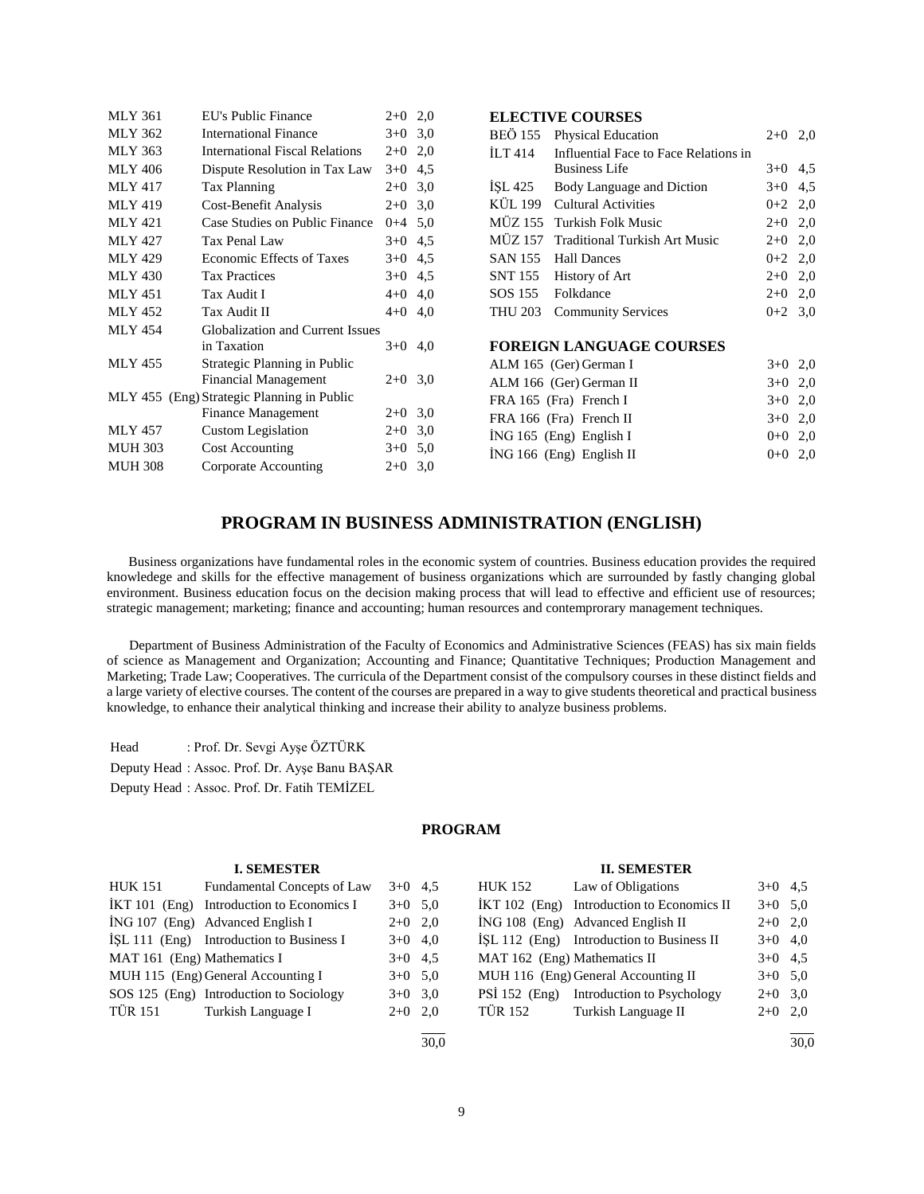| <b>MLY 361</b> | EU's Public Finance                        | $2+0$   | 2,0 |
|----------------|--------------------------------------------|---------|-----|
| <b>MLY 362</b> | <b>International Finance</b>               | $3+0$   | 3,0 |
| <b>MLY 363</b> | <b>International Fiscal Relations</b>      | $2+0$   | 2,0 |
| MLY 406        | Dispute Resolution in Tax Law              | $3+0$   | 4,5 |
| <b>MLY 417</b> | <b>Tax Planning</b>                        | $2+0$   | 3,0 |
| <b>MLY 419</b> | Cost-Benefit Analysis                      | $2+0$   | 3,0 |
| <b>MLY 421</b> | Case Studies on Public Finance             | $0 + 4$ | 5,0 |
| <b>MLY 427</b> | Tax Penal Law                              | $3+0$   | 4,5 |
| <b>MLY 429</b> | <b>Economic Effects of Taxes</b>           | $3+0$   | 4,5 |
| <b>MLY 430</b> | <b>Tax Practices</b>                       | $3+0$   | 4,5 |
| <b>MLY 451</b> | Tax Audit I                                | $4 + 0$ | 4,0 |
| <b>MLY 452</b> | Tax Audit II                               | $4 + 0$ | 4,0 |
| <b>MLY 454</b> | <b>Globalization and Current Issues</b>    |         |     |
|                | in Taxation                                | $3+0$   | 4,0 |
| <b>MLY 455</b> | Strategic Planning in Public               |         |     |
|                | <b>Financial Management</b>                | $2+0$   | 3,0 |
|                | MLY 455 (Eng) Strategic Planning in Public |         |     |
|                | Finance Management                         | $2+0$   | 3,0 |
| <b>MLY 457</b> | Custom Legislation                         | $2+0$   | 3,0 |
| <b>MUH 303</b> | <b>Cost Accounting</b>                     | $3+0$   | 5,0 |
| <b>MUH 308</b> | Corporate Accounting                       | $2+0$   | 3,0 |

|                | ески против с                         |           |     |
|----------------|---------------------------------------|-----------|-----|
| <b>BEÖ</b> 155 | <b>Physical Education</b>             | $2+0$     | 2,0 |
| <b>ILT 414</b> | Influential Face to Face Relations in |           |     |
|                | <b>Business Life</b>                  | $3+0$     | 4,5 |
| ISL 425        | Body Language and Diction             | $3+0$     | 4,5 |
| KÜL 199        | Cultural Activities                   | $0+2$ 2,0 |     |
| MÜZ 155        | Turkish Folk Music                    | $2+0$ 2,0 |     |
| MÜZ 157        | <b>Traditional Turkish Art Music</b>  | $2+0$     | 2,0 |
| SAN 155        | <b>Hall Dances</b>                    | $0+2$ 2,0 |     |
| SNT 155        | History of Art                        | $2+0$ 2,0 |     |
| SOS 155        | Folkdance                             | $2+0$ 2,0 |     |
| <b>THU 203</b> | <b>Community Services</b>             | $0+2$ 3.0 |     |
|                |                                       |           |     |
|                | <b>FOREIGN LANGUAGE COURSES</b>       |           |     |
|                | ALM 165 (Ger) German I                | $3+0$ 2,0 |     |
|                | ALM 166 (Ger) German II               | $3+0$ 2,0 |     |
|                | FRA 165 (Fra) French I                | $3+0$ 2,0 |     |
|                | FRA 166 (Fra) French II               | $3+0$ 2,0 |     |
|                |                                       |           |     |

 $i$ NG 165 (Eng) English I 0+0 2,0 İNG 166 (Eng) English II 0+0 2,0

**ELECTIVE COURSES**

### **PROGRAM IN BUSINESS ADMINISTRATION (ENGLISH)**

 Business organizations have fundamental roles in the economic system of countries. Business education provides the required knowledege and skills for the effective management of business organizations which are surrounded by fastly changing global environment. Business education focus on the decision making process that will lead to effective and efficient use of resources; strategic management; marketing; finance and accounting; human resources and contemprorary management techniques.

 Department of Business Administration of the Faculty of Economics and Administrative Sciences (FEAS) has six main fields of science as Management and Organization; Accounting and Finance; Quantitative Techniques; Production Management and Marketing; Trade Law; Cooperatives. The curricula of the Department consist of the compulsory courses in these distinct fields and a large variety of elective courses. The content of the courses are prepared in a way to give students theoretical and practical business knowledge, to enhance their analytical thinking and increase their ability to analyze business problems.

Head : Prof. Dr. Sevgi Ayşe ÖZTÜRK

Deputy Head : Assoc. Prof. Dr. Ayşe Banu BAŞAR

Deputy Head : Assoc. Prof. Dr. Fatih TEMİZEL

### **PROGRAM**

#### **I. SEMESTER**

| HUK 151                     | Fundamental Concepts of Law                 | $3+0$ 4.5 | <b>HUK 152</b>        | Law   |
|-----------------------------|---------------------------------------------|-----------|-----------------------|-------|
|                             | $IKT 101$ (Eng) Introduction to Economics I | $3+0$ 5.0 | $IKT 102$ (Eng) Intro |       |
|                             | ING 107 (Eng) Advanced English I            | $2+0$ 2,0 | $ING 108 (Eng)$ Adva  |       |
|                             | $ISL 111$ (Eng) Introduction to Business I  | $3+0$ 4,0 | $ISL 112$ (Eng) Intro |       |
| MAT 161 (Eng) Mathematics I |                                             | $3+0$ 4.5 | MAT 162 (Eng) Math    |       |
|                             | MUH 115 (Eng) General Accounting I          | $3+0$ 5.0 | MUH 116 (Eng) Gene    |       |
|                             | SOS 125 (Eng) Introduction to Sociology     | $3+0$ 3.0 | $PSI 152$ (Eng)       | Intro |
| TÜR 151                     | Turkish Language I                          | $2+0$ 2.0 | TÜR 152               | Turk  |
|                             |                                             |           |                       |       |

30,0

**II. SEMESTER** of Obligations  $3+0$  4,5

|                              | İKT 102 (Eng) Introduction to Economics II  | $3+0$ 5.0 |      |
|------------------------------|---------------------------------------------|-----------|------|
|                              | İNG 108 (Eng) Advanced English II           | $2+0$ 2.0 |      |
|                              | $ISL 112$ (Eng) Introduction to Business II | $3+0$ 4,0 |      |
| MAT 162 (Eng) Mathematics II |                                             | $3+0$ 4.5 |      |
|                              | MUH 116 (Eng) General Accounting II         | $3+0$ 5.0 |      |
|                              | PSİ 152 (Eng) Introduction to Psychology    | $2+0$ 3.0 |      |
| TÜR 152                      | Turkish Language II                         | $2+0$ 2.0 |      |
|                              |                                             |           |      |
|                              |                                             |           | 30.0 |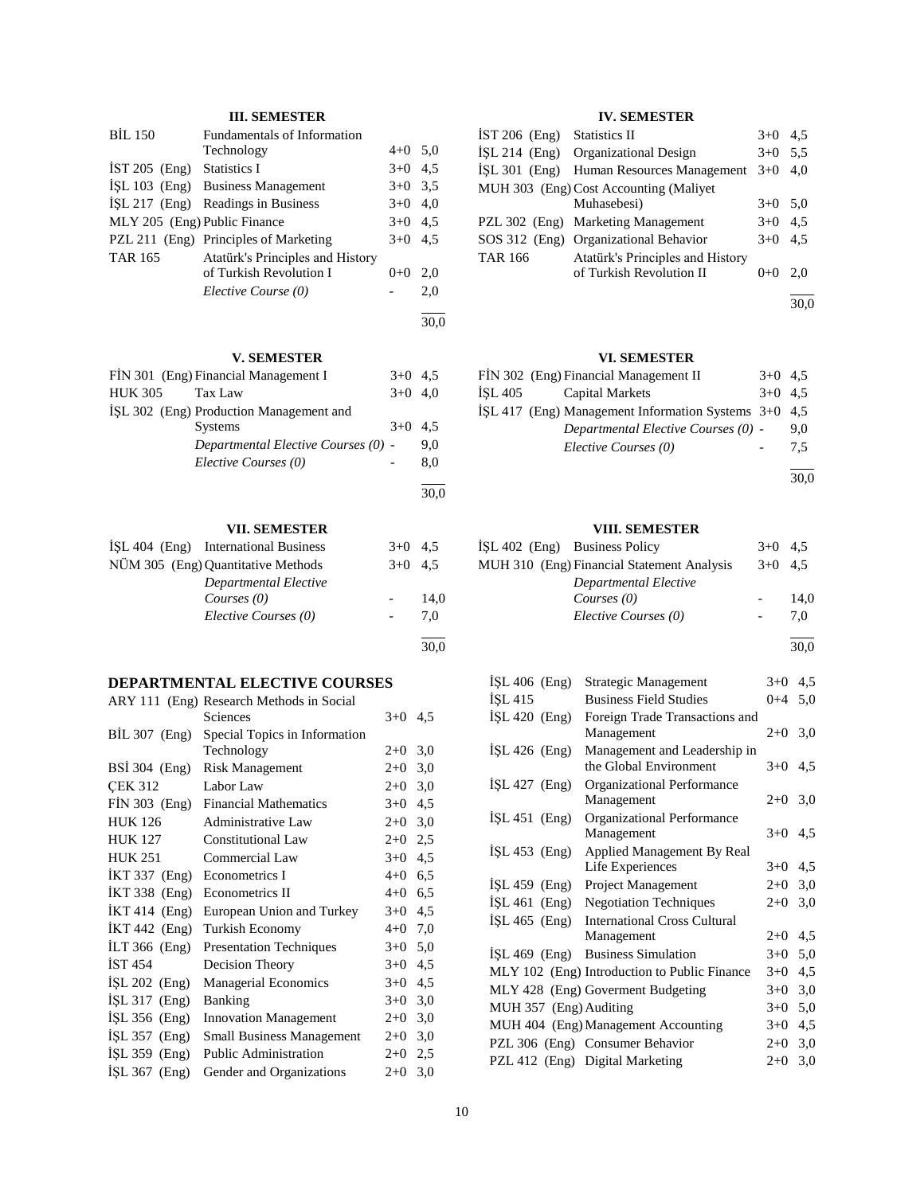### **III. SEMESTER**

| <b>BIL 150</b>               | Fundamentals of Information           |           |      |
|------------------------------|---------------------------------------|-----------|------|
|                              | Technology                            | $4+0$ 5.0 |      |
| IST 205 (Eng) Statistics I   |                                       | $3+0$ 4.5 |      |
|                              | ISL 103 (Eng) Business Management     | $3+0$ 3.5 |      |
|                              | ISL 217 (Eng) Readings in Business    | $3+0$ 4,0 |      |
| MLY 205 (Eng) Public Finance |                                       | $3+0$ 4.5 |      |
|                              | PZL 211 (Eng) Principles of Marketing | $3+0$ 4.5 |      |
| <b>TAR 165</b>               | Atatürk's Principles and History      |           |      |
|                              | of Turkish Revolution I               | $0+0$     | 2.0  |
|                              | Elective Course (0)                   |           | 2,0  |
|                              |                                       |           | 30.0 |

### **V. SEMESTER**

| FIN 301 (Eng) Financial Management I    | $3+0$ 4.5 |     |
|-----------------------------------------|-----------|-----|
| <b>HUK 305</b><br>Tax Law               | $3+0$ 4.0 |     |
| ISL 302 (Eng) Production Management and |           |     |
| <b>Systems</b>                          | $3+0$     | 4.5 |
| Departmental Elective Courses (0) -     |           | 9.0 |
| Elective Courses (0)                    |           | 8.0 |
|                                         |           |     |

#### **VII. SEMESTER**

| ISL 404 (Eng) International Business | $3+0$ 4.5 |      |
|--------------------------------------|-----------|------|
| NÜM 305 (Eng) Quantitative Methods   | $3+0$ 4.5 |      |
| Departmental Elective                |           |      |
| Courses $(0)$                        |           | 14.0 |
| Elective Courses (0)                 |           | 7.0  |
|                                      |           | 30,0 |

### **DEPARTMENTAL ELECTIVE COURSES**

| ARY 111 (Eng) Research Methods in Social |         |     |
|------------------------------------------|---------|-----|
| Sciences                                 | $3+0$   | 4,5 |
| Special Topics in Information            |         |     |
| Technology                               | $2+0$   | 3,0 |
| <b>Risk Management</b>                   | $2+0$   | 3,0 |
| Labor Law                                | $2+0$   | 3,0 |
| <b>Financial Mathematics</b>             | $3+0$   | 4,5 |
| <b>Administrative Law</b>                | $2+0$   | 3,0 |
| <b>Constitutional Law</b>                | $2+0$   | 2,5 |
| Commercial Law                           | $3+0$   | 4,5 |
| Econometrics I                           | $4 + 0$ | 6,5 |
| Econometrics II                          | $4 + 0$ | 6,5 |
| European Union and Turkey                | $3+0$   | 4,5 |
| Turkish Economy                          | $4 + 0$ | 7,0 |
| <b>Presentation Techniques</b>           | $3+0$   | 5,0 |
| Decision Theory                          | $3+0$   | 4,5 |
| Managerial Economics                     | $3+0$   | 4,5 |
| <b>Banking</b>                           | $3+0$   | 3,0 |
| <b>Innovation Management</b>             | $2+0$   | 3,0 |
| <b>Small Business Management</b>         | $2+0$   | 3,0 |
| <b>Public Administration</b>             | $2+0$   | 2,5 |
| Gender and Organizations                 | $2+0$   | 3,0 |
|                                          |         |     |

### **IV. SEMESTER**

| IST 206 (Eng) Statistics II |                                          | $3+0$     | 4.5 |
|-----------------------------|------------------------------------------|-----------|-----|
|                             | ISL 214 (Eng) Organizational Design      | $3+0$     | 5.5 |
|                             | ISL 301 (Eng) Human Resources Management | $3+0$     | 4.0 |
|                             | MUH 303 (Eng) Cost Accounting (Maliyet   |           |     |
|                             | Muhasebesi)                              | $3+0$ 5.0 |     |
|                             | PZL 302 (Eng) Marketing Management       | $3+0$     | 4.5 |
|                             | SOS 312 (Eng) Organizational Behavior    | $3+0$     | 4.5 |
| <b>TAR 166</b>              | Atatürk's Principles and History         |           |     |
|                             | of Turkish Revolution II                 | $0+0$     | 2.0 |
|                             |                                          |           |     |

30,0

### **VI. SEMESTER**

|         | FIN 302 (Eng) Financial Management II                  | $3+0$ 4.5 |     |
|---------|--------------------------------------------------------|-----------|-----|
| ISL 405 | Capital Markets                                        | $3+0$ 4.5 |     |
|         | ISL 417 (Eng) Management Information Systems $3+0$ 4,5 |           |     |
|         | Departmental Elective Courses (0) -                    |           | 9.0 |
|         | Elective Courses (0)                                   |           | 7.5 |
|         |                                                        |           |     |

30,0

### **VIII. SEMESTER**

| ISL 402 (Eng) Business Policy              | $3+0$ 4.5 |      |
|--------------------------------------------|-----------|------|
| MUH 310 (Eng) Financial Statement Analysis | $3+0$ 4.5 |      |
| Departmental Elective                      |           |      |
| Courses $(0)$                              |           | 14.0 |
| Elective Courses (0)                       |           | 7.0  |

l 30,0

| $ISL 406$ (Eng)        | Strategic Management                         | $3+0$     | 4,5 |
|------------------------|----------------------------------------------|-----------|-----|
| <b>ISL 415</b>         | <b>Business Field Studies</b>                | $0 + 4$   | 5,0 |
| $ISL 420$ (Eng)        | Foreign Trade Transactions and               |           |     |
|                        | Management                                   | $2+0$ 3,0 |     |
| $ISL$ 426 (Eng)        | Management and Leadership in                 |           |     |
|                        | the Global Environment                       | $3+0$ 4.5 |     |
| İŞL 427 (Eng)          | Organizational Performance                   |           |     |
|                        | Management                                   | $2+0$ 3,0 |     |
| İŞL 451 (Eng)          | Organizational Performance                   |           |     |
|                        | Management                                   | $3+0$ 4.5 |     |
| $ISL 453$ (Eng)        | <b>Applied Management By Real</b>            |           |     |
|                        | Life Experiences                             | $3+0$     | 4,5 |
| $ISL 459$ (Eng)        | Project Management                           | $2+0$     | 3,0 |
| $ISL 461$ (Eng)        | <b>Negotiation Techniques</b>                | $2+0$     | 3,0 |
| ISL $465$ (Eng)        | <b>International Cross Cultural</b>          |           |     |
|                        | Management                                   | $2+0$     | 4,5 |
| ISL $469$ (Eng)        | <b>Business Simulation</b>                   | $3+0$     | 5,0 |
|                        | MLY 102 (Eng) Introduction to Public Finance | $3+0$     | 4,5 |
|                        | MLY 428 (Eng) Goverment Budgeting            | $3+0$     | 3,0 |
| MUH 357 (Eng) Auditing |                                              | $3+0$     | 5,0 |
|                        | MUH 404 (Eng) Management Accounting          | $3+0$     | 4,5 |
|                        | PZL 306 (Eng) Consumer Behavior              | $2+0$     | 3,0 |
|                        | PZL 412 (Eng) Digital Marketing              | $2+0$     | 3,0 |
|                        |                                              |           |     |

30,0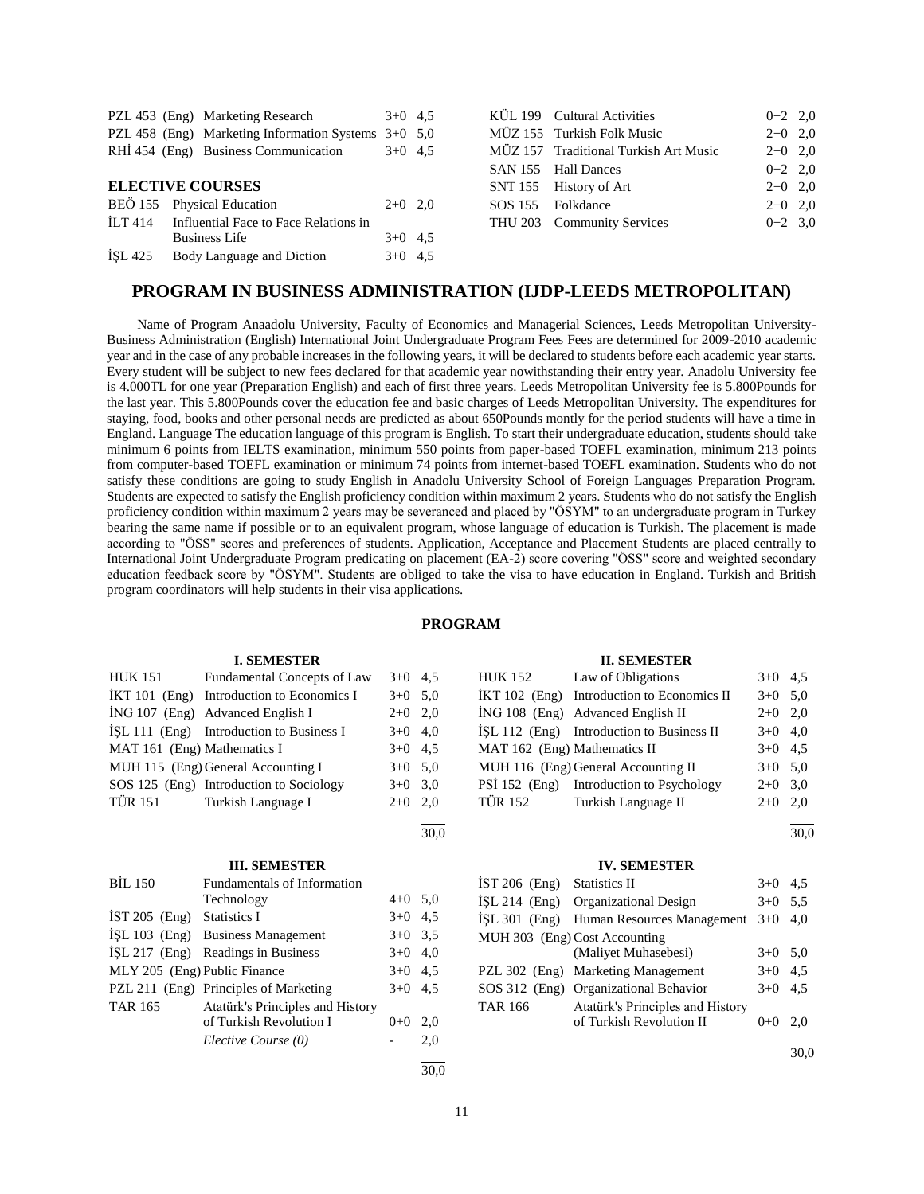|                         | PZL 453 (Eng) Marketing Research                      | $3+0$ 4.5 |  |
|-------------------------|-------------------------------------------------------|-----------|--|
|                         | PZL 458 (Eng) Marketing Information Systems $3+0$ 5.0 |           |  |
|                         | RHI 454 (Eng) Business Communication                  | $3+0$ 4.5 |  |
|                         |                                                       |           |  |
| <b>ELECTIVE COURSES</b> |                                                       |           |  |
|                         | BEÖ 155 Physical Education                            | $2+0$ 2.0 |  |
| ILT 414                 | Influential Face to Face Relations in                 |           |  |
|                         | <b>Business Life</b>                                  | $3+0$ 4.5 |  |
| ISL 425                 | Body Language and Diction                             | $3+0$ 4,5 |  |

| KÜL 199 Cultural Activities           | $0+2$ 2,0 |  |
|---------------------------------------|-----------|--|
| MÜZ 155 Turkish Folk Music            | $2+0$ 2,0 |  |
| MÜZ 157 Traditional Turkish Art Music | $2+0$ 2.0 |  |
| SAN 155 Hall Dances                   | $0+2$ 2,0 |  |
| SNT 155 History of Art                | $2+0$ 2,0 |  |
| SOS 155 Folkdance                     | $2+0$ 2,0 |  |
| THU 203 Community Services            | $0+2$ 3.0 |  |
|                                       |           |  |

### **PROGRAM IN BUSINESS ADMINISTRATION (IJDP-LEEDS METROPOLITAN)**

 Name of Program Anaadolu University, Faculty of Economics and Managerial Sciences, Leeds Metropolitan University-Business Administration (English) International Joint Undergraduate Program Fees Fees are determined for 2009-2010 academic year and in the case of any probable increases in the following years, it will be declared to students before each academic year starts. Every student will be subject to new fees declared for that academic year nowithstanding their entry year. Anadolu University fee is 4.000TL for one year (Preparation English) and each of first three years. Leeds Metropolitan University fee is 5.800Pounds for the last year. This 5.800Pounds cover the education fee and basic charges of Leeds Metropolitan University. The expenditures for staying, food, books and other personal needs are predicted as about 650Pounds montly for the period students will have a time in England. Language The education language of this program is English. To start their undergraduate education, students should take minimum 6 points from IELTS examination, minimum 550 points from paper-based TOEFL examination, minimum 213 points from computer-based TOEFL examination or minimum 74 points from internet-based TOEFL examination. Students who do not satisfy these conditions are going to study English in Anadolu University School of Foreign Languages Preparation Program. Students are expected to satisfy the English proficiency condition within maximum 2 years. Students who do not satisfy the English proficiency condition within maximum 2 years may be severanced and placed by "ÖSYM" to an undergraduate program in Turkey bearing the same name if possible or to an equivalent program, whose language of education is Turkish. The placement is made according to "ÖSS" scores and preferences of students. Application, Acceptance and Placement Students are placed centrally to International Joint Undergraduate Program predicating on placement (EA-2) score covering "ÖSS" score and weighted secondary education feedback score by "ÖSYM". Students are obliged to take the visa to have education in England. Turkish and British program coordinators will help students in their visa applications.

#### **PROGRAM**

l  $\frac{1}{30.0}$ 

#### **I. SEMESTER**

| <b>HUK 151</b>              | Fundamental Concepts of Law                 | $3+0$ 4.5 |  |
|-----------------------------|---------------------------------------------|-----------|--|
|                             | $IKT 101$ (Eng) Introduction to Economics I | $3+0$ 5.0 |  |
|                             | İNG 107 (Eng) Advanced English I            | $2+0$ 2,0 |  |
|                             | $ISL 111$ (Eng) Introduction to Business I  | $3+0$ 4,0 |  |
| MAT 161 (Eng) Mathematics I |                                             | $3+0$ 4.5 |  |
|                             | MUH 115 (Eng) General Accounting I          | $3+0$ 5.0 |  |
|                             | SOS 125 (Eng) Introduction to Sociology     | $3+0$ 3.0 |  |
|                             | TÜR 151 Turkish Language I                  | $2+0$ 2,0 |  |

#### **III. SEMESTER**

| <b>BIL 150</b>               | <b>Fundamentals of Information</b>    |           |     |
|------------------------------|---------------------------------------|-----------|-----|
|                              | Technology                            | $4+0$ 5,0 |     |
| IST 205 $(Eng)$ Statistics I |                                       | $3+0$     | 4.5 |
|                              | İŞL 103 (Eng) Business Management     | $3+0$ 3.5 |     |
|                              | ISL 217 (Eng) Readings in Business    | $3+0$     | 4.0 |
| MLY 205 (Eng) Public Finance |                                       | $3+0$ 4.5 |     |
|                              | PZL 211 (Eng) Principles of Marketing | $3+0$ 4.5 |     |
| <b>TAR 165</b>               | Atatürk's Principles and History      |           |     |
|                              | of Turkish Revolution I               | $0+0$     | 2.0 |
|                              | Elective Course (0)                   |           | 2,0 |
|                              |                                       |           |     |

#### **II. SEMESTER**

| <b>HUK 152</b>               | Law of Obligations                         | $3+0$ 4.5 |     |
|------------------------------|--------------------------------------------|-----------|-----|
|                              | İKT 102 (Eng) Introduction to Economics II | $3+0$ 5.0 |     |
|                              | İNG 108 (Eng) Advanced English II          | $2+0$ 2.0 |     |
|                              | ISL 112 (Eng) Introduction to Business II  | $3+0$ 4.0 |     |
| MAT 162 (Eng) Mathematics II |                                            | $3+0$ 4.5 |     |
|                              | MUH 116 (Eng) General Accounting II        | $3+0$ 5.0 |     |
|                              | PSİ 152 (Eng) Introduction to Psychology   | $2+0$ 3,0 |     |
| <b>TÜR 152</b>               | Turkish Language II                        | $2+0$     | 2.0 |

#### l  $\frac{1}{30.0}$

#### **IV. SEMESTER**

| $IST 206$ (Eng) | <b>Statistics II</b>                             | $3+0$ 4.5 |     |
|-----------------|--------------------------------------------------|-----------|-----|
|                 | ISL 214 (Eng) Organizational Design              | $3+0$     | 5.5 |
|                 | İŞL 301 (Eng) Human Resources Management 3+0 4,0 |           |     |
|                 | MUH 303 (Eng) Cost Accounting                    |           |     |
|                 | (Maliyet Muhasebesi)                             | $3+0$ 5.0 |     |
|                 | PZL 302 (Eng) Marketing Management               | $3+0$ 4.5 |     |
|                 | SOS 312 (Eng) Organizational Behavior            | $3+0$ 4.5 |     |
| <b>TAR 166</b>  | Atatürk's Principles and History                 |           |     |
|                 | of Turkish Revolution II                         | $0+0$     | 2.0 |
|                 |                                                  |           |     |

 $\frac{1}{30.0}$ 

30,0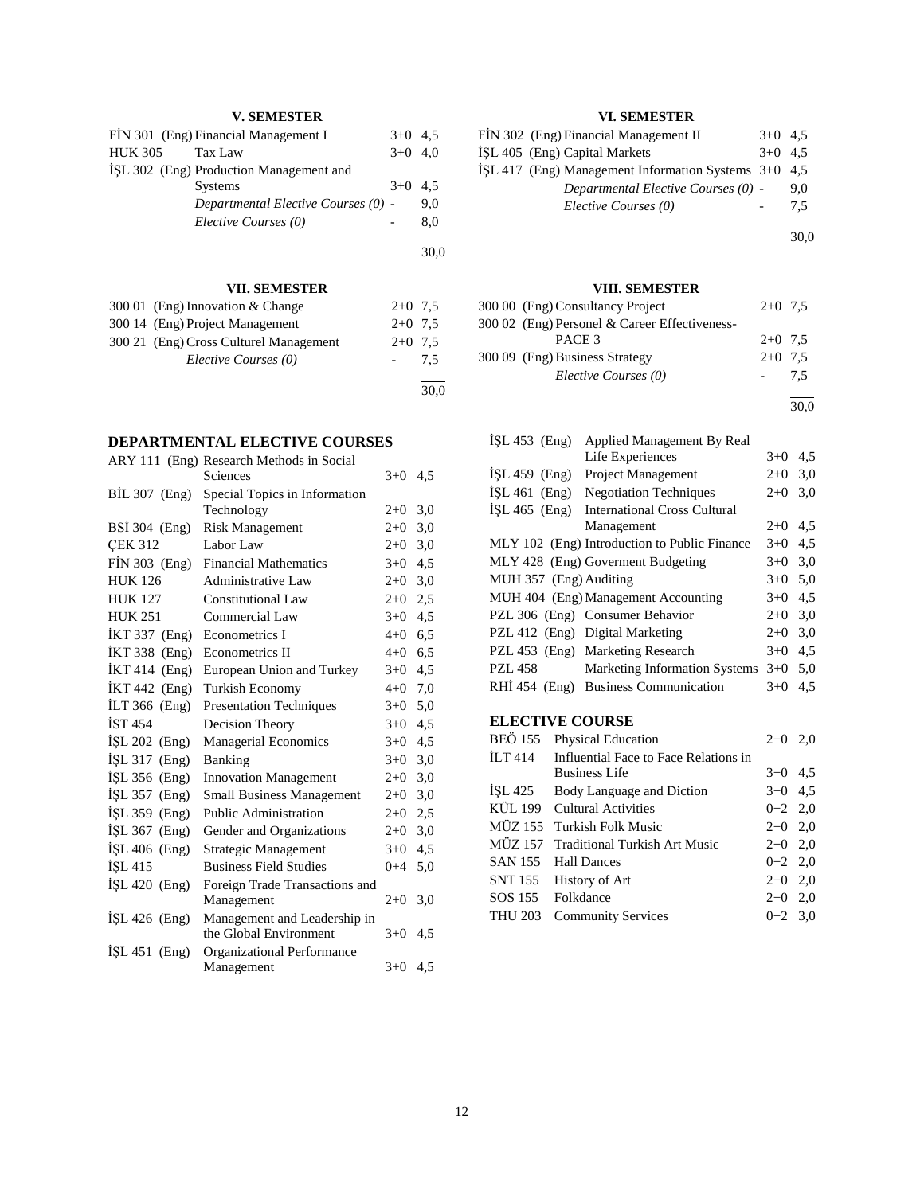### **V. SEMESTER**

|         | FIN 301 (Eng) Financial Management I    | $3+0$ 4.5 |     |
|---------|-----------------------------------------|-----------|-----|
| HUK 305 | Tax Law                                 | $3+0$ 4.0 |     |
|         | ISL 302 (Eng) Production Management and |           |     |
|         | <b>Systems</b>                          | $3+0$ 4.5 |     |
|         | Departmental Elective Courses (0) -     |           | 9.0 |
|         | Elective Courses (0)                    |           | 8.0 |
|         |                                         |           |     |

**VII. SEMESTER**

| 300 01 (Eng) Innovation & Change       | $2+0$ 7.5 |     |
|----------------------------------------|-----------|-----|
| 300 14 (Eng) Project Management        | $2+0$ 7.5 |     |
| 300 21 (Eng) Cross Culturel Management | $2+0$ 7.5 |     |
| Elective Courses (0)                   |           | 7.5 |
|                                        |           |     |

30,0

30,0

### **DEPARTMENTAL ELECTIVE COURSES**

|                 | ARY 111 (Eng) Research Methods in Social |           |     |
|-----------------|------------------------------------------|-----------|-----|
|                 | Sciences                                 | $3+0$ 4.5 |     |
| $BIL 307$ (Eng) | Special Topics in Information            |           |     |
|                 | Technology                               | $2+0$     | 3,0 |
| BSI 304 (Eng)   | <b>Risk Management</b>                   | $2 + 0$   | 3,0 |
| <b>CEK 312</b>  | Labor Law                                | $2 + 0$   | 3,0 |
| FİN 303 (Eng)   | <b>Financial Mathematics</b>             | $3+0$     | 4,5 |
| <b>HUK 126</b>  | <b>Administrative Law</b>                | $2+0$     | 3,0 |
| <b>HUK 127</b>  | Constitutional Law                       | $2+0$     | 2,5 |
| <b>HUK 251</b>  | Commercial Law                           | $3+0$     | 4,5 |
| $IKT 337$ (Eng) | Econometrics I                           | $4+0$ 6.5 |     |
| İKT 338 (Eng)   | Econometrics II                          | $4 + 0$   | 6,5 |
| $IKT 414$ (Eng) | European Union and Turkey                | $3+0$ 4.5 |     |
| İKT 442 (Eng)   | Turkish Economy                          | $4 + 0$   | 7,0 |
| $ILT 366$ (Eng) | <b>Presentation Techniques</b>           | $3+0$     | 5,0 |
| <b>IST 454</b>  | Decision Theory                          | $3+0$     | 4,5 |
| ISL $202$ (Eng) | <b>Managerial Economics</b>              | $3+0$     | 4,5 |
| İŞL 317 (Eng)   | Banking                                  | $3+0$     | 3,0 |
| İŞL 356 (Eng)   | <b>Innovation Management</b>             | $2+0$     | 3,0 |
| $ISL$ 357 (Eng) | <b>Small Business Management</b>         | $2+0$     | 3,0 |
| İŞL 359 (Eng)   | Public Administration                    | $2 + 0$   | 2,5 |
| ISL $367$ (Eng) | Gender and Organizations                 | $2+0$     | 3,0 |
| $ISL 406$ (Eng) | Strategic Management                     | $3+0$     | 4,5 |
| ISL 415         | <b>Business Field Studies</b>            | $0 + 4$   | 5,0 |
| İŞL 420 (Eng)   | Foreign Trade Transactions and           |           |     |
|                 | Management                               | $2+0$     | 3,0 |
| ISL $426$ (Eng) | Management and Leadership in             |           |     |
|                 | the Global Environment                   | $3+0$     | 4,5 |
| $ISL 451$ (Eng) | Organizational Performance               |           |     |
|                 | Management                               | $3+0$ 4.5 |     |

### **VI. SEMESTER**

| FIN 302 (Eng) Financial Management II                | $3+0$ 4.5 |     |
|------------------------------------------------------|-----------|-----|
| ISL 405 (Eng) Capital Markets                        | $3+0$ 4.5 |     |
| İSL 417 (Eng) Management Information Systems 3+0 4,5 |           |     |
| Departmental Elective Courses (0) -                  |           | 9.0 |
| Elective Courses (0)                                 |           | 7.5 |
|                                                      |           |     |

30,0

### **VIII. SEMESTER**

| 300 00 (Eng) Consultancy Project              | $2+0$ 7.5 |     |
|-----------------------------------------------|-----------|-----|
| 300 02 (Eng) Personel & Career Effectiveness- |           |     |
| PACE <sub>3</sub>                             | $2+0$ 7.5 |     |
| 300 09 (Eng) Business Strategy                | $2+0$ 7.5 |     |
| Elective Courses (0)                          |           | 7,5 |

l 30,0

| $ISL 453$ (Eng)        | <b>Applied Management By Real</b>            |           |     |
|------------------------|----------------------------------------------|-----------|-----|
|                        | Life Experiences                             | $3+0$     | 4,5 |
| $ISL 459$ (Eng)        | Project Management                           | $2+0$ 3,0 |     |
| $ISL 461$ (Eng)        | <b>Negotiation Techniques</b>                | $2+0$     | 3,0 |
| ISL $465$ (Eng)        | <b>International Cross Cultural</b>          |           |     |
|                        | Management                                   | $2+0$     | 4.5 |
|                        | MLY 102 (Eng) Introduction to Public Finance | $3+0$ 4.5 |     |
|                        | MLY 428 (Eng) Goverment Budgeting            | $3+0$     | 3,0 |
| MUH 357 (Eng) Auditing |                                              | $3+0$ 5.0 |     |
|                        | MUH 404 (Eng) Management Accounting          | $3+0$     | 4,5 |
|                        | PZL 306 (Eng) Consumer Behavior              | $2+0$ 3,0 |     |
|                        | PZL 412 (Eng) Digital Marketing              | $2+0$     | 3,0 |
|                        | PZL 453 (Eng) Marketing Research             | $3+0$     | 4,5 |
| <b>PZL 458</b>         | <b>Marketing Information Systems</b>         | $3+0$ 5.0 |     |
|                        | RHI 454 (Eng) Business Communication         | $3+0$     | 4.5 |
|                        |                                              |           |     |

# **ELECTIVE COURSE**

|         | BEÖ 155 Physical Education            | $2+0$     | 2,0 |
|---------|---------------------------------------|-----------|-----|
| ILT 414 | Influential Face to Face Relations in |           |     |
|         | <b>Business Life</b>                  | $3+0$ 4.5 |     |
|         | ISL 425 Body Language and Diction     | $3+0$ 4.5 |     |
|         | KÜL 199 Cultural Activities           | $0+2$ 2,0 |     |
|         | MÜZ 155 Turkish Folk Music            | $2+0$ 2,0 |     |
|         | MÜZ 157 Traditional Turkish Art Music | $2+0$ 2,0 |     |
|         | SAN 155 Hall Dances                   | $0+2$ 2,0 |     |
|         | SNT 155 History of Art                | $2+0$ 2,0 |     |
|         | SOS 155 Folkdance                     | $2+0$ 2,0 |     |
|         | THU 203 Community Services            | $0+2$ 3.0 |     |
|         |                                       |           |     |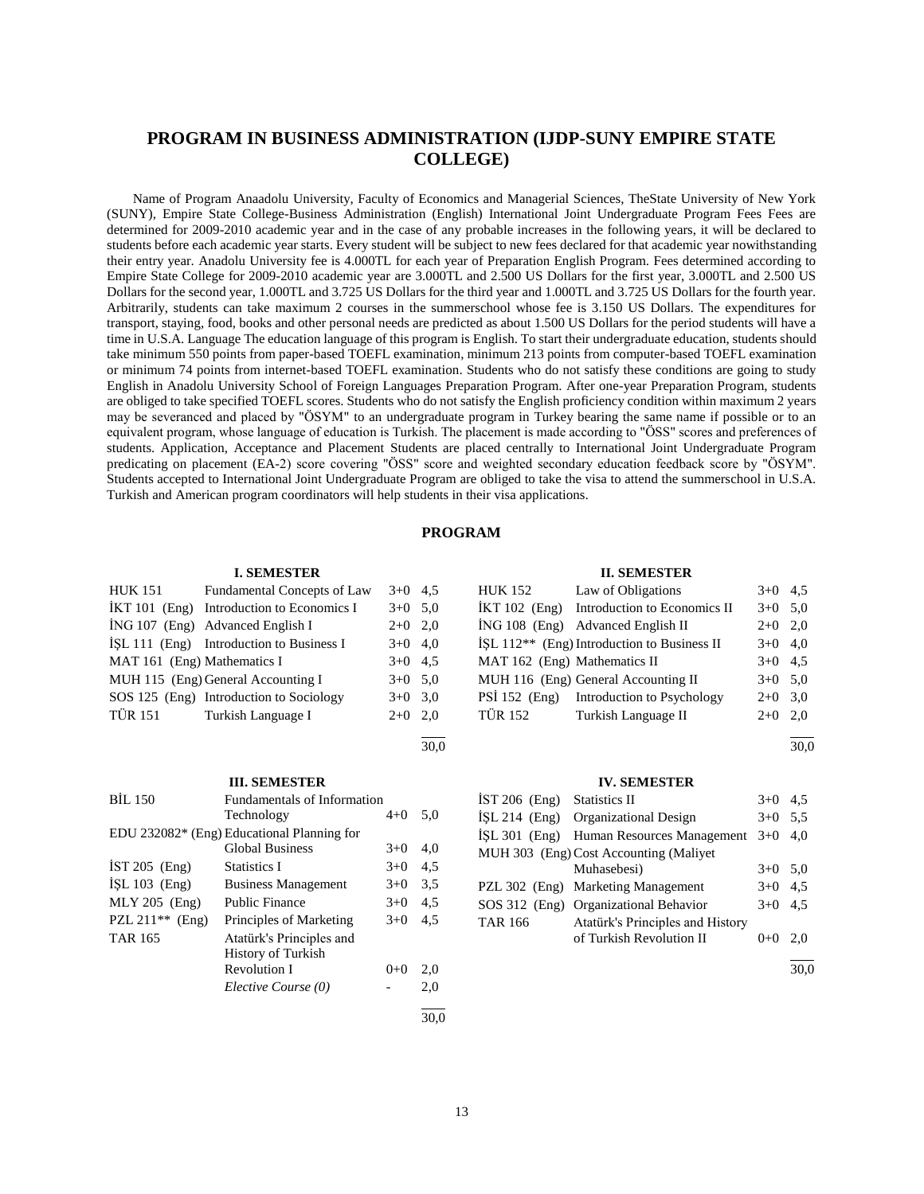## **PROGRAM IN BUSINESS ADMINISTRATION (IJDP-SUNY EMPIRE STATE COLLEGE)**

 Name of Program Anaadolu University, Faculty of Economics and Managerial Sciences, TheState University of New York (SUNY), Empire State College-Business Administration (English) International Joint Undergraduate Program Fees Fees are determined for 2009-2010 academic year and in the case of any probable increases in the following years, it will be declared to students before each academic year starts. Every student will be subject to new fees declared for that academic year nowithstanding their entry year. Anadolu University fee is 4.000TL for each year of Preparation English Program. Fees determined according to Empire State College for 2009-2010 academic year are 3.000TL and 2.500 US Dollars for the first year, 3.000TL and 2.500 US Dollars for the second year, 1.000TL and 3.725 US Dollars for the third year and 1.000TL and 3.725 US Dollars for the fourth year. Arbitrarily, students can take maximum 2 courses in the summerschool whose fee is 3.150 US Dollars. The expenditures for transport, staying, food, books and other personal needs are predicted as about 1.500 US Dollars for the period students will have a time in U.S.A. Language The education language of this program is English. To start their undergraduate education, students should take minimum 550 points from paper-based TOEFL examination, minimum 213 points from computer-based TOEFL examination or minimum 74 points from internet-based TOEFL examination. Students who do not satisfy these conditions are going to study English in Anadolu University School of Foreign Languages Preparation Program. After one-year Preparation Program, students are obliged to take specified TOEFL scores. Students who do not satisfy the English proficiency condition within maximum 2 years may be severanced and placed by "ÖSYM" to an undergraduate program in Turkey bearing the same name if possible or to an equivalent program, whose language of education is Turkish. The placement is made according to "ÖSS" scores and preferences of students. Application, Acceptance and Placement Students are placed centrally to International Joint Undergraduate Program predicating on placement (EA-2) score covering "ÖSS" score and weighted secondary education feedback score by "ÖSYM". Students accepted to International Joint Undergraduate Program are obliged to take the visa to attend the summerschool in U.S.A. Turkish and American program coordinators will help students in their visa applications.

#### **PROGRAM**

#### **I. SEMESTER**

| <b>HUK 151</b>              | Fundamental Concepts of Law                | $3+0$ 4.5 |  |
|-----------------------------|--------------------------------------------|-----------|--|
|                             | İKT 101 (Eng) Introduction to Economics I  | $3+0$ 5.0 |  |
|                             | İNG 107 (Eng) Advanced English I           | $2+0$ 2,0 |  |
|                             | $ISL 111$ (Eng) Introduction to Business I | $3+0$ 4.0 |  |
| MAT 161 (Eng) Mathematics I |                                            | $3+0$ 4.5 |  |
|                             | MUH 115 (Eng) General Accounting I         | $3+0$ 5.0 |  |
|                             | SOS 125 (Eng) Introduction to Sociology    | $3+0$ 3.0 |  |
|                             | TÜR 151 Turkish Language I                 | $2+0$ 2.0 |  |
|                             |                                            |           |  |

### 30,0

### **III. SEMESTER**

| <b>BIL 150</b>    | <b>Fundamentals of Information</b>         |       |      |
|-------------------|--------------------------------------------|-------|------|
|                   | Technology                                 | $4+0$ | 5,0  |
|                   | EDU 232082* (Eng) Educational Planning for |       |      |
|                   | <b>Global Business</b>                     | $3+0$ | 4,0  |
| $IST 205$ (Eng)   | <b>Statistics I</b>                        | $3+0$ | 4,5  |
| $ISL 103$ (Eng)   | <b>Business Management</b>                 | $3+0$ | 3.5  |
| $MLY 205$ (Eng)   | <b>Public Finance</b>                      | $3+0$ | 4,5  |
| PZL $211**$ (Eng) | Principles of Marketing                    | $3+0$ | 4,5  |
| <b>TAR 165</b>    | Atatürk's Principles and                   |       |      |
|                   | <b>History of Turkish</b>                  |       |      |
|                   | Revolution I                               | $0+0$ | 2,0  |
|                   | Elective Course (0)                        |       | 2,0  |
|                   |                                            |       | 30.0 |

#### **II. SEMESTER**

| HUK 152                      | Law of Obligations                                      | $3+0$ 4.5 |     |
|------------------------------|---------------------------------------------------------|-----------|-----|
|                              | İKT 102 (Eng) Introduction to Economics II              | $3+0$ 5.0 |     |
|                              | ING 108 (Eng) Advanced English II                       | $2+0$ 2,0 |     |
|                              | İŞL 112 <sup>**</sup> (Eng) Introduction to Business II | $3+0$ 4.0 |     |
| MAT 162 (Eng) Mathematics II |                                                         | $3+0$ 4.5 |     |
|                              | MUH 116 (Eng) General Accounting II                     | $3+0$ 5.0 |     |
|                              | PSİ 152 (Eng) Introduction to Psychology                | $2+0$     | 3,0 |
| <b>TÜR 152</b>               | Turkish Language II                                     | $2+0$     | 2.0 |

l 30,0

#### **IV. SEMESTER**

| $IST 206$ (Eng) | <b>Statistics II</b>                     | $3+0$ 4.5 |     |
|-----------------|------------------------------------------|-----------|-----|
|                 | İSL 214 (Eng) Organizational Design      | $3+0$     | 5.5 |
|                 | İŞL 301 (Eng) Human Resources Management | $3+0$     | 4.0 |
|                 | MUH 303 (Eng) Cost Accounting (Maliyet   |           |     |
|                 | Muhasebesi)                              | $3+0$ 5.0 |     |
|                 | PZL 302 (Eng) Marketing Management       | $3+0$ 4,5 |     |
|                 | SOS 312 (Eng) Organizational Behavior    | $3+0$ 4.5 |     |
| <b>TAR 166</b>  | Atatürk's Principles and History         |           |     |
|                 | of Turkish Revolution II                 | $0+0$     | 2.0 |
|                 |                                          |           |     |

 $\frac{1}{30.0}$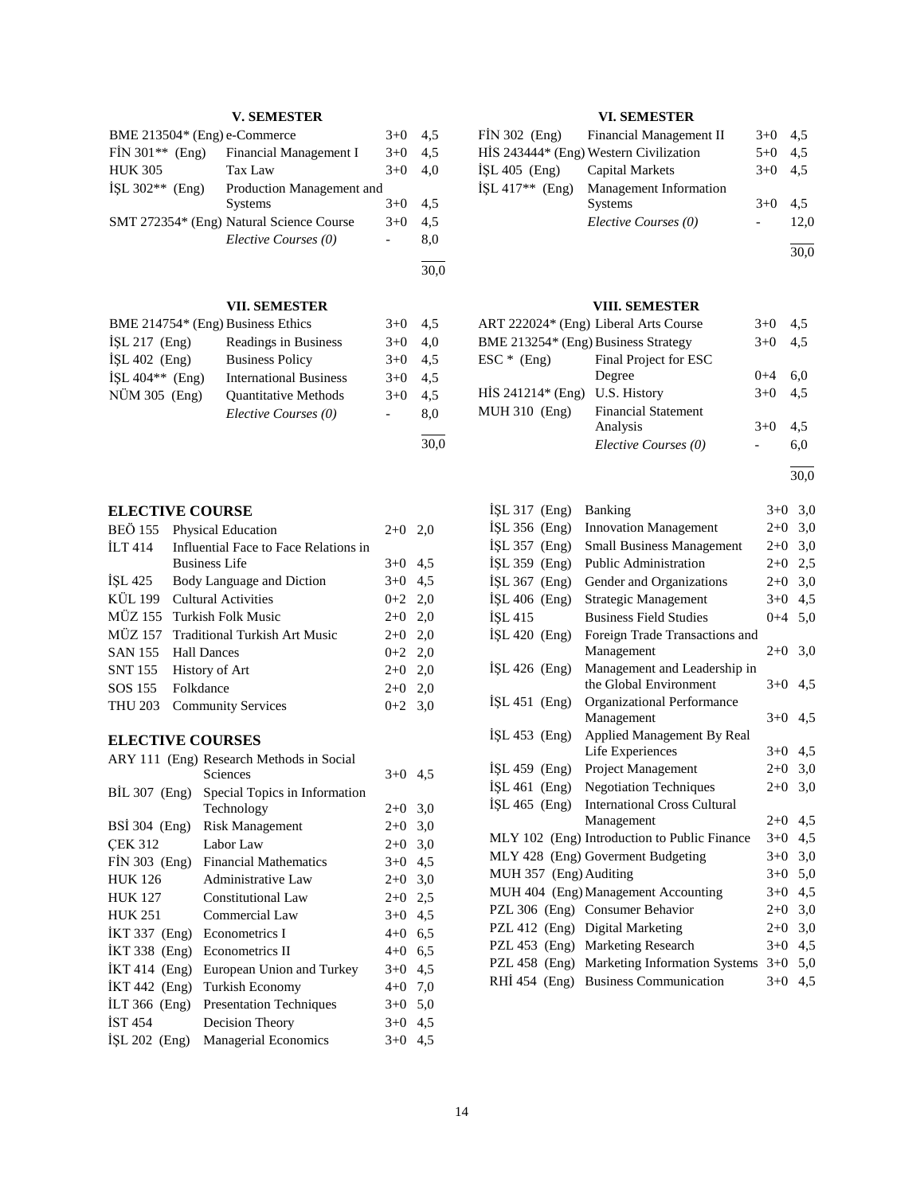## **V. SEMESTER**

| BME 213504* (Eng) e-Commerce |                                          |       | 4.5 |
|------------------------------|------------------------------------------|-------|-----|
| $FIN 301** (Eng)$            | Financial Management I                   | $3+0$ | 4.5 |
| <b>HUK 305</b>               | Tax Law                                  | $3+0$ | 4.0 |
| ISL $302**$ (Eng)            | Production Management and                |       |     |
|                              | <b>Systems</b>                           | $3+0$ | 4.5 |
|                              | SMT 272354* (Eng) Natural Science Course | $3+0$ | 4.5 |
|                              | Elective Courses (0)                     |       | 8.0 |

30,0

l

### **VII. SEMESTER**

| BME 214754* (Eng) Business Ethics |                               | $3+0$  | 4.5 |
|-----------------------------------|-------------------------------|--------|-----|
| $ISL 217$ (Eng)                   | Readings in Business          | $3+0$  | 4.0 |
| $ISL 402$ (Eng)                   | <b>Business Policy</b>        | $3+0$  | 4.5 |
| ISL $404**$ (Eng)                 | <b>International Business</b> | $3+0$  | 4.5 |
| NÜM 305 (Eng)                     | <b>Ouantitative Methods</b>   | $3+0$  | 4.5 |
|                                   | Elective Courses (0)          | $\sim$ | 8.0 |
|                                   |                               |        |     |

30,0

### **ELECTIVE COURSE**

| BEÖ 155 | Physical Education                    | $2+0$ 2,0 |  |
|---------|---------------------------------------|-----------|--|
| ILT 414 | Influential Face to Face Relations in |           |  |
|         | <b>Business Life</b>                  | $3+0$ 4.5 |  |
|         | ISL 425 Body Language and Diction     | $3+0$ 4.5 |  |
|         | KÜL 199 Cultural Activities           | $0+2$ 2,0 |  |
|         | MÜZ 155 Turkish Folk Music            | $2+0$ 2,0 |  |
|         | MÜZ 157 Traditional Turkish Art Music | $2+0$ 2,0 |  |
|         | SAN 155 Hall Dances                   | $0+2$ 2,0 |  |
|         | SNT 155 History of Art                | $2+0$ 2,0 |  |
|         | SOS 155 Folkdance                     | $2+0$ 2,0 |  |
|         | THU 203 Community Services            | $0+2$ 3.0 |  |
|         |                                       |           |  |

### **ELECTIVE COURSES**

|                      | ARY 111 (Eng) Research Methods in Social |         |     |
|----------------------|------------------------------------------|---------|-----|
|                      | Sciences                                 | $3+0$   | 4,5 |
| $BIL 307$ (Eng)      | Special Topics in Information            |         |     |
|                      | Technology                               | $2+0$   | 3,0 |
| <b>BSI</b> 304 (Eng) | <b>Risk Management</b>                   | $2+0$   | 3,0 |
| <b>CEK 312</b>       | Labor Law                                | $2+0$   | 3,0 |
| $FIN 303$ (Eng)      | <b>Financial Mathematics</b>             | $3+0$   | 4,5 |
| <b>HUK 126</b>       | Administrative Law                       | $2+0$   | 3,0 |
| <b>HUK 127</b>       | <b>Constitutional Law</b>                | $2+0$   | 2,5 |
| <b>HUK 251</b>       | Commercial Law                           | $3+0$   | 4,5 |
| <b>IKT 337</b> (Eng) | Econometrics I                           | $4 + 0$ | 6,5 |
| $IKT$ 338 $(Eng)$    | Econometrics II                          | $4 + 0$ | 6,5 |
| $IKT 414$ (Eng)      | European Union and Turkey                | $3+0$   | 4,5 |
| İKT 442 (Eng)        | Turkish Economy                          | $4 + 0$ | 7,0 |
| ILT $366$ (Eng)      | <b>Presentation Techniques</b>           | $3+0$   | 5,0 |
| <b>IST 454</b>       | Decision Theory                          | $3+0$   | 4,5 |
| $ISL 202$ (Eng)      | <b>Managerial Economics</b>              | $3+0$   | 4,5 |
|                      |                                          |         |     |

### **VI. SEMESTER**

|                               | FIN 302 (Eng) Financial Management II              | $3+0$ 4.5 |      |
|-------------------------------|----------------------------------------------------|-----------|------|
|                               | HIS 243444* (Eng) Western Civilization             | $5 + 0$   | 4.5  |
| ISL 405 (Eng) Capital Markets |                                                    | $3+0$ 4.5 |      |
|                               | İSL 417 <sup>**</sup> (Eng) Management Information |           |      |
|                               | <b>Systems</b>                                     | $3+0$     | 4.5  |
|                               | Elective Courses (0)                               |           | 12.0 |
|                               |                                                    |           |      |

30,0

### **VIII. SEMESTER**

| ART 222024* (Eng) Liberal Arts Course |                            | $3+0$   | 4.5 |
|---------------------------------------|----------------------------|---------|-----|
| BME 213254* (Eng) Business Strategy   |                            | $3+0$   | 4.5 |
| $\text{ESC}$ * (Eng)                  | Final Project for ESC      |         |     |
|                                       | Degree                     | $0 + 4$ | 6.0 |
| $HIS 241214* (Eng)$                   | U.S. History               | $3+0$   | 4.5 |
| MUH 310 (Eng)                         | <b>Financial Statement</b> |         |     |
|                                       | Analysis                   | $3+0$   | 4.5 |
|                                       | Elective Courses (0)       |         | 6.0 |
|                                       |                            |         |     |

 $\overline{a}$ 30,0

| İŞL 317 (Eng)   | Banking                                                | $3 + 0$   | 3,0 |
|-----------------|--------------------------------------------------------|-----------|-----|
| İŞL 356 (Eng)   | <b>Innovation Management</b>                           | $2+0$     | 3,0 |
| İŞL 357 (Eng)   | <b>Small Business Management</b>                       | $2+0$     | 3,0 |
| İŞL 359 (Eng)   | <b>Public Administration</b>                           | $2+0$     | 2,5 |
| İŞL 367 (Eng)   | Gender and Organizations                               | $2+0$     | 3,0 |
| ISL $406$ (Eng) | Strategic Management                                   | $3+0$     | 4,5 |
| ISL 415         | <b>Business Field Studies</b>                          | $0 + 4$   | 5,0 |
| $ISL$ 420 (Eng) | Foreign Trade Transactions and<br>Management           | $2+0$     | 3,0 |
| İŞL 426 (Eng)   | Management and Leadership in<br>the Global Environment | $3+0$     | 4.5 |
| $ISL 451$ (Eng) | Organizational Performance<br>Management               | $3+0$ 4.5 |     |
| $ISL 453$ (Eng) | Applied Management By Real                             |           |     |
|                 | Life Experiences                                       | $3+0$     | 4,5 |
| ISL $459$ (Eng) | <b>Project Management</b>                              | $2+0$     | 3,0 |
| $ISL 461$ (Eng) | <b>Negotiation Techniques</b>                          | $2+0$     | 3,0 |
| $ISL 465$ (Eng) | <b>International Cross Cultural</b>                    |           |     |
|                 | Management                                             | $2+0$     | 4,5 |
|                 | MLY 102 (Eng) Introduction to Public Finance           | $3+0$     | 4,5 |
|                 | MLY 428 (Eng) Goverment Budgeting                      | $3+0$     | 3,0 |
|                 | MUH 357 (Eng) Auditing                                 | $3+0$     | 5,0 |
|                 | MUH 404 (Eng) Management Accounting                    | $3+0$     | 4,5 |
|                 | PZL 306 (Eng) Consumer Behavior                        | $2+0$     | 3,0 |
|                 | PZL 412 (Eng) Digital Marketing                        | $2+0$     | 3,0 |
|                 | PZL 453 (Eng) Marketing Research                       | $3+0$     | 4,5 |
|                 | PZL 458 (Eng) Marketing Information Systems            | $3+0$     | 5,0 |
| RHI 454 (Eng)   | <b>Business Communication</b>                          | $3+0$     | 4,5 |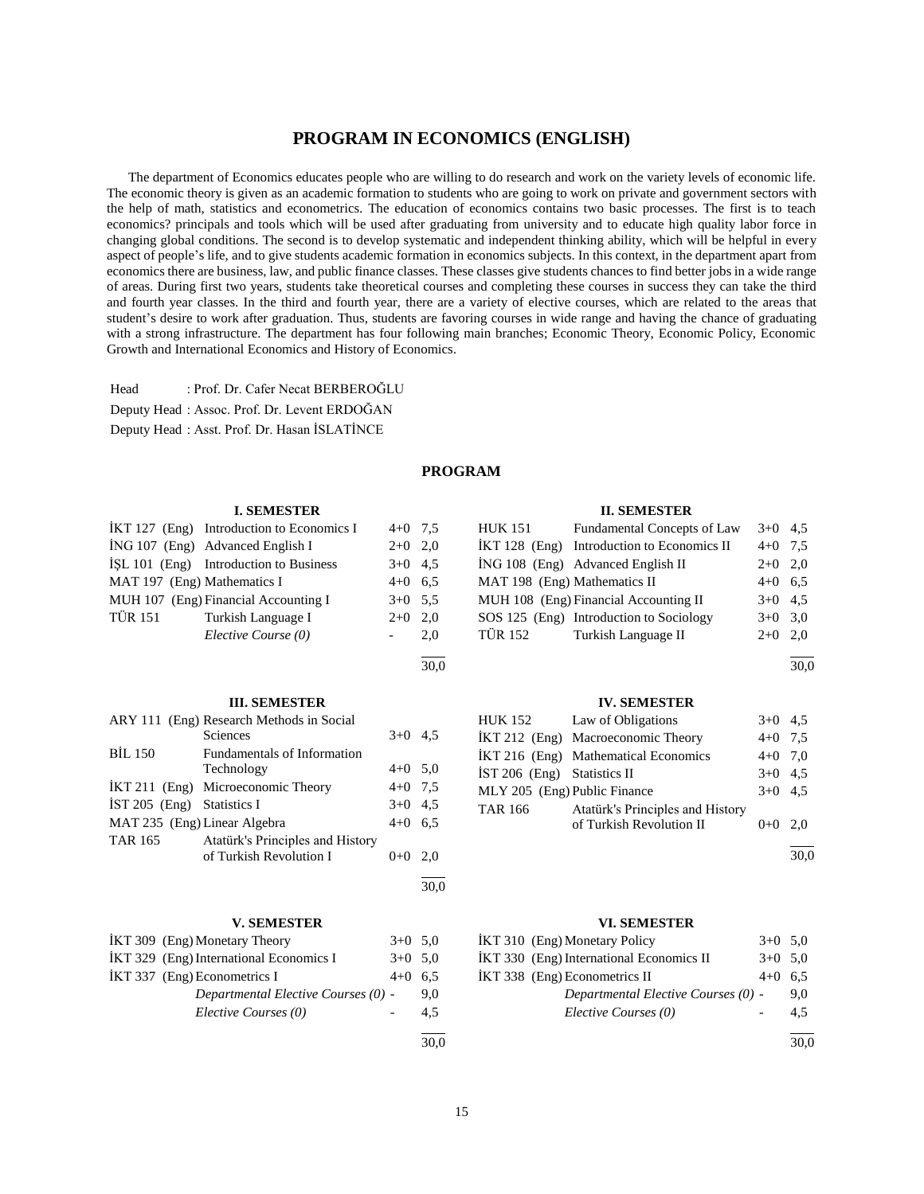### **PROGRAM IN ECONOMICS (ENGLISH)**

 The department of Economics educates people who are willing to do research and work on the variety levels of economic life. The economic theory is given as an academic formation to students who are going to work on private and government sectors with the help of math, statistics and econometrics. The education of economics contains two basic processes. The first is to teach economics? principals and tools which will be used after graduating from university and to educate high quality labor force in changing global conditions. The second is to develop systematic and independent thinking ability, which will be helpful in every aspect of people's life, and to give students academic formation in economics subjects. In this context, in the department apart from economics there are business, law, and public finance classes. These classes give students chances to find better jobs in a wide range of areas. During first two years, students take theoretical courses and completing these courses in success they can take the third and fourth year classes. In the third and fourth year, there are a variety of elective courses, which are related to the areas that student's desire to work after graduation. Thus, students are favoring courses in wide range and having the chance of graduating with a strong infrastructure. The department has four following main branches; Economic Theory, Economic Policy, Economic Growth and International Economics and History of Economics.

Head : Prof. Dr. Cafer Necat BERBEROĞLU Deputy Head : Assoc. Prof. Dr. Levent ERDOĞAN Deputy Head : Asst. Prof. Dr. Hasan İSLATİNCE

### **PROGRAM**

l  $\frac{1}{30.0}$ 

#### **I. SEMESTER**

|                             | $IKT 127$ (Eng) Introduction to Economics I | $4+0$ 7.5 |     |
|-----------------------------|---------------------------------------------|-----------|-----|
|                             | $ING 107$ (Eng) Advanced English I          | $2+0$ 2,0 |     |
|                             | ISL 101 (Eng) Introduction to Business      | $3+0$ 4.5 |     |
| MAT 197 (Eng) Mathematics I |                                             | $4+0$ 6.5 |     |
|                             | MUH 107 (Eng) Financial Accounting I        | $3+0$ 5.5 |     |
| <b>TÜR 151</b>              | Turkish Language I                          | $2+0$ 2,0 |     |
|                             | Elective Course (0)                         |           | 2.0 |
|                             |                                             |           |     |

#### **III. SEMESTER**

|                              | ARY 111 (Eng) Research Methods in Social |           |     |
|------------------------------|------------------------------------------|-----------|-----|
|                              | Sciences                                 | $3+0$ 4.5 |     |
| <b>BİL 150</b>               | Fundamentals of Information              |           |     |
|                              | Technology                               | $4+0$ 5.0 |     |
|                              | IKT 211 (Eng) Microeconomic Theory       | $4+0$ 7.5 |     |
| IST 205 (Eng) Statistics I   |                                          | $3+0$ 4.5 |     |
| MAT 235 (Eng) Linear Algebra |                                          | $4+0$     | 6.5 |
| <b>TAR 165</b>               | Atatürk's Principles and History         |           |     |
|                              | of Turkish Revolution I                  | $0+0$     | 2.0 |
|                              |                                          |           |     |

#### **V. SEMESTER**

| IKT 309 (Eng) Monetary Theory           | $3+0$ 5.0 |     |
|-----------------------------------------|-----------|-----|
| IKT 329 (Eng) International Economics I | $3+0$ 5.0 |     |
| IKT 337 (Eng) Econometrics I            | $4+0$     | 6.5 |
| Departmental Elective Courses (0) -     |           | 9.0 |
| Elective Courses (0)                    |           | 4.5 |
|                                         |           |     |

### $\frac{1}{30.0}$

 $\frac{1}{30.0}$ 

#### **II. SEMESTER**

| <b>HUK 151</b>               | Fundamental Concepts of Law                | $3+0$ 4.5 |       |
|------------------------------|--------------------------------------------|-----------|-------|
|                              | IKT 128 (Eng) Introduction to Economics II | $4 + 0$   | 7.5   |
|                              | ING 108 (Eng) Advanced English II          | $2+0$ 2.0 |       |
| MAT 198 (Eng) Mathematics II |                                            | $4+0$ 6.5 |       |
|                              | MUH 108 (Eng) Financial Accounting II      | $3+0$ 4.5 |       |
|                              | SOS 125 (Eng) Introduction to Sociology    | $3+0$ 3.0 |       |
| <b>TÜR 152</b>               | Turkish Language II                        | $2+0$     | - 2.0 |
|                              |                                            |           |       |

l  $\frac{1}{30.0}$ 

#### **IV. SEMESTER**

|                               | HUK 152 Law of Obligations           | $3+0$ 4.5 |  |
|-------------------------------|--------------------------------------|-----------|--|
|                               | IKT 212 (Eng) Macroeconomic Theory   | $4+0$ 7.5 |  |
|                               | İKT 216 (Eng) Mathematical Economics | $4+0$ 7.0 |  |
| $IST 206$ (Eng) Statistics II |                                      | $3+0$ 4.5 |  |
| MLY 205 (Eng) Public Finance  |                                      | $3+0$ 4.5 |  |
| TAR 166                       | Atatürk's Principles and History     |           |  |
|                               | of Turkish Revolution II             | $0+0$ 2.0 |  |
|                               |                                      |           |  |

30,0

### **VI. SEMESTER**

| IKT 310 (Eng) Monetary Policy            | $3+0$ 5.0 |     |
|------------------------------------------|-----------|-----|
| IKT 330 (Eng) International Economics II | $3+0$ 5.0 |     |
| IKT 338 (Eng) Econometrics II            | $4+0$     | 6.5 |
| Departmental Elective Courses (0) -      |           | 9.0 |
| Elective Courses (0)                     |           | 4.5 |
|                                          |           |     |

 $\frac{1}{30.0}$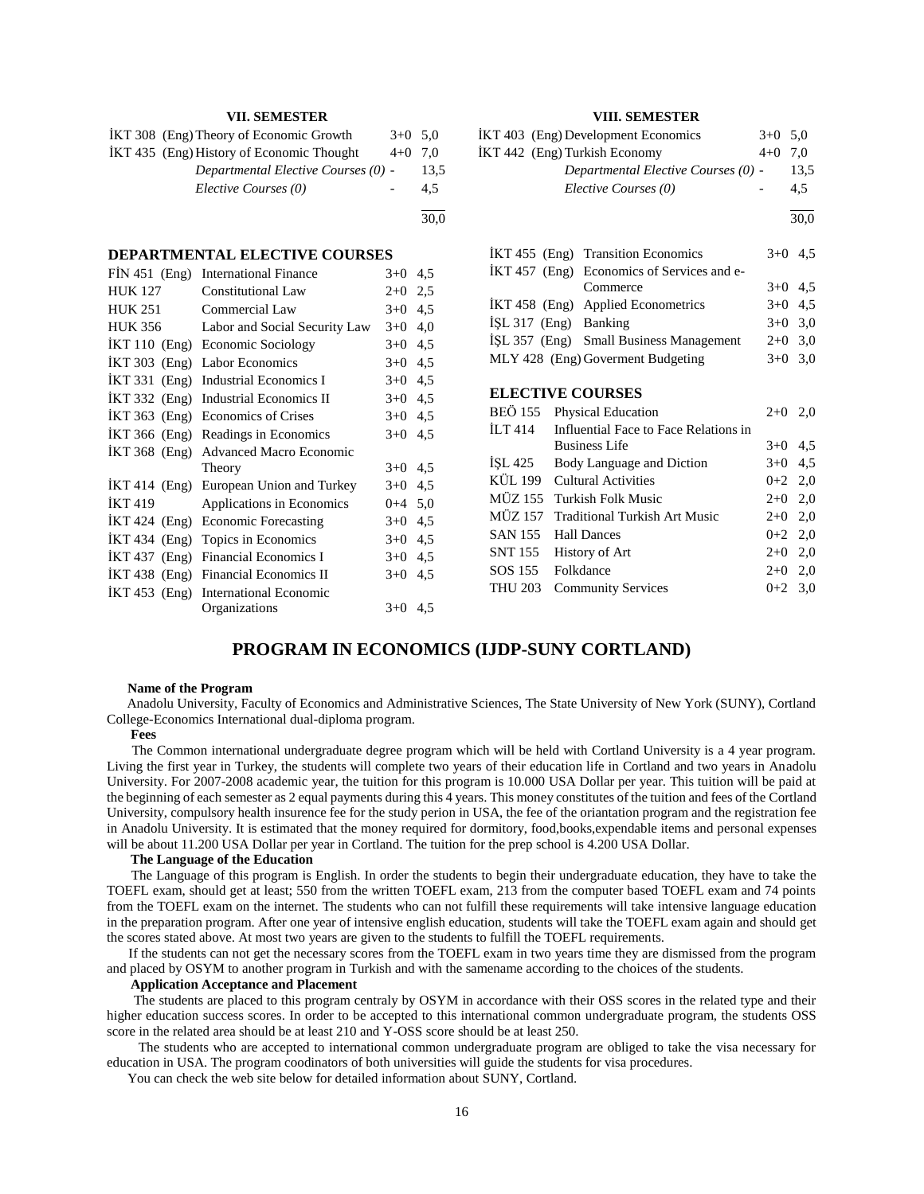### **VII. SEMESTER**

| IKT 308 (Eng) Theory of Economic Growth   | $3+0$ 5.0 |      |
|-------------------------------------------|-----------|------|
| İKT 435 (Eng) History of Economic Thought | $4+0$ 7.0 |      |
| Departmental Elective Courses (0) -       |           | 13.5 |
| Elective Courses (0)                      |           | 4.5  |
|                                           |           |      |

30,0

#### **DEPARTMENTAL ELECTIVE COURSES**

| $FIN 451$ (Eng) | <b>International Finance</b>   | $3+0$     | 4,5 |
|-----------------|--------------------------------|-----------|-----|
| <b>HUK 127</b>  | <b>Constitutional Law</b>      | $2+0$     | 2,5 |
| <b>HUK 251</b>  | Commercial Law                 | $3+0$     | 4,5 |
| <b>HUK 356</b>  | Labor and Social Security Law  | $3+0$     | 4,0 |
| $IKT110$ (Eng)  | <b>Economic Sociology</b>      | $3+0$     | 4,5 |
| $IKT 303$ (Eng) | Labor Economics                | $3+0$     | 4,5 |
| İKT 331 (Eng)   | <b>Industrial Economics I</b>  | $3+0$     | 4,5 |
| $IKT 332$ (Eng) | <b>Industrial Economics II</b> | $3+0$     | 4,5 |
| $IKT 363$ (Eng) | <b>Economics of Crises</b>     | $3+0$     | 4,5 |
| $IKT 366$ (Eng) | Readings in Economics          | $3+0$     | 4,5 |
| $IKT 368$ (Eng) | <b>Advanced Macro Economic</b> |           |     |
|                 | Theory                         | $3+0$     | 4,5 |
| $IKT 414$ (Eng) | European Union and Turkey      | $3+0$     | 4,5 |
| <b>IKT 419</b>  | Applications in Economics      | $0+4$ 5,0 |     |
| İKT 424 (Eng)   | <b>Economic Forecasting</b>    | $3+0$     | 4,5 |
| $IKT 434$ (Eng) | Topics in Economics            | $3+0$     | 4,5 |
| $IKT 437$ (Eng) | Financial Economics I          | $3+0$     | 4,5 |
| $IKT 438$ (Eng) | Financial Economics II         | $3+0$     | 4,5 |
| $IKT 453$ (Eng) | <b>International Economic</b>  |           |     |
|                 | Organizations                  | $3+0$     | 4.5 |

### **VIII. SEMESTER**

|                | İKT 403 (Eng) Development Economics<br>İKT 442 (Eng) Turkish Economy<br>Departmental Elective Courses (0) - | $3+0$<br>$4+0$ 7,0 | 5,0<br>13,5 |
|----------------|-------------------------------------------------------------------------------------------------------------|--------------------|-------------|
|                | Elective Courses (0)                                                                                        |                    | 4,5         |
|                |                                                                                                             |                    | 30,0        |
|                | IKT 455 (Eng) Transition Economics                                                                          |                    | $3+0$ 4.5   |
|                | IKT 457 (Eng) Economics of Services and e-                                                                  |                    |             |
|                | Commerce                                                                                                    |                    | $3+0$ 4,5   |
|                | İKT 458 (Eng) Applied Econometrics                                                                          |                    | $3+0$ 4.5   |
|                | $ISL 317$ (Eng) Banking                                                                                     |                    | $3+0$ 3,0   |
|                | İŞL 357 (Eng) Small Business Management                                                                     |                    | $2+0$ 3,0   |
|                | MLY 428 (Eng) Goverment Budgeting                                                                           | $3+0$              | 3,0         |
|                | <b>ELECTIVE COURSES</b>                                                                                     |                    |             |
| BEÖ 155        | Physical Education                                                                                          |                    | $2+0$ 2,0   |
| İLT 414        | Influential Face to Face Relations in                                                                       |                    |             |
|                | <b>Business Life</b>                                                                                        |                    | $3+0$ 4,5   |
| ISL 425        | Body Language and Diction                                                                                   |                    | $3+0$ 4,5   |
|                | KÜL 199 Cultural Activities                                                                                 |                    | $0+2$ 2,0   |
|                | MÜZ 155 Turkish Folk Music                                                                                  |                    | $2+0$ 2,0   |
| MÜZ 157        | <b>Traditional Turkish Art Music</b>                                                                        | $2+0$              | 2,0         |
| SAN 155        | <b>Hall Dances</b>                                                                                          |                    | $0+2$ 2,0   |
| SNT 155        | <b>History of Art</b>                                                                                       |                    | $2+0$ 2,0   |
| SOS 155        | Folkdance                                                                                                   |                    | $2+0$ 2,0   |
| <b>THU 203</b> | <b>Community Services</b>                                                                                   | $0+2$              | 3,0         |

### **PROGRAM IN ECONOMICS (IJDP-SUNY CORTLAND)**

#### **Name of the Program**

 Anadolu University, Faculty of Economics and Administrative Sciences, The State University of New York (SUNY), Cortland College-Economics International dual-diploma program.

#### **Fees**

 The Common international undergraduate degree program which will be held with Cortland University is a 4 year program. Living the first year in Turkey, the students will complete two years of their education life in Cortland and two years in Anadolu University. For 2007-2008 academic year, the tuition for this program is 10.000 USA Dollar per year. This tuition will be paid at the beginning of each semester as 2 equal payments during this 4 years. This money constitutes of the tuition and fees of the Cortland University, compulsory health insurence fee for the study perion in USA, the fee of the oriantation program and the registration fee in Anadolu University. It is estimated that the money required for dormitory, food,books,expendable items and personal expenses will be about 11.200 USA Dollar per year in Cortland. The tuition for the prep school is 4.200 USA Dollar.

#### **The Language of the Education**

 The Language of this program is English. In order the students to begin their undergraduate education, they have to take the TOEFL exam, should get at least; 550 from the written TOEFL exam, 213 from the computer based TOEFL exam and 74 points from the TOEFL exam on the internet. The students who can not fulfill these requirements will take intensive language education in the preparation program. After one year of intensive english education, students will take the TOEFL exam again and should get the scores stated above. At most two years are given to the students to fulfill the TOEFL requirements.

 If the students can not get the necessary scores from the TOEFL exam in two years time they are dismissed from the program and placed by OSYM to another program in Turkish and with the samename according to the choices of the students.

#### **Application Acceptance and Placement**

 The students are placed to this program centraly by OSYM in accordance with their OSS scores in the related type and their higher education success scores. In order to be accepted to this international common undergraduate program, the students OSS score in the related area should be at least 210 and Y-OSS score should be at least 250.

 The students who are accepted to international common undergraduate program are obliged to take the visa necessary for education in USA. The program coodinators of both universities will guide the students for visa procedures.

You can check the web site below for detailed information about SUNY, Cortland.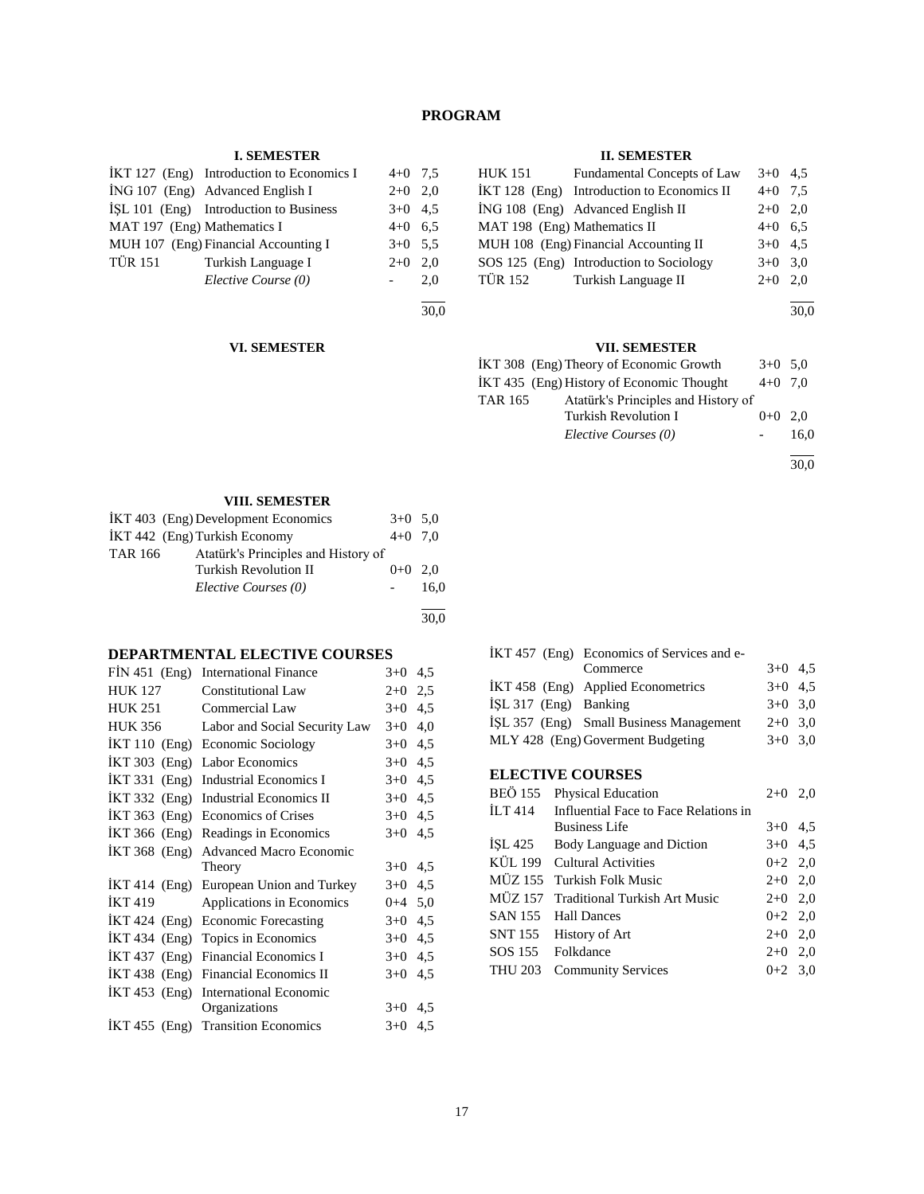### **PROGRAM**

### **I. SEMESTER**

|                             | IKT 127 (Eng) Introduction to Economics I | $4+0$ 7.5 |     |
|-----------------------------|-------------------------------------------|-----------|-----|
|                             | ING 107 (Eng) Advanced English I          | $2+0$ 2,0 |     |
|                             | ISL 101 (Eng) Introduction to Business    | $3+0$ 4.5 |     |
| MAT 197 (Eng) Mathematics I |                                           | $4+0$ 6.5 |     |
|                             | MUH 107 (Eng) Financial Accounting I      | $3+0$ 5.5 |     |
| <b>TÜR 151</b>              | Turkish Language I                        | $2+0$ 2,0 |     |
|                             | Elective Course (0)                       |           | 2.0 |
|                             |                                           |           |     |

l 30,0

### **II. SEMESTER**

| HUK 151                      | Fundamental Concepts of Law                | $3+0$ 4.5 |     |
|------------------------------|--------------------------------------------|-----------|-----|
|                              | IKT 128 (Eng) Introduction to Economics II | $4+0$ 7.5 |     |
|                              | ING 108 (Eng) Advanced English II          | $2+0$ 2.0 |     |
| MAT 198 (Eng) Mathematics II |                                            | $4+0$ 6.5 |     |
|                              | MUH 108 (Eng) Financial Accounting II      | $3+0$ 4.5 |     |
|                              | SOS 125 (Eng) Introduction to Sociology    | $3+0$ 3.0 |     |
| TÜR 152                      | Turkish Language II                        | $2+0$     | 2.0 |
|                              |                                            |           |     |

30,0

### **VII. SEMESTER**

| IKT 308 (Eng) Theory of Economic Growth               | $3+0$ 5.0 |      |
|-------------------------------------------------------|-----------|------|
| IKT 435 (Eng) History of Economic Thought             | $4+0$ 7.0 |      |
| Atatürk's Principles and History of<br><b>TAR 165</b> |           |      |
| Turkish Revolution I                                  | $0+0$ 2.0 |      |
| Elective Courses (0)                                  |           | 16.0 |
|                                                       |           |      |

30,0

### **VIII. SEMESTER**

**VI. SEMESTER**

| IKT 403 (Eng) Development Economics                   | $3+0$ 5.0 |      |
|-------------------------------------------------------|-----------|------|
| IKT 442 (Eng) Turkish Economy                         | $4+0$ 7.0 |      |
| Atatürk's Principles and History of<br><b>TAR 166</b> |           |      |
| <b>Turkish Revolution II</b>                          | $0+0$ 2.0 |      |
| Elective Courses (0)                                  |           | 16.0 |
|                                                       |           |      |

30,0

### **DEPARTMENTAL ELECTIVE COURSES**

| $FIN 451$ (Eng) | <b>International Finance</b>          | $3+0$   | 4,5 |
|-----------------|---------------------------------------|---------|-----|
| HUK 127         | <b>Constitutional Law</b>             | $2+0$   | 2,5 |
| <b>HUK 251</b>  | Commercial Law                        | $3+0$   | 4,5 |
| <b>HUK 356</b>  | Labor and Social Security Law         | $3+0$   | 4,0 |
| $IKT110$ (Eng)  | Economic Sociology                    | $3+0$   | 4,5 |
| $IKT 303$ (Eng) | Labor Economics                       | $3+0$   | 4,5 |
| $IKT 331$ (Eng) | <b>Industrial Economics I</b>         | $3+0$   | 4,5 |
| $IKT 332$ (Eng) | <b>Industrial Economics II</b>        | $3+0$   | 4,5 |
| $IKT 363$ (Eng) | <b>Economics of Crises</b>            | $3+0$   | 4,5 |
| $IKT 366$ (Eng) | Readings in Economics                 | $3+0$   | 4,5 |
|                 | IKT 368 (Eng) Advanced Macro Economic |         |     |
|                 | Theory                                | $3+0$   | 4,5 |
| $IKT 414$ (Eng) | European Union and Turkey             | $3+0$   | 4,5 |
| <b>IKT 419</b>  | Applications in Economics             | $0 + 4$ | 5,0 |
| $IKT 424$ (Eng) | <b>Economic Forecasting</b>           | $3+0$   | 4,5 |
|                 | IKT 434 (Eng) Topics in Economics     | $3+0$   | 4,5 |
| $IKT 437$ (Eng) | Financial Economics I                 | $3+0$   | 4,5 |
| $IKT 438$ (Eng) | Financial Economics II                | $3+0$   | 4,5 |
| $IKT 453$ (Eng) | <b>International Economic</b>         |         |     |
|                 | Organizations                         | $3+0$   | 4,5 |
|                 | IKT 455 (Eng) Transition Economics    | $3+0$   | 4,5 |
|                 |                                       |         |     |

|                       | IKT 457 (Eng) Economics of Services and e- |           |  |
|-----------------------|--------------------------------------------|-----------|--|
|                       | Commerce                                   | $3+0$ 4.5 |  |
|                       | IKT 458 (Eng) Applied Econometrics         | $3+0$ 4.5 |  |
| İŞL 317 (Eng) Banking |                                            | $3+0$ 3.0 |  |
|                       | ISL 357 (Eng) Small Business Management    | $2+0$ 3,0 |  |
|                       | MLY 428 (Eng) Goverment Budgeting          | $3+0$ 3.0 |  |
|                       |                                            |           |  |
|                       |                                            |           |  |

### **ELECTIVE COURSES**

| BEÖ 155 | <b>Physical Education</b>             | $2+0$ 2,0 |  |
|---------|---------------------------------------|-----------|--|
| ILT 414 | Influential Face to Face Relations in |           |  |
|         | <b>Business Life</b>                  | $3+0$ 4.5 |  |
|         | ISL 425 Body Language and Diction     | $3+0$ 4.5 |  |
|         | KÜL 199 Cultural Activities           | $0+2$ 2,0 |  |
|         | MÜZ 155 Turkish Folk Music            | $2+0$ 2,0 |  |
|         | MÜZ 157 Traditional Turkish Art Music | $2+0$ 2,0 |  |
|         | SAN 155 Hall Dances                   | $0+2$ 2,0 |  |
|         | SNT 155 History of Art                | $2+0$ 2,0 |  |
|         | SOS 155 Folkdance                     | $2+0$ 2,0 |  |
| THU 203 | <b>Community Services</b>             | $0+2$ 3.0 |  |
|         |                                       |           |  |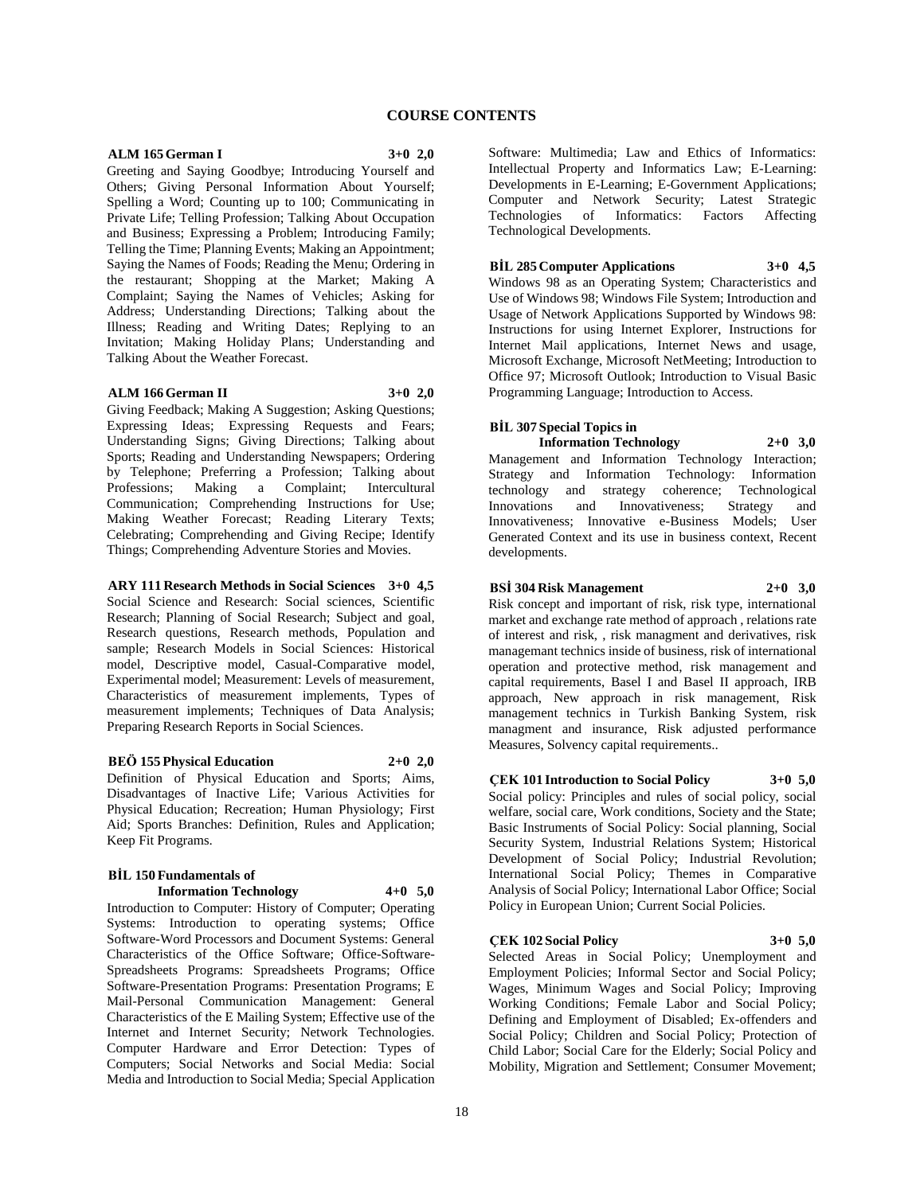### **COURSE CONTENTS**

#### **ALM 165 German I 3+0 2,0**

Greeting and Saying Goodbye; Introducing Yourself and Others; Giving Personal Information About Yourself; Spelling a Word; Counting up to 100; Communicating in Private Life; Telling Profession; Talking About Occupation and Business; Expressing a Problem; Introducing Family; Telling the Time; Planning Events; Making an Appointment; Saying the Names of Foods; Reading the Menu; Ordering in the restaurant; Shopping at the Market; Making A Complaint; Saying the Names of Vehicles; Asking for Address; Understanding Directions; Talking about the Illness; Reading and Writing Dates; Replying to an Invitation; Making Holiday Plans; Understanding and Talking About the Weather Forecast.

#### **ALM 166 German II 3+0 2,0**

Giving Feedback; Making A Suggestion; Asking Questions; Expressing Ideas; Expressing Requests and Fears; Understanding Signs; Giving Directions; Talking about Sports; Reading and Understanding Newspapers; Ordering by Telephone; Preferring a Profession; Talking about<br>Professions; Making a Complaint; Intercultural Complaint; Communication; Comprehending Instructions for Use; Making Weather Forecast; Reading Literary Texts; Celebrating; Comprehending and Giving Recipe; Identify Things; Comprehending Adventure Stories and Movies.

**ARY 111 Research Methods in Social Sciences 3+0 4,5** Social Science and Research: Social sciences, Scientific Research; Planning of Social Research; Subject and goal, Research questions, Research methods, Population and sample; Research Models in Social Sciences: Historical model, Descriptive model, Casual-Comparative model, Experimental model; Measurement: Levels of measurement, Characteristics of measurement implements, Types of measurement implements; Techniques of Data Analysis; Preparing Research Reports in Social Sciences.

#### **BEÖ 155 Physical Education 2+0 2,0**

Definition of Physical Education and Sports; Aims, Disadvantages of Inactive Life; Various Activities for Physical Education; Recreation; Human Physiology; First Aid; Sports Branches: Definition, Rules and Application; Keep Fit Programs.

#### **BİL 150 Fundamentals of Information Technology 4+0 5,0**

Introduction to Computer: History of Computer; Operating Systems: Introduction to operating systems; Office Software-Word Processors and Document Systems: General Characteristics of the Office Software; Office-Software-Spreadsheets Programs: Spreadsheets Programs; Office Software-Presentation Programs: Presentation Programs; E Mail-Personal Communication Management: General Characteristics of the E Mailing System; Effective use of the Internet and Internet Security; Network Technologies. Computer Hardware and Error Detection: Types of Computers; Social Networks and Social Media: Social Media and Introduction to Social Media; Special Application

Software: Multimedia; Law and Ethics of Informatics: Intellectual Property and Informatics Law; E-Learning: Developments in E-Learning; E-Government Applications; Computer and Network Security; Latest Strategic Technologies of Informatics: Factors Affecting Technological Developments.

#### **BİL 285 Computer Applications 3+0 4,5**

Windows 98 as an Operating System; Characteristics and Use of Windows 98; Windows File System; Introduction and Usage of Network Applications Supported by Windows 98: Instructions for using Internet Explorer, Instructions for Internet Mail applications, Internet News and usage, Microsoft Exchange, Microsoft NetMeeting; Introduction to Office 97; Microsoft Outlook; Introduction to Visual Basic Programming Language; Introduction to Access.

#### **BİL 307 Special Topics in**

**Information Technology 2+0 3,0** Management and Information Technology Interaction; Strategy and Information Technology: Information technology and strategy coherence; Technological<br>Innovations and Innovativeness; Strategy and Innovativeness; Strategy and Innovativeness; Innovative e-Business Models; User Generated Context and its use in business context, Recent developments.

### **BSİ 304 Risk Management 2+0 3,0**

Risk concept and important of risk, risk type, international market and exchange rate method of approach , relations rate of interest and risk, , risk managment and derivatives, risk managemant technics inside of business, risk of international operation and protective method, risk management and capital requirements, Basel I and Basel II approach, IRB approach, New approach in risk management, Risk management technics in Turkish Banking System, risk managment and insurance, Risk adjusted performance Measures, Solvency capital requirements..

### **ÇEK 101 Introduction to Social Policy 3+0 5,0**

Social policy: Principles and rules of social policy, social welfare, social care, Work conditions, Society and the State; Basic Instruments of Social Policy: Social planning, Social Security System, Industrial Relations System; Historical Development of Social Policy; Industrial Revolution; International Social Policy; Themes in Comparative Analysis of Social Policy; International Labor Office; Social Policy in European Union; Current Social Policies.

#### **ÇEK 102 Social Policy 3+0 5,0**

Selected Areas in Social Policy; Unemployment and Employment Policies; Informal Sector and Social Policy; Wages, Minimum Wages and Social Policy; Improving Working Conditions; Female Labor and Social Policy; Defining and Employment of Disabled; Ex-offenders and Social Policy; Children and Social Policy; Protection of Child Labor; Social Care for the Elderly; Social Policy and Mobility, Migration and Settlement; Consumer Movement;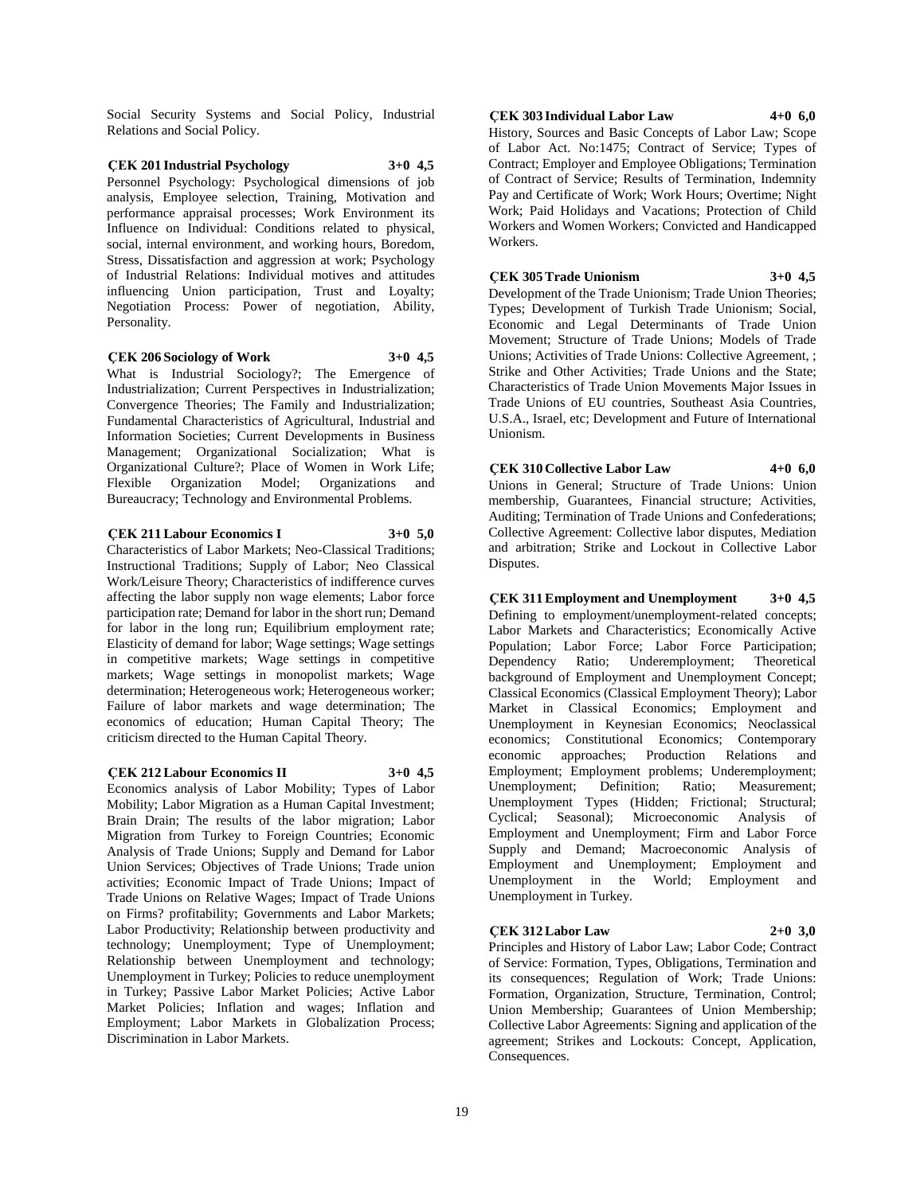Social Security Systems and Social Policy, Industrial Relations and Social Policy.

# **ÇEK 201 Industrial Psychology 3+0 4,5**

Personnel Psychology: Psychological dimensions of job analysis, Employee selection, Training, Motivation and performance appraisal processes; Work Environment its Influence on Individual: Conditions related to physical, social, internal environment, and working hours, Boredom, Stress, Dissatisfaction and aggression at work; Psychology of Industrial Relations: Individual motives and attitudes influencing Union participation, Trust and Loyalty; Negotiation Process: Power of negotiation, Ability, Personality.

#### **ÇEK 206 Sociology of Work 3+0 4,5**

What is Industrial Sociology?; The Emergence of Industrialization; Current Perspectives in Industrialization; Convergence Theories; The Family and Industrialization; Fundamental Characteristics of Agricultural, Industrial and Information Societies; Current Developments in Business Management; Organizational Socialization; What is Organizational Culture?; Place of Women in Work Life; Flexible Organization Model; Organizations and Bureaucracy; Technology and Environmental Problems.

#### **ÇEK 211 Labour Economics I 3+0 5,0**

Characteristics of Labor Markets; Neo-Classical Traditions; Instructional Traditions; Supply of Labor; Neo Classical Work/Leisure Theory; Characteristics of indifference curves affecting the labor supply non wage elements; Labor force participation rate; Demand for labor in the short run; Demand for labor in the long run; Equilibrium employment rate; Elasticity of demand for labor; Wage settings; Wage settings in competitive markets; Wage settings in competitive markets; Wage settings in monopolist markets; Wage determination; Heterogeneous work; Heterogeneous worker; Failure of labor markets and wage determination; The economics of education; Human Capital Theory; The criticism directed to the Human Capital Theory.

#### **ÇEK 212 Labour Economics II 3+0 4,5**

Economics analysis of Labor Mobility; Types of Labor Mobility; Labor Migration as a Human Capital Investment; Brain Drain; The results of the labor migration; Labor Migration from Turkey to Foreign Countries; Economic Analysis of Trade Unions; Supply and Demand for Labor Union Services; Objectives of Trade Unions; Trade union activities; Economic Impact of Trade Unions; Impact of Trade Unions on Relative Wages; Impact of Trade Unions on Firms? profitability; Governments and Labor Markets; Labor Productivity; Relationship between productivity and technology; Unemployment; Type of Unemployment; Relationship between Unemployment and technology; Unemployment in Turkey; Policies to reduce unemployment in Turkey; Passive Labor Market Policies; Active Labor Market Policies; Inflation and wages; Inflation and Employment; Labor Markets in Globalization Process; Discrimination in Labor Markets.

#### **ÇEK 303 Individual Labor Law 4+0 6,0**

History, Sources and Basic Concepts of Labor Law; Scope of Labor Act. No:1475; Contract of Service; Types of Contract; Employer and Employee Obligations; Termination of Contract of Service; Results of Termination, Indemnity Pay and Certificate of Work; Work Hours; Overtime; Night Work; Paid Holidays and Vacations; Protection of Child Workers and Women Workers; Convicted and Handicapped Workers.

#### **ÇEK 305 Trade Unionism 3+0 4,5**

Development of the Trade Unionism; Trade Union Theories; Types; Development of Turkish Trade Unionism; Social, Economic and Legal Determinants of Trade Union Movement; Structure of Trade Unions; Models of Trade Unions; Activities of Trade Unions: Collective Agreement, ; Strike and Other Activities; Trade Unions and the State; Characteristics of Trade Union Movements Major Issues in Trade Unions of EU countries, Southeast Asia Countries, U.S.A., Israel, etc; Development and Future of International Unionism.

**ÇEK 310 Collective Labor Law 4+0 6,0** Unions in General; Structure of Trade Unions: Union membership, Guarantees, Financial structure; Activities, Auditing; Termination of Trade Unions and Confederations; Collective Agreement: Collective labor disputes, Mediation and arbitration; Strike and Lockout in Collective Labor Disputes.

### **ÇEK 311 Employment and Unemployment 3+0 4,5**

Defining to employment/unemployment-related concepts; Labor Markets and Characteristics; Economically Active Population; Labor Force; Labor Force Participation; Dependency Ratio; Underemployment; Theoretical background of Employment and Unemployment Concept; Classical Economics (Classical Employment Theory); Labor Market in Classical Economics; Employment and Unemployment in Keynesian Economics; Neoclassical economics; Constitutional Economics; Contemporary economic approaches; Production Relations and Employment; Employment problems; Underemployment; Unemployment; Definition; Ratio; Measurement; Unemployment Types (Hidden; Frictional; Structural; Cyclical; Seasonal); Microeconomic Analysis of Employment and Unemployment; Firm and Labor Force Supply and Demand; Macroeconomic Analysis of Employment and Unemployment; Employment and Unemployment in the World; Employment and Unemployment in Turkey.

### **ÇEK 312 Labor Law 2+0 3,0**

Principles and History of Labor Law; Labor Code; Contract of Service: Formation, Types, Obligations, Termination and its consequences; Regulation of Work; Trade Unions: Formation, Organization, Structure, Termination, Control; Union Membership; Guarantees of Union Membership; Collective Labor Agreements: Signing and application of the agreement; Strikes and Lockouts: Concept, Application, Consequences.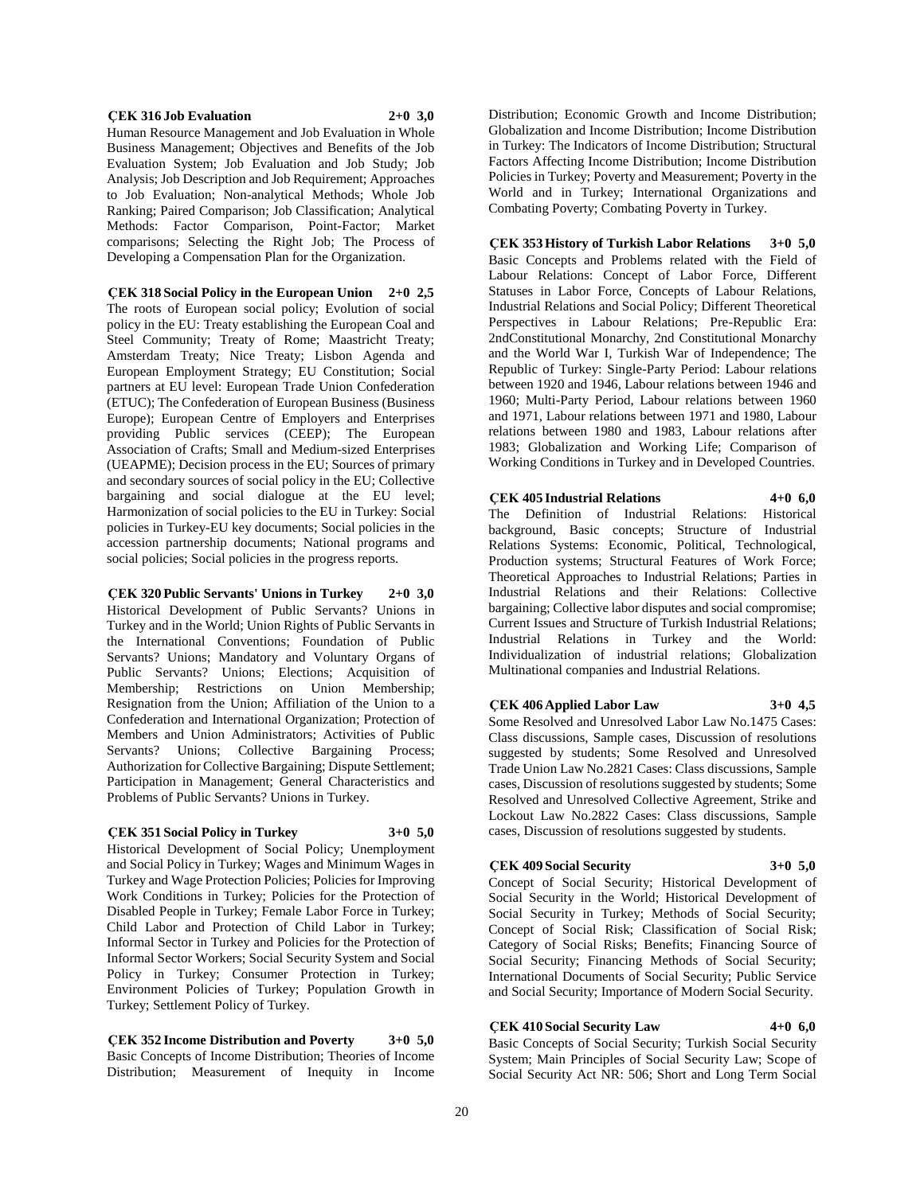#### **ÇEK 316 Job Evaluation 2+0 3,0**

Human Resource Management and Job Evaluation in Whole Business Management; Objectives and Benefits of the Job Evaluation System; Job Evaluation and Job Study; Job Analysis; Job Description and Job Requirement; Approaches to Job Evaluation; Non-analytical Methods; Whole Job Ranking; Paired Comparison; Job Classification; Analytical Methods: Factor Comparison, Point-Factor; Market comparisons; Selecting the Right Job; The Process of Developing a Compensation Plan for the Organization.

**ÇEK 318 Social Policy in the European Union 2+0 2,5** The roots of European social policy; Evolution of social policy in the EU: Treaty establishing the European Coal and Steel Community; Treaty of Rome; Maastricht Treaty; Amsterdam Treaty; Nice Treaty; Lisbon Agenda and European Employment Strategy; EU Constitution; Social partners at EU level: European Trade Union Confederation (ETUC); The Confederation of European Business (Business Europe); European Centre of Employers and Enterprises providing Public services (CEEP); The European Association of Crafts; Small and Medium-sized Enterprises (UEAPME); Decision process in the EU; Sources of primary and secondary sources of social policy in the EU; Collective bargaining and social dialogue at the EU level; Harmonization of social policies to the EU in Turkey: Social policies in Turkey-EU key documents; Social policies in the accession partnership documents; National programs and social policies; Social policies in the progress reports.

**ÇEK 320 Public Servants' Unions in Turkey 2+0 3,0** Historical Development of Public Servants? Unions in Turkey and in the World; Union Rights of Public Servants in the International Conventions; Foundation of Public Servants? Unions; Mandatory and Voluntary Organs of Public Servants? Unions; Elections; Acquisition of Membership; Restrictions on Union Membership; Resignation from the Union; Affiliation of the Union to a Confederation and International Organization; Protection of Members and Union Administrators; Activities of Public Servants? Unions; Collective Bargaining Process; Authorization for Collective Bargaining; Dispute Settlement; Participation in Management; General Characteristics and Problems of Public Servants? Unions in Turkey.

#### **ÇEK 351 Social Policy in Turkey 3+0 5,0**

Historical Development of Social Policy; Unemployment and Social Policy in Turkey; Wages and Minimum Wages in Turkey and Wage Protection Policies; Policies for Improving Work Conditions in Turkey; Policies for the Protection of Disabled People in Turkey; Female Labor Force in Turkey; Child Labor and Protection of Child Labor in Turkey; Informal Sector in Turkey and Policies for the Protection of Informal Sector Workers; Social Security System and Social Policy in Turkey; Consumer Protection in Turkey; Environment Policies of Turkey; Population Growth in Turkey; Settlement Policy of Turkey.

**ÇEK 352 Income Distribution and Poverty 3+0 5,0** Basic Concepts of Income Distribution; Theories of Income Distribution; Measurement of Inequity in Income

Distribution; Economic Growth and Income Distribution; Globalization and Income Distribution; Income Distribution in Turkey: The Indicators of Income Distribution; Structural Factors Affecting Income Distribution; Income Distribution Policies in Turkey; Poverty and Measurement; Poverty in the World and in Turkey; International Organizations and Combating Poverty; Combating Poverty in Turkey.

**ÇEK 353 History of Turkish Labor Relations 3+0 5,0** Basic Concepts and Problems related with the Field of Labour Relations: Concept of Labor Force, Different Statuses in Labor Force, Concepts of Labour Relations, Industrial Relations and Social Policy; Different Theoretical Perspectives in Labour Relations; Pre-Republic Era: 2ndConstitutional Monarchy, 2nd Constitutional Monarchy and the World War I, Turkish War of Independence; The Republic of Turkey: Single-Party Period: Labour relations between 1920 and 1946, Labour relations between 1946 and 1960; Multi-Party Period, Labour relations between 1960 and 1971, Labour relations between 1971 and 1980, Labour relations between 1980 and 1983, Labour relations after 1983; Globalization and Working Life; Comparison of Working Conditions in Turkey and in Developed Countries.

#### **ÇEK 405 Industrial Relations 4+0 6,0** The Definition of Industrial Relations: Historical background, Basic concepts; Structure of Industrial Relations Systems: Economic, Political, Technological, Production systems; Structural Features of Work Force; Theoretical Approaches to Industrial Relations; Parties in Industrial Relations and their Relations: Collective bargaining; Collective labor disputes and social compromise; Current Issues and Structure of Turkish Industrial Relations; Industrial Relations in Turkey and the World: Individualization of industrial relations; Globalization Multinational companies and Industrial Relations.

**ÇEK 406 Applied Labor Law 3+0 4,5** Some Resolved and Unresolved Labor Law No.1475 Cases: Class discussions, Sample cases, Discussion of resolutions suggested by students; Some Resolved and Unresolved Trade Union Law No.2821 Cases: Class discussions, Sample cases, Discussion of resolutions suggested by students; Some Resolved and Unresolved Collective Agreement, Strike and Lockout Law No.2822 Cases: Class discussions, Sample cases, Discussion of resolutions suggested by students.

#### **ÇEK 409 Social Security 3+0 5,0**

Concept of Social Security; Historical Development of Social Security in the World; Historical Development of Social Security in Turkey; Methods of Social Security; Concept of Social Risk; Classification of Social Risk; Category of Social Risks; Benefits; Financing Source of Social Security; Financing Methods of Social Security; International Documents of Social Security; Public Service and Social Security; Importance of Modern Social Security.

### **ÇEK 410 Social Security Law 4+0 6,0**

Basic Concepts of Social Security; Turkish Social Security System; Main Principles of Social Security Law; Scope of Social Security Act NR: 506; Short and Long Term Social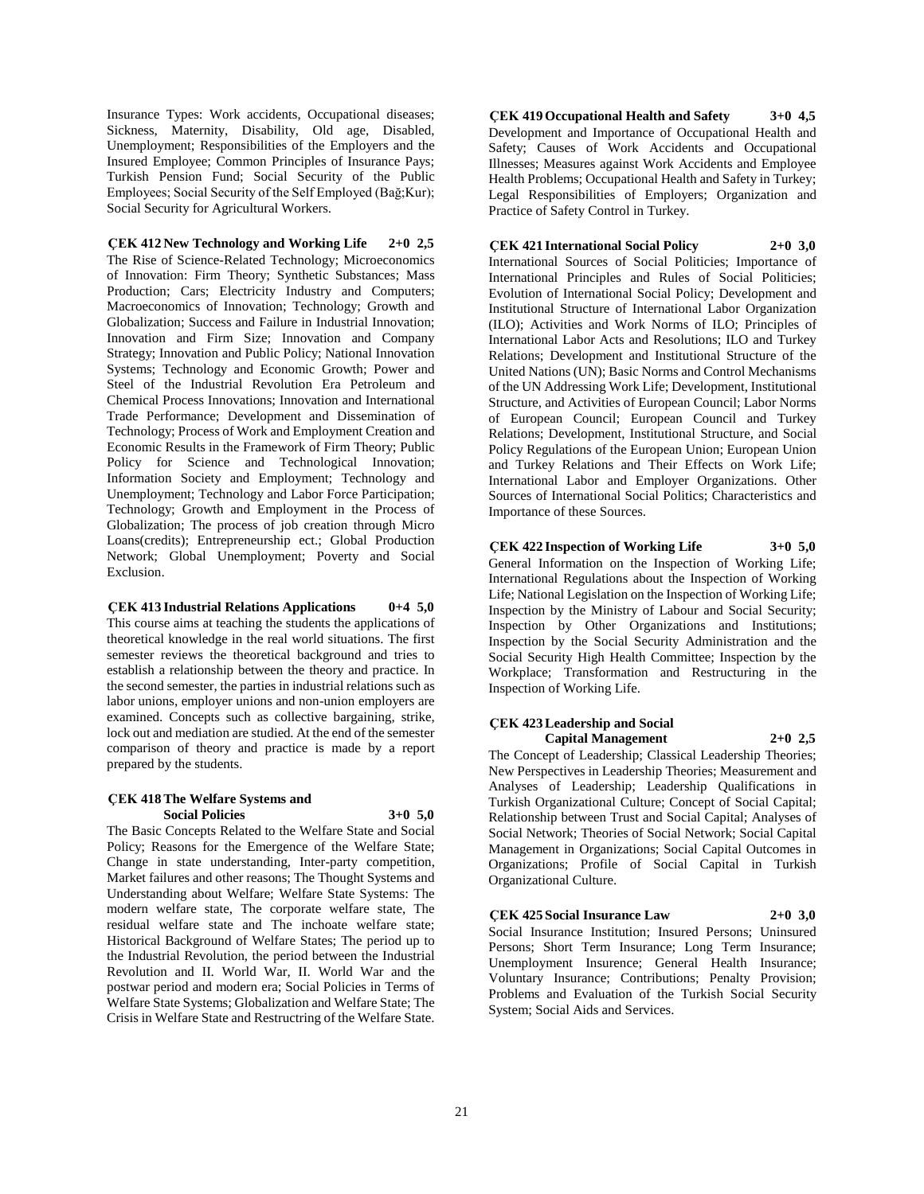Insurance Types: Work accidents, Occupational diseases; Sickness, Maternity, Disability, Old age, Disabled, Unemployment; Responsibilities of the Employers and the Insured Employee; Common Principles of Insurance Pays; Turkish Pension Fund; Social Security of the Public Employees; Social Security of the Self Employed (Bağ;Kur); Social Security for Agricultural Workers.

#### **ÇEK 412 New Technology and Working Life 2+0 2,5** The Rise of Science-Related Technology; Microeconomics

of Innovation: Firm Theory; Synthetic Substances; Mass Production; Cars; Electricity Industry and Computers; Macroeconomics of Innovation; Technology; Growth and Globalization; Success and Failure in Industrial Innovation; Innovation and Firm Size; Innovation and Company Strategy; Innovation and Public Policy; National Innovation Systems; Technology and Economic Growth; Power and Steel of the Industrial Revolution Era Petroleum and Chemical Process Innovations; Innovation and International Trade Performance; Development and Dissemination of Technology; Process of Work and Employment Creation and Economic Results in the Framework of Firm Theory; Public Policy for Science and Technological Innovation; Information Society and Employment; Technology and Unemployment; Technology and Labor Force Participation; Technology; Growth and Employment in the Process of Globalization; The process of job creation through Micro Loans(credits); Entrepreneurship ect.; Global Production Network; Global Unemployment; Poverty and Social Exclusion.

#### **ÇEK 413 Industrial Relations Applications 0+4 5,0**

This course aims at teaching the students the applications of theoretical knowledge in the real world situations. The first semester reviews the theoretical background and tries to establish a relationship between the theory and practice. In the second semester, the parties in industrial relations such as labor unions, employer unions and non-union employers are examined. Concepts such as collective bargaining, strike, lock out and mediation are studied. At the end of the semester comparison of theory and practice is made by a report prepared by the students.

#### **ÇEK 418 The Welfare Systems and Social Policies 3+0 5,0**

The Basic Concepts Related to the Welfare State and Social Policy; Reasons for the Emergence of the Welfare State; Change in state understanding, Inter-party competition, Market failures and other reasons; The Thought Systems and Understanding about Welfare; Welfare State Systems: The modern welfare state, The corporate welfare state, The residual welfare state and The inchoate welfare state; Historical Background of Welfare States; The period up to the Industrial Revolution, the period between the Industrial Revolution and II. World War, II. World War and the postwar period and modern era; Social Policies in Terms of Welfare State Systems; Globalization and Welfare State; The Crisis in Welfare State and Restructring of the Welfare State.

**ÇEK 419 Occupational Health and Safety 3+0 4,5** Development and Importance of Occupational Health and Safety; Causes of Work Accidents and Occupational Illnesses; Measures against Work Accidents and Employee Health Problems; Occupational Health and Safety in Turkey; Legal Responsibilities of Employers; Organization and Practice of Safety Control in Turkey.

### **ÇEK 421 International Social Policy 2+0 3,0**

International Sources of Social Politicies; Importance of International Principles and Rules of Social Politicies; Evolution of International Social Policy; Development and Institutional Structure of International Labor Organization (ILO); Activities and Work Norms of ILO; Principles of International Labor Acts and Resolutions; ILO and Turkey Relations; Development and Institutional Structure of the United Nations (UN); Basic Norms and Control Mechanisms of the UN Addressing Work Life; Development, Institutional Structure, and Activities of European Council; Labor Norms of European Council; European Council and Turkey Relations; Development, Institutional Structure, and Social Policy Regulations of the European Union; European Union and Turkey Relations and Their Effects on Work Life; International Labor and Employer Organizations. Other Sources of International Social Politics; Characteristics and Importance of these Sources.

### **ÇEK 422 Inspection of Working Life 3+0 5,0**

General Information on the Inspection of Working Life; International Regulations about the Inspection of Working Life; National Legislation on the Inspection of Working Life; Inspection by the Ministry of Labour and Social Security; Inspection by Other Organizations and Institutions; Inspection by the Social Security Administration and the Social Security High Health Committee; Inspection by the Workplace; Transformation and Restructuring in the Inspection of Working Life.

### **ÇEK 423 Leadership and Social Capital Management 2+0 2,5**

The Concept of Leadership; Classical Leadership Theories; New Perspectives in Leadership Theories; Measurement and Analyses of Leadership; Leadership Qualifications in Turkish Organizational Culture; Concept of Social Capital; Relationship between Trust and Social Capital; Analyses of Social Network; Theories of Social Network; Social Capital Management in Organizations; Social Capital Outcomes in Organizations; Profile of Social Capital in Turkish Organizational Culture.

**ÇEK 425 Social Insurance Law 2+0 3,0** Social Insurance Institution; Insured Persons; Uninsured Persons; Short Term Insurance; Long Term Insurance; Unemployment Insurence; General Health Insurance; Voluntary Insurance; Contributions; Penalty Provision; Problems and Evaluation of the Turkish Social Security System; Social Aids and Services.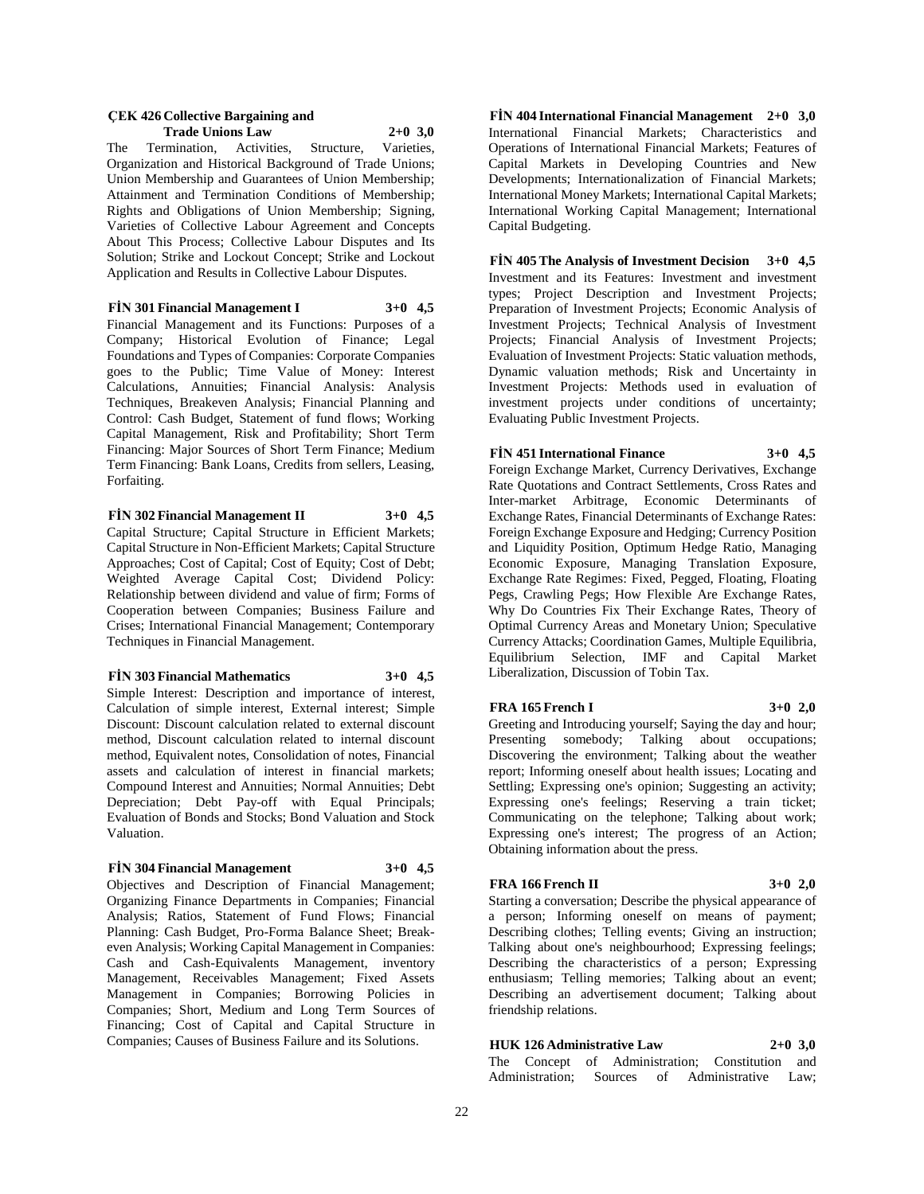#### **ÇEK 426 Collective Bargaining and Trade Unions Law 2+0 3,0**

The Termination, Activities, Structure, Varieties, Organization and Historical Background of Trade Unions; Union Membership and Guarantees of Union Membership; Attainment and Termination Conditions of Membership; Rights and Obligations of Union Membership; Signing, Varieties of Collective Labour Agreement and Concepts About This Process; Collective Labour Disputes and Its Solution; Strike and Lockout Concept; Strike and Lockout Application and Results in Collective Labour Disputes.

**FİN 301 Financial Management I 3+0 4,5** Financial Management and its Functions: Purposes of a Company; Historical Evolution of Finance; Legal Foundations and Types of Companies: Corporate Companies goes to the Public; Time Value of Money: Interest Calculations, Annuities; Financial Analysis: Analysis Techniques, Breakeven Analysis; Financial Planning and Control: Cash Budget, Statement of fund flows; Working Capital Management, Risk and Profitability; Short Term Financing: Major Sources of Short Term Finance; Medium Term Financing: Bank Loans, Credits from sellers, Leasing, Forfaiting.

#### **FİN 302 Financial Management II 3+0 4,5**

Capital Structure; Capital Structure in Efficient Markets; Capital Structure in Non-Efficient Markets; Capital Structure Approaches; Cost of Capital; Cost of Equity; Cost of Debt; Weighted Average Capital Cost; Dividend Policy: Relationship between dividend and value of firm; Forms of Cooperation between Companies; Business Failure and Crises; International Financial Management; Contemporary Techniques in Financial Management.

#### **FİN 303 Financial Mathematics 3+0 4,5**

Simple Interest: Description and importance of interest, Calculation of simple interest, External interest; Simple Discount: Discount calculation related to external discount method, Discount calculation related to internal discount method, Equivalent notes, Consolidation of notes, Financial assets and calculation of interest in financial markets; Compound Interest and Annuities; Normal Annuities; Debt Depreciation; Debt Pay-off with Equal Principals; Evaluation of Bonds and Stocks; Bond Valuation and Stock Valuation.

### **FİN 304 Financial Management 3+0 4,5**

Objectives and Description of Financial Management; Organizing Finance Departments in Companies; Financial Analysis; Ratios, Statement of Fund Flows; Financial Planning: Cash Budget, Pro-Forma Balance Sheet; Breakeven Analysis; Working Capital Management in Companies: Cash and Cash-Equivalents Management, inventory Management, Receivables Management; Fixed Assets Management in Companies; Borrowing Policies in Companies; Short, Medium and Long Term Sources of Financing; Cost of Capital and Capital Structure in Companies; Causes of Business Failure and its Solutions.

**FİN 404 International Financial Management 2+0 3,0** International Financial Markets; Characteristics and Operations of International Financial Markets; Features of Capital Markets in Developing Countries and New Developments; Internationalization of Financial Markets; International Money Markets; International Capital Markets; International Working Capital Management; International Capital Budgeting.

**FİN 405 The Analysis of Investment Decision 3+0 4,5** Investment and its Features: Investment and investment types; Project Description and Investment Projects; Preparation of Investment Projects; Economic Analysis of Investment Projects; Technical Analysis of Investment Projects; Financial Analysis of Investment Projects; Evaluation of Investment Projects: Static valuation methods, Dynamic valuation methods; Risk and Uncertainty in Investment Projects: Methods used in evaluation of investment projects under conditions of uncertainty; Evaluating Public Investment Projects.

#### **FİN 451 International Finance 3+0 4,5**

Foreign Exchange Market, Currency Derivatives, Exchange Rate Quotations and Contract Settlements, Cross Rates and Inter-market Arbitrage, Economic Determinants of Exchange Rates, Financial Determinants of Exchange Rates: Foreign Exchange Exposure and Hedging; Currency Position and Liquidity Position, Optimum Hedge Ratio, Managing Economic Exposure, Managing Translation Exposure, Exchange Rate Regimes: Fixed, Pegged, Floating, Floating Pegs, Crawling Pegs; How Flexible Are Exchange Rates, Why Do Countries Fix Their Exchange Rates, Theory of Optimal Currency Areas and Monetary Union; Speculative Currency Attacks; Coordination Games, Multiple Equilibria, Equilibrium Selection, IMF and Capital Market Liberalization, Discussion of Tobin Tax.

#### **FRA 165 French I 3+0 2,0**

Greeting and Introducing yourself; Saying the day and hour; Presenting somebody; Talking about occupations; Discovering the environment; Talking about the weather report; Informing oneself about health issues; Locating and Settling; Expressing one's opinion; Suggesting an activity; Expressing one's feelings; Reserving a train ticket; Communicating on the telephone; Talking about work; Expressing one's interest; The progress of an Action; Obtaining information about the press.

#### **FRA 166 French II 3+0 2,0**

Starting a conversation; Describe the physical appearance of a person; Informing oneself on means of payment; Describing clothes; Telling events; Giving an instruction; Talking about one's neighbourhood; Expressing feelings; Describing the characteristics of a person; Expressing enthusiasm; Telling memories; Talking about an event; Describing an advertisement document; Talking about friendship relations.

### **HUK 126 Administrative Law 2+0 3,0**

The Concept of Administration; Constitution and Administration; Sources of Administrative Law;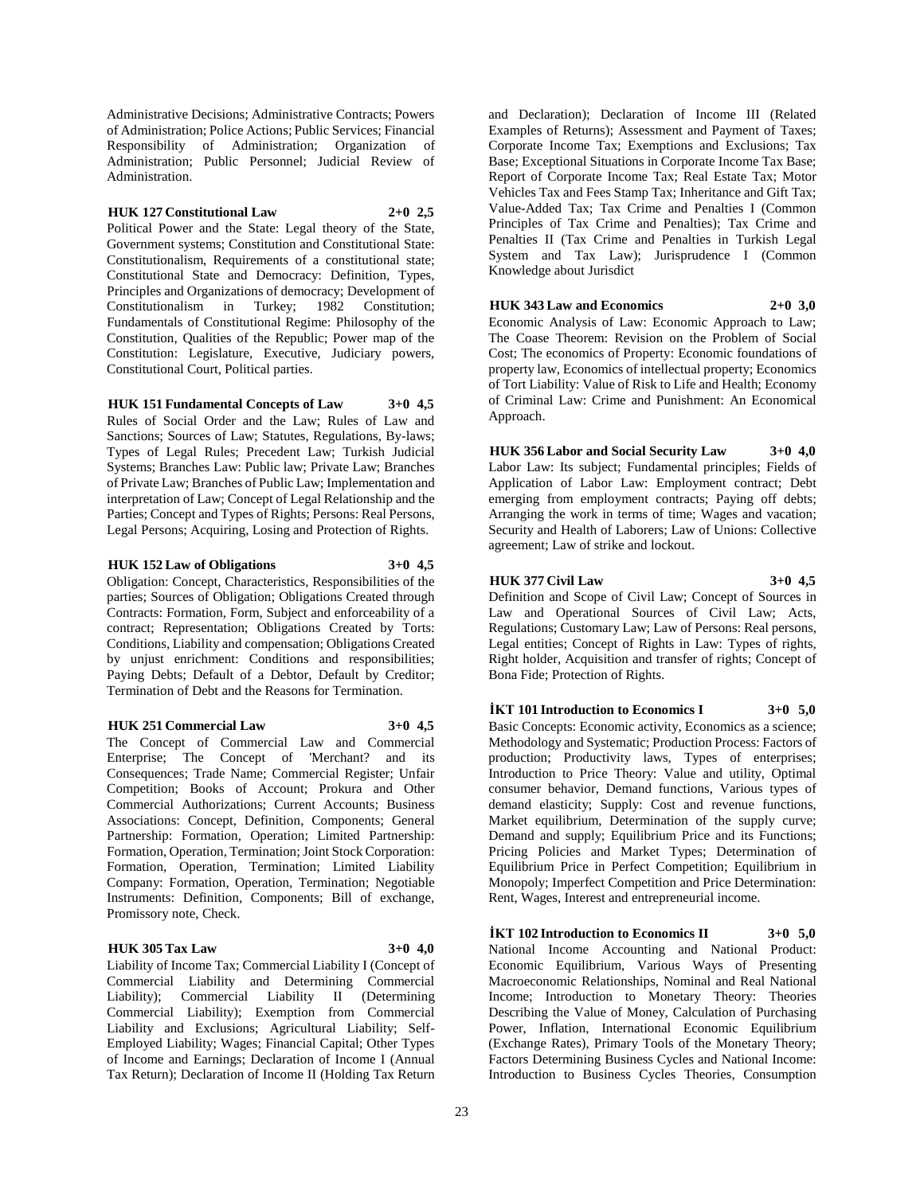Administrative Decisions; Administrative Contracts; Powers of Administration; Police Actions; Public Services; Financial Responsibility of Administration; Organization of Administration; Public Personnel; Judicial Review of Administration.

#### **HUK 127 Constitutional Law 2+0 2,5**

Political Power and the State: Legal theory of the State, Government systems; Constitution and Constitutional State: Constitutionalism, Requirements of a constitutional state; Constitutional State and Democracy: Definition, Types, Principles and Organizations of democracy; Development of Constitutionalism in Turkey; 1982 Constitution; Fundamentals of Constitutional Regime: Philosophy of the Constitution, Qualities of the Republic; Power map of the Constitution: Legislature, Executive, Judiciary powers, Constitutional Court, Political parties.

#### **HUK 151 Fundamental Concepts of Law 3+0 4,5**

Rules of Social Order and the Law; Rules of Law and Sanctions; Sources of Law; Statutes, Regulations, By-laws; Types of Legal Rules; Precedent Law; Turkish Judicial Systems; Branches Law: Public law; Private Law; Branches of Private Law; Branches of Public Law; Implementation and interpretation of Law; Concept of Legal Relationship and the Parties; Concept and Types of Rights; Persons: Real Persons, Legal Persons; Acquiring, Losing and Protection of Rights.

#### **HUK 152 Law of Obligations 3+0 4,5**

Obligation: Concept, Characteristics, Responsibilities of the parties; Sources of Obligation; Obligations Created through Contracts: Formation, Form, Subject and enforceability of a contract; Representation; Obligations Created by Torts: Conditions, Liability and compensation; Obligations Created by unjust enrichment: Conditions and responsibilities; Paying Debts; Default of a Debtor, Default by Creditor; Termination of Debt and the Reasons for Termination.

#### **HUK 251 Commercial Law 3+0 4,5**

The Concept of Commercial Law and Commercial Enterprise; The Concept of 'Merchant? and its Consequences; Trade Name; Commercial Register; Unfair Competition; Books of Account; Prokura and Other Commercial Authorizations; Current Accounts; Business Associations: Concept, Definition, Components; General Partnership: Formation, Operation; Limited Partnership: Formation, Operation, Termination; Joint Stock Corporation: Formation, Operation, Termination; Limited Liability Company: Formation, Operation, Termination; Negotiable Instruments: Definition, Components; Bill of exchange, Promissory note, Check.

### **HUK 305 Tax Law 3+0 4,0**

Liability of Income Tax; Commercial Liability I (Concept of Commercial Liability and Determining Commercial Liability); Commercial Liability II (Determining Commercial Liability); Exemption from Commercial Liability and Exclusions; Agricultural Liability; Self-Employed Liability; Wages; Financial Capital; Other Types of Income and Earnings; Declaration of Income I (Annual Tax Return); Declaration of Income II (Holding Tax Return

and Declaration); Declaration of Income III (Related Examples of Returns); Assessment and Payment of Taxes; Corporate Income Tax; Exemptions and Exclusions; Tax Base; Exceptional Situations in Corporate Income Tax Base; Report of Corporate Income Tax; Real Estate Tax; Motor Vehicles Tax and Fees Stamp Tax; Inheritance and Gift Tax; Value-Added Tax; Tax Crime and Penalties I (Common Principles of Tax Crime and Penalties); Tax Crime and Penalties II (Tax Crime and Penalties in Turkish Legal System and Tax Law); Jurisprudence I (Common Knowledge about Jurisdict

### **HUK 343 Law and Economics 2+0 3,0**

Economic Analysis of Law: Economic Approach to Law; The Coase Theorem: Revision on the Problem of Social Cost; The economics of Property: Economic foundations of property law, Economics of intellectual property; Economics of Tort Liability: Value of Risk to Life and Health; Economy of Criminal Law: Crime and Punishment: An Economical Approach.

**HUK 356 Labor and Social Security Law 3+0 4,0** Labor Law: Its subject; Fundamental principles; Fields of Application of Labor Law: Employment contract; Debt emerging from employment contracts; Paying off debts; Arranging the work in terms of time; Wages and vacation; Security and Health of Laborers; Law of Unions: Collective agreement; Law of strike and lockout.

### **HUK 377 Civil Law 3+0 4,5**

Definition and Scope of Civil Law; Concept of Sources in Law and Operational Sources of Civil Law; Acts, Regulations; Customary Law; Law of Persons: Real persons, Legal entities; Concept of Rights in Law: Types of rights, Right holder, Acquisition and transfer of rights; Concept of Bona Fide; Protection of Rights.

### **İKT 101 Introduction to Economics I 3+0 5,0**

Basic Concepts: Economic activity, Economics as a science; Methodology and Systematic; Production Process: Factors of production; Productivity laws, Types of enterprises; Introduction to Price Theory: Value and utility, Optimal consumer behavior, Demand functions, Various types of demand elasticity; Supply: Cost and revenue functions, Market equilibrium, Determination of the supply curve; Demand and supply; Equilibrium Price and its Functions; Pricing Policies and Market Types; Determination of Equilibrium Price in Perfect Competition; Equilibrium in Monopoly; Imperfect Competition and Price Determination: Rent, Wages, Interest and entrepreneurial income.

**İKT 102 Introduction to Economics II 3+0 5,0** National Income Accounting and National Product: Economic Equilibrium, Various Ways of Presenting Macroeconomic Relationships, Nominal and Real National Income; Introduction to Monetary Theory: Theories Describing the Value of Money, Calculation of Purchasing Power, Inflation, International Economic Equilibrium (Exchange Rates), Primary Tools of the Monetary Theory; Factors Determining Business Cycles and National Income: Introduction to Business Cycles Theories, Consumption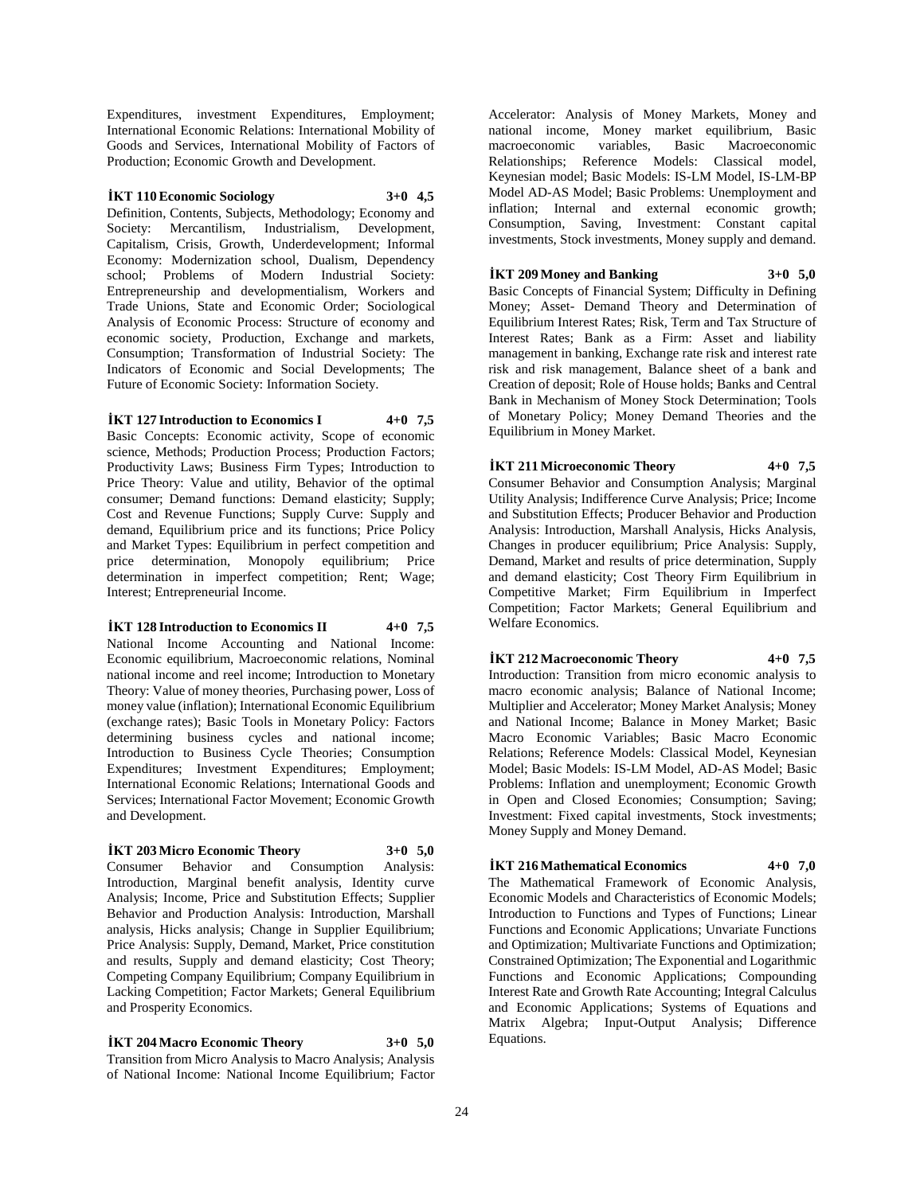Expenditures, investment Expenditures, Employment; International Economic Relations: International Mobility of Goods and Services, International Mobility of Factors of Production; Economic Growth and Development.

#### **İKT 110 Economic Sociology 3+0 4,5**

Definition, Contents, Subjects, Methodology; Economy and Society: Mercantilism, Industrialism, Development, Capitalism, Crisis, Growth, Underdevelopment; Informal Economy: Modernization school, Dualism, Dependency school; Problems of Modern Industrial Society: Entrepreneurship and developmentialism, Workers and Trade Unions, State and Economic Order; Sociological Analysis of Economic Process: Structure of economy and economic society, Production, Exchange and markets, Consumption; Transformation of Industrial Society: The Indicators of Economic and Social Developments; The Future of Economic Society: Information Society.

### **İKT 127 Introduction to Economics I 4+0 7,5**

Basic Concepts: Economic activity, Scope of economic science, Methods; Production Process; Production Factors; Productivity Laws; Business Firm Types; Introduction to Price Theory: Value and utility, Behavior of the optimal consumer; Demand functions: Demand elasticity; Supply; Cost and Revenue Functions; Supply Curve: Supply and demand, Equilibrium price and its functions; Price Policy and Market Types: Equilibrium in perfect competition and price determination, Monopoly equilibrium; Price determination in imperfect competition; Rent; Wage; Interest; Entrepreneurial Income.

### **İKT 128 Introduction to Economics II 4+0 7,5**

National Income Accounting and National Income: Economic equilibrium, Macroeconomic relations, Nominal national income and reel income; Introduction to Monetary Theory: Value of money theories, Purchasing power, Loss of money value (inflation); International Economic Equilibrium (exchange rates); Basic Tools in Monetary Policy: Factors determining business cycles and national income; Introduction to Business Cycle Theories; Consumption Expenditures; Investment Expenditures; Employment; International Economic Relations; International Goods and Services; International Factor Movement; Economic Growth and Development.

#### **İKT 203 Micro Economic Theory 3+0 5,0**

Consumer Behavior and Consumption Analysis: Introduction, Marginal benefit analysis, Identity curve Analysis; Income, Price and Substitution Effects; Supplier Behavior and Production Analysis: Introduction, Marshall analysis, Hicks analysis; Change in Supplier Equilibrium; Price Analysis: Supply, Demand, Market, Price constitution and results, Supply and demand elasticity; Cost Theory; Competing Company Equilibrium; Company Equilibrium in Lacking Competition; Factor Markets; General Equilibrium and Prosperity Economics.

## **İKT 204 Macro Economic Theory 3+0 5,0**

Transition from Micro Analysis to Macro Analysis; Analysis of National Income: National Income Equilibrium; Factor

Accelerator: Analysis of Money Markets, Money and national income, Money market equilibrium, Basic macroeconomic variables, Basic Macroeconomic Relationships; Reference Models: Classical model, Keynesian model; Basic Models: IS-LM Model, IS-LM-BP Model AD-AS Model; Basic Problems: Unemployment and inflation; Internal and external economic growth; Consumption, Saving, Investment: Constant capital investments, Stock investments, Money supply and demand.

### **İKT 209 Money and Banking 3+0 5,0**

Basic Concepts of Financial System; Difficulty in Defining Money; Asset- Demand Theory and Determination of Equilibrium Interest Rates; Risk, Term and Tax Structure of Interest Rates; Bank as a Firm: Asset and liability management in banking, Exchange rate risk and interest rate risk and risk management, Balance sheet of a bank and Creation of deposit; Role of House holds; Banks and Central Bank in Mechanism of Money Stock Determination; Tools of Monetary Policy; Money Demand Theories and the Equilibrium in Money Market.

# **İKT 211 Microeconomic Theory 4+0 7,5**

Consumer Behavior and Consumption Analysis; Marginal Utility Analysis; Indifference Curve Analysis; Price; Income and Substitution Effects; Producer Behavior and Production Analysis: Introduction, Marshall Analysis, Hicks Analysis, Changes in producer equilibrium; Price Analysis: Supply, Demand, Market and results of price determination, Supply and demand elasticity; Cost Theory Firm Equilibrium in Competitive Market; Firm Equilibrium in Imperfect Competition; Factor Markets; General Equilibrium and Welfare Economics.

### **İKT 212 Macroeconomic Theory 4+0 7,5**

Introduction: Transition from micro economic analysis to macro economic analysis; Balance of National Income; Multiplier and Accelerator; Money Market Analysis; Money and National Income; Balance in Money Market; Basic Macro Economic Variables; Basic Macro Economic Relations; Reference Models: Classical Model, Keynesian Model; Basic Models: IS-LM Model, AD-AS Model; Basic Problems: Inflation and unemployment; Economic Growth in Open and Closed Economies; Consumption; Saving; Investment: Fixed capital investments, Stock investments; Money Supply and Money Demand.

### **İKT 216 Mathematical Economics 4+0 7,0**

The Mathematical Framework of Economic Analysis, Economic Models and Characteristics of Economic Models; Introduction to Functions and Types of Functions; Linear Functions and Economic Applications; Unvariate Functions and Optimization; Multivariate Functions and Optimization; Constrained Optimization; The Exponential and Logarithmic Functions and Economic Applications; Compounding Interest Rate and Growth Rate Accounting; Integral Calculus and Economic Applications; Systems of Equations and Matrix Algebra; Input-Output Analysis; Difference Equations.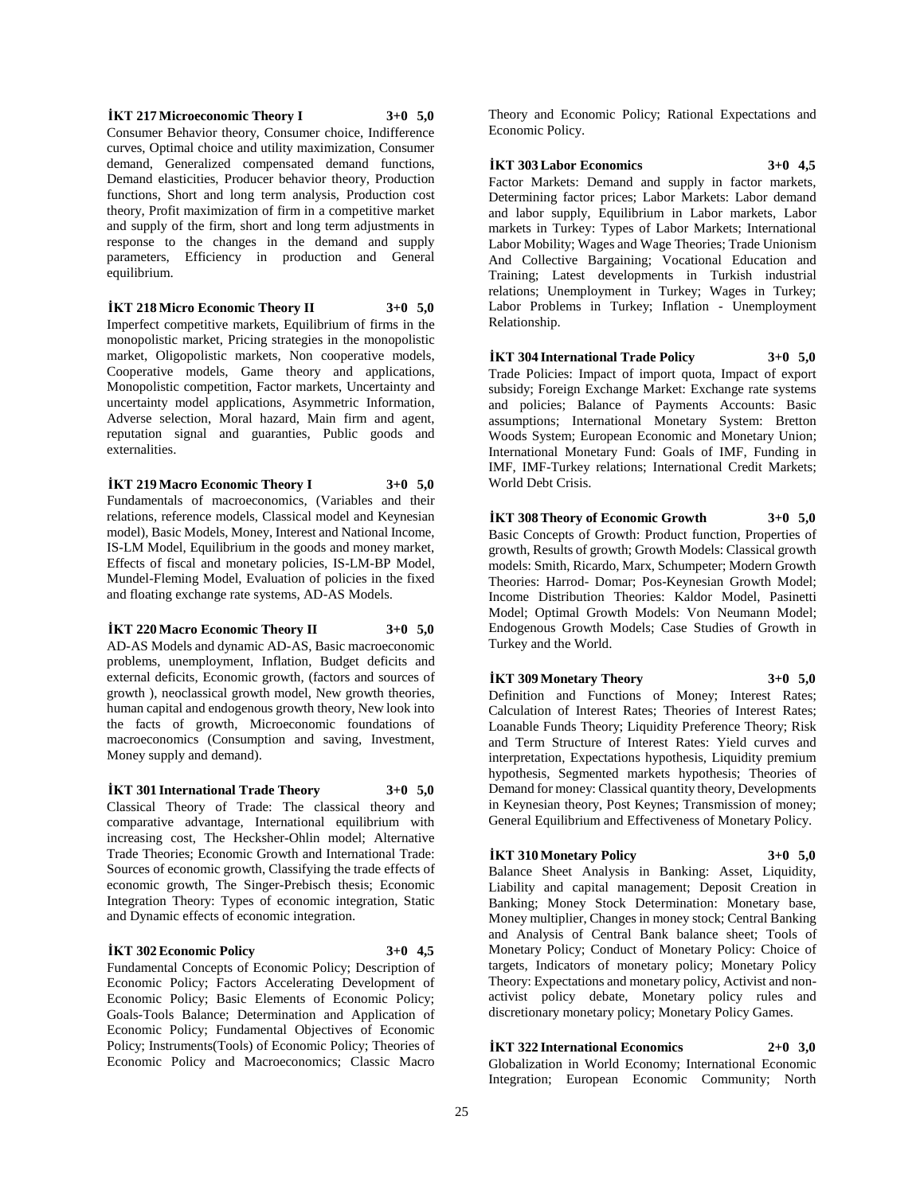**İKT 217 Microeconomic Theory I 3+0 5,0** Consumer Behavior theory, Consumer choice, Indifference curves, Optimal choice and utility maximization, Consumer demand, Generalized compensated demand functions, Demand elasticities, Producer behavior theory, Production functions, Short and long term analysis, Production cost theory, Profit maximization of firm in a competitive market and supply of the firm, short and long term adjustments in response to the changes in the demand and supply parameters, Efficiency in production and General equilibrium.

**İKT 218 Micro Economic Theory II 3+0 5,0** Imperfect competitive markets, Equilibrium of firms in the monopolistic market, Pricing strategies in the monopolistic market, Oligopolistic markets, Non cooperative models, Cooperative models, Game theory and applications, Monopolistic competition, Factor markets, Uncertainty and uncertainty model applications, Asymmetric Information, Adverse selection, Moral hazard, Main firm and agent, reputation signal and guaranties, Public goods and externalities.

**İKT 219 Macro Economic Theory I 3+0 5,0** Fundamentals of macroeconomics, (Variables and their relations, reference models, Classical model and Keynesian model), Basic Models, Money, Interest and National Income, IS-LM Model, Equilibrium in the goods and money market, Effects of fiscal and monetary policies, IS-LM-BP Model, Mundel-Fleming Model, Evaluation of policies in the fixed and floating exchange rate systems, AD-AS Models.

**İKT 220 Macro Economic Theory II 3+0 5,0** AD-AS Models and dynamic AD-AS, Basic macroeconomic problems, unemployment, Inflation, Budget deficits and external deficits, Economic growth, (factors and sources of growth ), neoclassical growth model, New growth theories, human capital and endogenous growth theory, New look into the facts of growth, Microeconomic foundations of macroeconomics (Consumption and saving, Investment, Money supply and demand).

**İKT 301 International Trade Theory 3+0 5,0** Classical Theory of Trade: The classical theory and comparative advantage, International equilibrium with increasing cost, The Hecksher-Ohlin model; Alternative Trade Theories; Economic Growth and International Trade: Sources of economic growth, Classifying the trade effects of economic growth, The Singer-Prebisch thesis; Economic Integration Theory: Types of economic integration, Static and Dynamic effects of economic integration.

#### **İKT 302 Economic Policy 3+0 4,5**

Fundamental Concepts of Economic Policy; Description of Economic Policy; Factors Accelerating Development of Economic Policy; Basic Elements of Economic Policy; Goals-Tools Balance; Determination and Application of Economic Policy; Fundamental Objectives of Economic Policy; Instruments(Tools) of Economic Policy; Theories of Economic Policy and Macroeconomics; Classic Macro

Theory and Economic Policy; Rational Expectations and Economic Policy.

**İKT 303 Labor Economics 3+0 4,5**

Factor Markets: Demand and supply in factor markets, Determining factor prices; Labor Markets: Labor demand and labor supply, Equilibrium in Labor markets, Labor markets in Turkey: Types of Labor Markets; International Labor Mobility; Wages and Wage Theories; Trade Unionism And Collective Bargaining; Vocational Education and Training; Latest developments in Turkish industrial relations; Unemployment in Turkey; Wages in Turkey; Labor Problems in Turkey; Inflation - Unemployment Relationship.

**İKT 304 International Trade Policy 3+0 5,0** Trade Policies: Impact of import quota, Impact of export subsidy; Foreign Exchange Market: Exchange rate systems and policies; Balance of Payments Accounts: Basic assumptions; International Monetary System: Bretton Woods System; European Economic and Monetary Union; International Monetary Fund: Goals of IMF, Funding in IMF, IMF-Turkey relations; International Credit Markets; World Debt Crisis.

**İKT 308 Theory of Economic Growth 3+0 5,0** Basic Concepts of Growth: Product function, Properties of growth, Results of growth; Growth Models: Classical growth models: Smith, Ricardo, Marx, Schumpeter; Modern Growth Theories: Harrod- Domar; Pos-Keynesian Growth Model;

Income Distribution Theories: Kaldor Model, Pasinetti Model; Optimal Growth Models: Von Neumann Model; Endogenous Growth Models; Case Studies of Growth in Turkey and the World.

#### **İKT 309 Monetary Theory 3+0 5,0**

Definition and Functions of Money; Interest Rates; Calculation of Interest Rates; Theories of Interest Rates; Loanable Funds Theory; Liquidity Preference Theory; Risk and Term Structure of Interest Rates: Yield curves and interpretation, Expectations hypothesis, Liquidity premium hypothesis, Segmented markets hypothesis; Theories of Demand for money: Classical quantity theory, Developments in Keynesian theory, Post Keynes; Transmission of money; General Equilibrium and Effectiveness of Monetary Policy.

#### **İKT 310 Monetary Policy 3+0 5,0**

Balance Sheet Analysis in Banking: Asset, Liquidity, Liability and capital management; Deposit Creation in Banking; Money Stock Determination: Monetary base, Money multiplier, Changes in money stock; Central Banking and Analysis of Central Bank balance sheet; Tools of Monetary Policy; Conduct of Monetary Policy: Choice of targets, Indicators of monetary policy; Monetary Policy Theory: Expectations and monetary policy, Activist and nonactivist policy debate, Monetary policy rules and discretionary monetary policy; Monetary Policy Games.

### **İKT 322 International Economics 2+0 3,0**

Globalization in World Economy; International Economic Integration; European Economic Community; North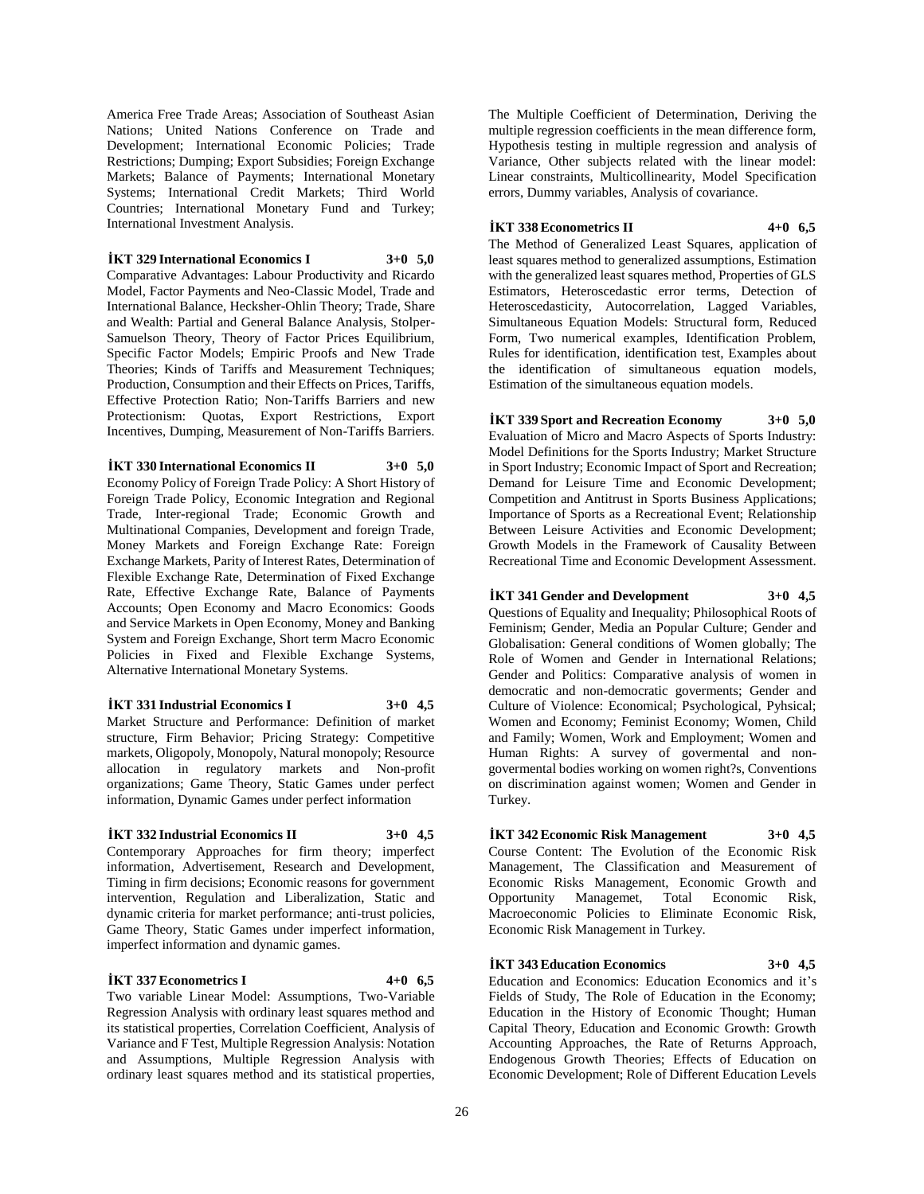America Free Trade Areas; Association of Southeast Asian Nations; United Nations Conference on Trade and Development; International Economic Policies; Trade Restrictions; Dumping; Export Subsidies; Foreign Exchange Markets; Balance of Payments; International Monetary Systems; International Credit Markets; Third World Countries; International Monetary Fund and Turkey; International Investment Analysis.

### **İKT 329 International Economics I 3+0 5,0**

Comparative Advantages: Labour Productivity and Ricardo Model, Factor Payments and Neo-Classic Model, Trade and International Balance, Hecksher-Ohlin Theory; Trade, Share and Wealth: Partial and General Balance Analysis, Stolper-Samuelson Theory, Theory of Factor Prices Equilibrium, Specific Factor Models; Empiric Proofs and New Trade Theories; Kinds of Tariffs and Measurement Techniques; Production, Consumption and their Effects on Prices, Tariffs, Effective Protection Ratio; Non-Tariffs Barriers and new Protectionism: Quotas, Export Restrictions, Export Incentives, Dumping, Measurement of Non-Tariffs Barriers.

**İKT 330 International Economics II 3+0 5,0** Economy Policy of Foreign Trade Policy: A Short History of Foreign Trade Policy, Economic Integration and Regional Trade, Inter-regional Trade; Economic Growth and Multinational Companies, Development and foreign Trade, Money Markets and Foreign Exchange Rate: Foreign Exchange Markets, Parity of Interest Rates, Determination of Flexible Exchange Rate, Determination of Fixed Exchange Rate, Effective Exchange Rate, Balance of Payments Accounts; Open Economy and Macro Economics: Goods and Service Markets in Open Economy, Money and Banking System and Foreign Exchange, Short term Macro Economic Policies in Fixed and Flexible Exchange Systems, Alternative International Monetary Systems.

#### **İKT 331 Industrial Economics I 3+0 4,5**

Market Structure and Performance: Definition of market structure, Firm Behavior; Pricing Strategy: Competitive markets, Oligopoly, Monopoly, Natural monopoly; Resource allocation in regulatory markets and Non-profit organizations; Game Theory, Static Games under perfect information, Dynamic Games under perfect information

#### **İKT 332 Industrial Economics II 3+0 4,5**

Contemporary Approaches for firm theory; imperfect information, Advertisement, Research and Development, Timing in firm decisions; Economic reasons for government intervention, Regulation and Liberalization, Static and dynamic criteria for market performance; anti-trust policies, Game Theory, Static Games under imperfect information, imperfect information and dynamic games.

### **İKT 337 Econometrics I 4+0 6,5**

Two variable Linear Model: Assumptions, Two-Variable Regression Analysis with ordinary least squares method and its statistical properties, Correlation Coefficient, Analysis of Variance and F Test, Multiple Regression Analysis: Notation and Assumptions, Multiple Regression Analysis with ordinary least squares method and its statistical properties,

The Multiple Coefficient of Determination, Deriving the multiple regression coefficients in the mean difference form, Hypothesis testing in multiple regression and analysis of Variance, Other subjects related with the linear model: Linear constraints, Multicollinearity, Model Specification errors, Dummy variables, Analysis of covariance.

#### **İKT 338 Econometrics II 4+0 6,5**

The Method of Generalized Least Squares, application of least squares method to generalized assumptions, Estimation with the generalized least squares method, Properties of GLS Estimators, Heteroscedastic error terms, Detection of Heteroscedasticity, Autocorrelation, Lagged Variables, Simultaneous Equation Models: Structural form, Reduced Form, Two numerical examples, Identification Problem, Rules for identification, identification test, Examples about the identification of simultaneous equation models, Estimation of the simultaneous equation models.

#### **İKT 339 Sport and Recreation Economy 3+0 5,0**

Evaluation of Micro and Macro Aspects of Sports Industry: Model Definitions for the Sports Industry; Market Structure in Sport Industry; Economic Impact of Sport and Recreation; Demand for Leisure Time and Economic Development; Competition and Antitrust in Sports Business Applications; Importance of Sports as a Recreational Event; Relationship Between Leisure Activities and Economic Development; Growth Models in the Framework of Causality Between Recreational Time and Economic Development Assessment.

### **İKT 341 Gender and Development 3+0 4,5**

Questions of Equality and Inequality; Philosophical Roots of Feminism; Gender, Media an Popular Culture; Gender and Globalisation: General conditions of Women globally; The Role of Women and Gender in International Relations; Gender and Politics: Comparative analysis of women in democratic and non-democratic goverments; Gender and Culture of Violence: Economical; Psychological, Pyhsical; Women and Economy; Feminist Economy; Women, Child and Family; Women, Work and Employment; Women and Human Rights: A survey of govermental and nongovermental bodies working on women right?s, Conventions on discrimination against women; Women and Gender in Turkey.

#### **İKT 342 Economic Risk Management 3+0 4,5**

Course Content: The Evolution of the Economic Risk Management, The Classification and Measurement of Economic Risks Management, Economic Growth and Opportunity Managemet, Total Economic Risk, Macroeconomic Policies to Eliminate Economic Risk, Economic Risk Management in Turkey.

### **İKT 343 Education Economics 3+0 4,5**

Education and Economics: Education Economics and it's Fields of Study, The Role of Education in the Economy; Education in the History of Economic Thought; Human Capital Theory, Education and Economic Growth: Growth Accounting Approaches, the Rate of Returns Approach, Endogenous Growth Theories; Effects of Education on Economic Development; Role of Different Education Levels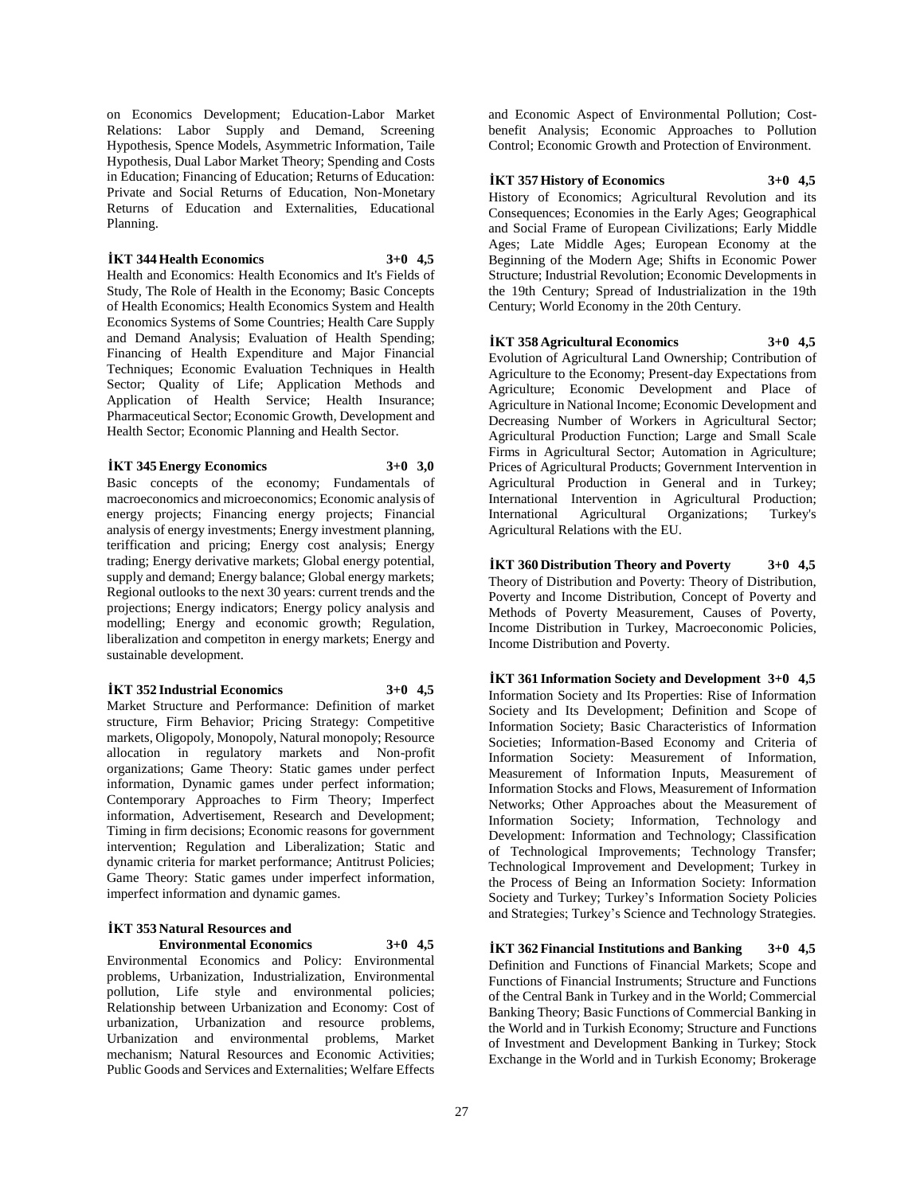on Economics Development; Education-Labor Market Relations: Labor Supply and Demand, Screening Hypothesis, Spence Models, Asymmetric Information, Taile Hypothesis, Dual Labor Market Theory; Spending and Costs in Education; Financing of Education; Returns of Education: Private and Social Returns of Education, Non-Monetary Returns of Education and Externalities, Educational Planning.

#### **İKT 344 Health Economics 3+0 4,5**

Health and Economics: Health Economics and It's Fields of Study, The Role of Health in the Economy; Basic Concepts of Health Economics; Health Economics System and Health Economics Systems of Some Countries; Health Care Supply and Demand Analysis; Evaluation of Health Spending; Financing of Health Expenditure and Major Financial Techniques; Economic Evaluation Techniques in Health Sector; Quality of Life; Application Methods and Application of Health Service; Health Insurance; Pharmaceutical Sector; Economic Growth, Development and Health Sector; Economic Planning and Health Sector.

#### **İKT 345 Energy Economics 3+0 3,0**

Basic concepts of the economy; Fundamentals of macroeconomics and microeconomics; Economic analysis of energy projects; Financing energy projects; Financial analysis of energy investments; Energy investment planning, teriffication and pricing; Energy cost analysis; Energy trading; Energy derivative markets; Global energy potential, supply and demand; Energy balance; Global energy markets; Regional outlooks to the next 30 years: current trends and the projections; Energy indicators; Energy policy analysis and modelling; Energy and economic growth; Regulation, liberalization and competiton in energy markets; Energy and sustainable development.

#### **İKT 352 Industrial Economics 3+0 4,5**

Market Structure and Performance: Definition of market structure, Firm Behavior; Pricing Strategy: Competitive markets, Oligopoly, Monopoly, Natural monopoly; Resource allocation in regulatory markets and Non-profit organizations; Game Theory: Static games under perfect information, Dynamic games under perfect information; Contemporary Approaches to Firm Theory; Imperfect information, Advertisement, Research and Development; Timing in firm decisions; Economic reasons for government intervention; Regulation and Liberalization; Static and dynamic criteria for market performance; Antitrust Policies; Game Theory: Static games under imperfect information, imperfect information and dynamic games.

#### **İKT 353 Natural Resources and Environmental Economics 3+0 4,5**

Environmental Economics and Policy: Environmental problems, Urbanization, Industrialization, Environmental pollution, Life style and environmental policies; Relationship between Urbanization and Economy: Cost of urbanization, Urbanization and resource problems, Urbanization and environmental problems, Market mechanism; Natural Resources and Economic Activities; Public Goods and Services and Externalities; Welfare Effects

and Economic Aspect of Environmental Pollution; Costbenefit Analysis; Economic Approaches to Pollution Control; Economic Growth and Protection of Environment.

### **İKT 357 History of Economics 3+0 4,5**

History of Economics; Agricultural Revolution and its Consequences; Economies in the Early Ages; Geographical and Social Frame of European Civilizations; Early Middle Ages; Late Middle Ages; European Economy at the Beginning of the Modern Age; Shifts in Economic Power Structure; Industrial Revolution; Economic Developments in the 19th Century; Spread of Industrialization in the 19th Century; World Economy in the 20th Century.

### **İKT 358 Agricultural Economics 3+0 4,5**

Evolution of Agricultural Land Ownership; Contribution of Agriculture to the Economy; Present-day Expectations from Agriculture; Economic Development and Place of Agriculture in National Income; Economic Development and Decreasing Number of Workers in Agricultural Sector; Agricultural Production Function; Large and Small Scale Firms in Agricultural Sector; Automation in Agriculture; Prices of Agricultural Products; Government Intervention in Agricultural Production in General and in Turkey; International Intervention in Agricultural Production; International Agricultural Organizations; Turkey's Agricultural Relations with the EU.

**İKT 360 Distribution Theory and Poverty 3+0 4,5** Theory of Distribution and Poverty: Theory of Distribution, Poverty and Income Distribution, Concept of Poverty and Methods of Poverty Measurement, Causes of Poverty, Income Distribution in Turkey, Macroeconomic Policies, Income Distribution and Poverty.

**İKT 361 Information Society and Development 3+0 4,5** Information Society and Its Properties: Rise of Information Society and Its Development; Definition and Scope of Information Society; Basic Characteristics of Information Societies; Information-Based Economy and Criteria of Information Society: Measurement of Information, Measurement of Information Inputs, Measurement of Information Stocks and Flows, Measurement of Information Networks; Other Approaches about the Measurement of Information Society; Information, Technology and Development: Information and Technology; Classification of Technological Improvements; Technology Transfer; Technological Improvement and Development; Turkey in the Process of Being an Information Society: Information Society and Turkey; Turkey's Information Society Policies and Strategies; Turkey's Science and Technology Strategies.

**İKT 362 Financial Institutions and Banking 3+0 4,5** Definition and Functions of Financial Markets; Scope and Functions of Financial Instruments; Structure and Functions of the Central Bank in Turkey and in the World; Commercial Banking Theory; Basic Functions of Commercial Banking in the World and in Turkish Economy; Structure and Functions of Investment and Development Banking in Turkey; Stock Exchange in the World and in Turkish Economy; Brokerage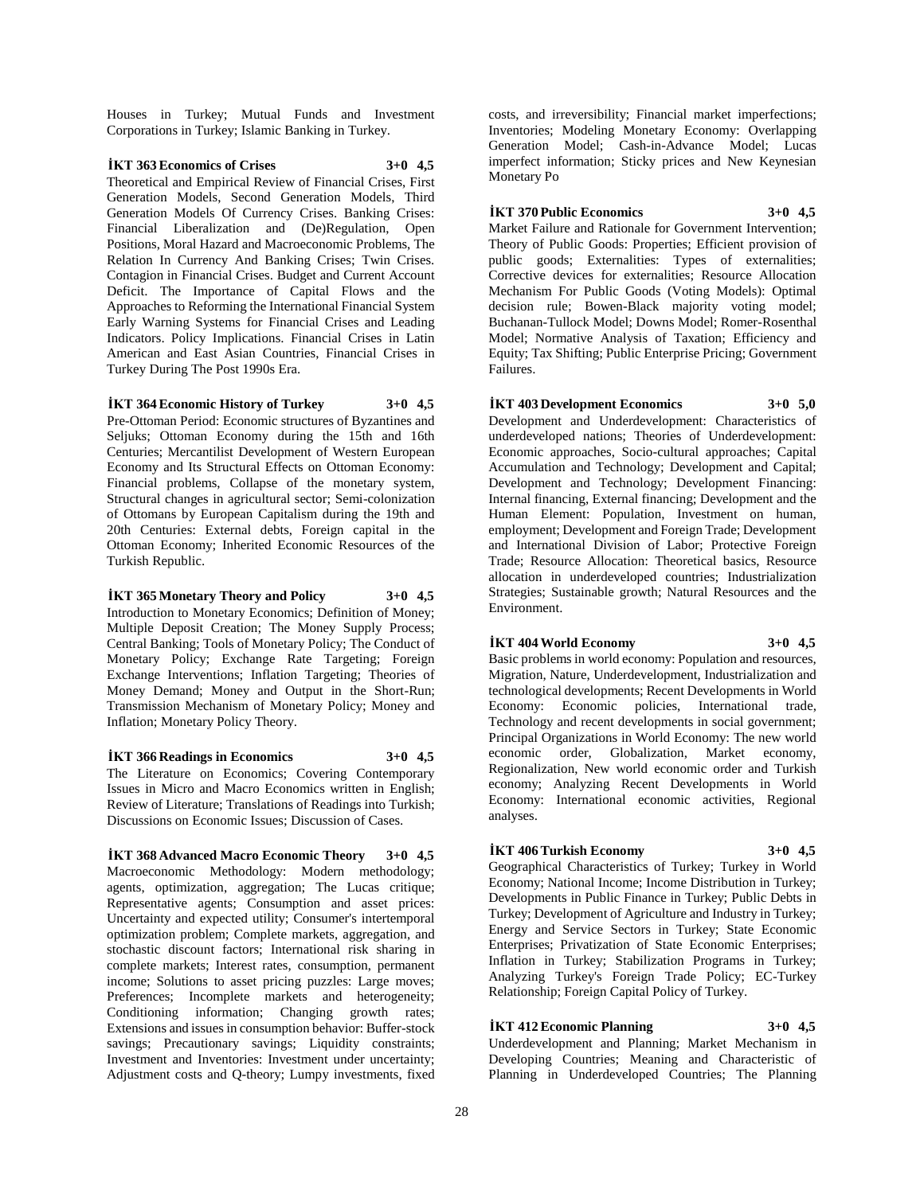Houses in Turkey; Mutual Funds and Investment Corporations in Turkey; Islamic Banking in Turkey.

### **İKT 363 Economics of Crises 3+0 4,5**

Theoretical and Empirical Review of Financial Crises, First Generation Models, Second Generation Models, Third Generation Models Of Currency Crises. Banking Crises: Financial Liberalization and (De)Regulation, Open Positions, Moral Hazard and Macroeconomic Problems, The Relation In Currency And Banking Crises; Twin Crises. Contagion in Financial Crises. Budget and Current Account Deficit. The Importance of Capital Flows and the Approaches to Reforming the International Financial System Early Warning Systems for Financial Crises and Leading Indicators. Policy Implications. Financial Crises in Latin American and East Asian Countries, Financial Crises in Turkey During The Post 1990s Era.

#### **İKT 364 Economic History of Turkey 3+0 4,5**

Pre-Ottoman Period: Economic structures of Byzantines and Seljuks; Ottoman Economy during the 15th and 16th Centuries; Mercantilist Development of Western European Economy and Its Structural Effects on Ottoman Economy: Financial problems, Collapse of the monetary system, Structural changes in agricultural sector; Semi-colonization of Ottomans by European Capitalism during the 19th and 20th Centuries: External debts, Foreign capital in the Ottoman Economy; Inherited Economic Resources of the Turkish Republic.

#### **İKT 365 Monetary Theory and Policy 3+0 4,5**

Introduction to Monetary Economics; Definition of Money; Multiple Deposit Creation; The Money Supply Process; Central Banking; Tools of Monetary Policy; The Conduct of Monetary Policy; Exchange Rate Targeting; Foreign Exchange Interventions; Inflation Targeting; Theories of Money Demand; Money and Output in the Short-Run; Transmission Mechanism of Monetary Policy; Money and Inflation; Monetary Policy Theory.

#### **İKT 366 Readings in Economics 3+0 4,5**

The Literature on Economics; Covering Contemporary Issues in Micro and Macro Economics written in English; Review of Literature; Translations of Readings into Turkish; Discussions on Economic Issues; Discussion of Cases.

**İKT 368 Advanced Macro Economic Theory 3+0 4,5** Macroeconomic Methodology: Modern methodology; agents, optimization, aggregation; The Lucas critique; Representative agents; Consumption and asset prices: Uncertainty and expected utility; Consumer's intertemporal optimization problem; Complete markets, aggregation, and stochastic discount factors; International risk sharing in complete markets; Interest rates, consumption, permanent income; Solutions to asset pricing puzzles: Large moves; Preferences; Incomplete markets and heterogeneity; Conditioning information; Changing growth rates; Extensions and issues in consumption behavior: Buffer-stock savings; Precautionary savings; Liquidity constraints; Investment and Inventories: Investment under uncertainty; Adjustment costs and Q-theory; Lumpy investments, fixed

costs, and irreversibility; Financial market imperfections; Inventories; Modeling Monetary Economy: Overlapping Generation Model; Cash-in-Advance Model; Lucas imperfect information; Sticky prices and New Keynesian Monetary Po

### **İKT 370 Public Economics 3+0 4,5**

Market Failure and Rationale for Government Intervention; Theory of Public Goods: Properties; Efficient provision of public goods; Externalities: Types of externalities; Corrective devices for externalities; Resource Allocation Mechanism For Public Goods (Voting Models): Optimal decision rule; Bowen-Black majority voting model; Buchanan-Tullock Model; Downs Model; Romer-Rosenthal Model; Normative Analysis of Taxation; Efficiency and Equity; Tax Shifting; Public Enterprise Pricing; Government Failures.

### **İKT 403 Development Economics 3+0 5,0**

Development and Underdevelopment: Characteristics of underdeveloped nations; Theories of Underdevelopment: Economic approaches, Socio-cultural approaches; Capital Accumulation and Technology; Development and Capital; Development and Technology; Development Financing: Internal financing, External financing; Development and the Human Element: Population, Investment on human, employment; Development and Foreign Trade; Development and International Division of Labor; Protective Foreign Trade; Resource Allocation: Theoretical basics, Resource allocation in underdeveloped countries; Industrialization Strategies; Sustainable growth; Natural Resources and the Environment.

### **İKT 404 World Economy 3+0 4,5**

Basic problems in world economy: Population and resources, Migration, Nature, Underdevelopment, Industrialization and technological developments; Recent Developments in World Economy: Economic policies, International trade, Technology and recent developments in social government; Principal Organizations in World Economy: The new world economic order, Globalization, Market economy, Regionalization, New world economic order and Turkish economy; Analyzing Recent Developments in World Economy: International economic activities, Regional analyses.

### **İKT 406 Turkish Economy 3+0 4,5**

Geographical Characteristics of Turkey; Turkey in World Economy; National Income; Income Distribution in Turkey; Developments in Public Finance in Turkey; Public Debts in Turkey; Development of Agriculture and Industry in Turkey; Energy and Service Sectors in Turkey; State Economic Enterprises; Privatization of State Economic Enterprises; Inflation in Turkey; Stabilization Programs in Turkey; Analyzing Turkey's Foreign Trade Policy; EC-Turkey Relationship; Foreign Capital Policy of Turkey.

### **İKT 412 Economic Planning 3+0 4,5**

Underdevelopment and Planning; Market Mechanism in

Developing Countries; Meaning and Characteristic of Planning in Underdeveloped Countries; The Planning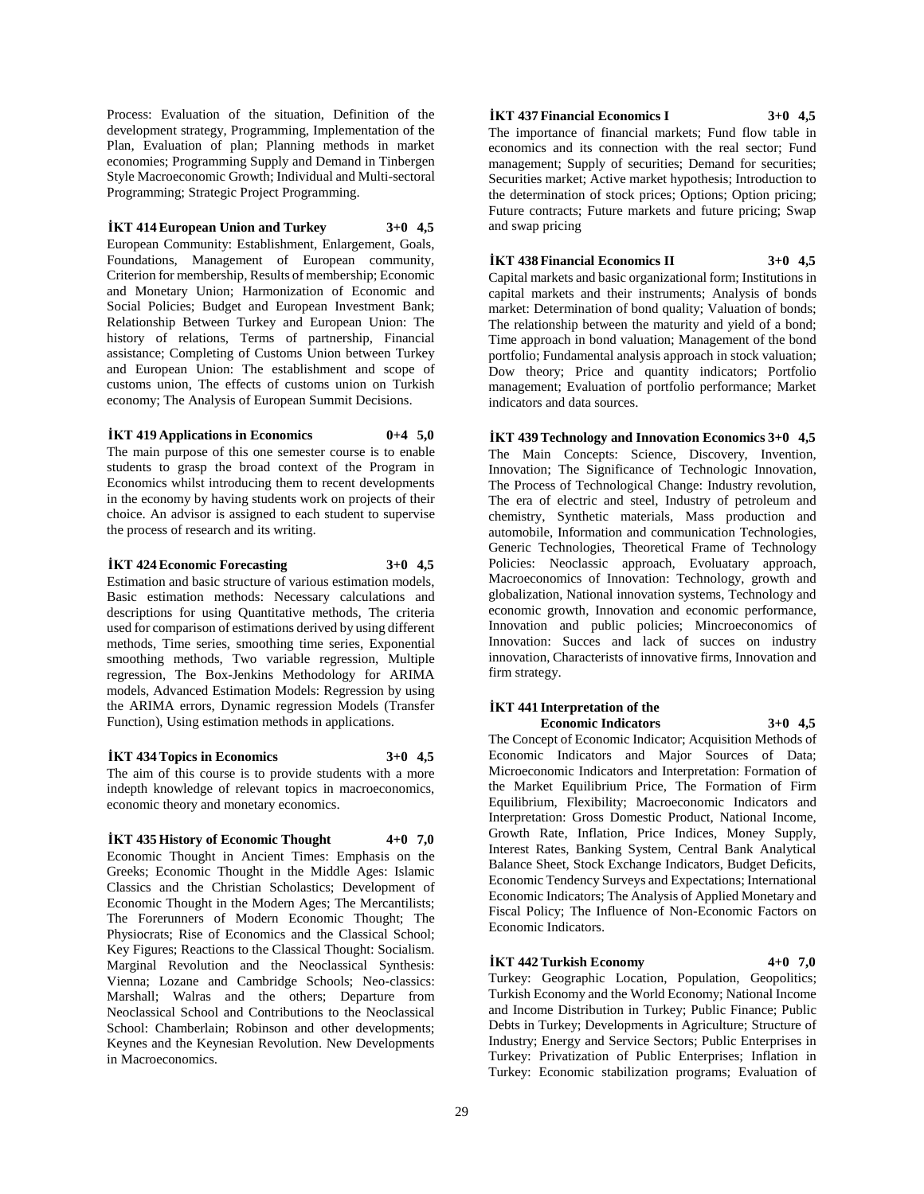Process: Evaluation of the situation, Definition of the development strategy, Programming, Implementation of the Plan, Evaluation of plan; Planning methods in market economies; Programming Supply and Demand in Tinbergen Style Macroeconomic Growth; Individual and Multi-sectoral Programming; Strategic Project Programming.

### **İKT 414 European Union and Turkey 3+0 4,5**

European Community: Establishment, Enlargement, Goals, Foundations, Management of European community, Criterion for membership, Results of membership; Economic and Monetary Union; Harmonization of Economic and Social Policies; Budget and European Investment Bank; Relationship Between Turkey and European Union: The history of relations, Terms of partnership, Financial assistance; Completing of Customs Union between Turkey and European Union: The establishment and scope of customs union, The effects of customs union on Turkish economy; The Analysis of European Summit Decisions.

### **İKT 419 Applications in Economics 0+4 5,0**

The main purpose of this one semester course is to enable students to grasp the broad context of the Program in Economics whilst introducing them to recent developments in the economy by having students work on projects of their choice. An advisor is assigned to each student to supervise the process of research and its writing.

### **İKT 424 Economic Forecasting 3+0 4,5**

Estimation and basic structure of various estimation models, Basic estimation methods: Necessary calculations and descriptions for using Quantitative methods, The criteria used for comparison of estimations derived by using different methods, Time series, smoothing time series, Exponential smoothing methods, Two variable regression, Multiple regression, The Box-Jenkins Methodology for ARIMA models, Advanced Estimation Models: Regression by using the ARIMA errors, Dynamic regression Models (Transfer Function), Using estimation methods in applications.

### **İKT 434 Topics in Economics 3+0 4,5**

The aim of this course is to provide students with a more indepth knowledge of relevant topics in macroeconomics, economic theory and monetary economics.

#### **İKT 435 History of Economic Thought 4+0 7,0**

Economic Thought in Ancient Times: Emphasis on the Greeks; Economic Thought in the Middle Ages: Islamic Classics and the Christian Scholastics; Development of Economic Thought in the Modern Ages; The Mercantilists; The Forerunners of Modern Economic Thought; The Physiocrats; Rise of Economics and the Classical School; Key Figures; Reactions to the Classical Thought: Socialism. Marginal Revolution and the Neoclassical Synthesis: Vienna; Lozane and Cambridge Schools; Neo-classics: Marshall; Walras and the others; Departure from Neoclassical School and Contributions to the Neoclassical School: Chamberlain; Robinson and other developments; Keynes and the Keynesian Revolution. New Developments in Macroeconomics.

#### **İKT 437 Financial Economics I 3+0 4,5**

The importance of financial markets; Fund flow table in economics and its connection with the real sector; Fund management; Supply of securities; Demand for securities; Securities market; Active market hypothesis; Introduction to the determination of stock prices; Options; Option pricing; Future contracts; Future markets and future pricing; Swap and swap pricing

#### **İKT 438 Financial Economics II 3+0 4,5**

Capital markets and basic organizational form; Institutions in capital markets and their instruments; Analysis of bonds market: Determination of bond quality; Valuation of bonds; The relationship between the maturity and yield of a bond; Time approach in bond valuation; Management of the bond portfolio; Fundamental analysis approach in stock valuation; Dow theory; Price and quantity indicators; Portfolio management; Evaluation of portfolio performance; Market indicators and data sources.

### The Main Concepts: Science, Discovery, Invention, Innovation; The Significance of Technologic Innovation, The Process of Technological Change: Industry revolution, The era of electric and steel, Industry of petroleum and chemistry, Synthetic materials, Mass production and automobile, Information and communication Technologies,

**İKT 439 Technology and Innovation Economics 3+0 4,5**

Generic Technologies, Theoretical Frame of Technology Policies: Neoclassic approach, Evoluatary approach, Macroeconomics of Innovation: Technology, growth and globalization, National innovation systems, Technology and economic growth, Innovation and economic performance, Innovation and public policies; Mincroeconomics of Innovation: Succes and lack of succes on industry innovation, Characterists of innovative firms, Innovation and firm strategy.

#### **İKT 441 Interpretation of the Economic Indicators 3+0 4,5**

The Concept of Economic Indicator; Acquisition Methods of Economic Indicators and Major Sources of Data; Microeconomic Indicators and Interpretation: Formation of the Market Equilibrium Price, The Formation of Firm Equilibrium, Flexibility; Macroeconomic Indicators and Interpretation: Gross Domestic Product, National Income, Growth Rate, Inflation, Price Indices, Money Supply, Interest Rates, Banking System, Central Bank Analytical Balance Sheet, Stock Exchange Indicators, Budget Deficits, Economic Tendency Surveys and Expectations; International Economic Indicators; The Analysis of Applied Monetary and Fiscal Policy; The Influence of Non-Economic Factors on Economic Indicators.

### **İKT 442 Turkish Economy 4+0 7,0**

Turkey: Geographic Location, Population, Geopolitics; Turkish Economy and the World Economy; National Income and Income Distribution in Turkey; Public Finance; Public Debts in Turkey; Developments in Agriculture; Structure of Industry; Energy and Service Sectors; Public Enterprises in Turkey: Privatization of Public Enterprises; Inflation in Turkey: Economic stabilization programs; Evaluation of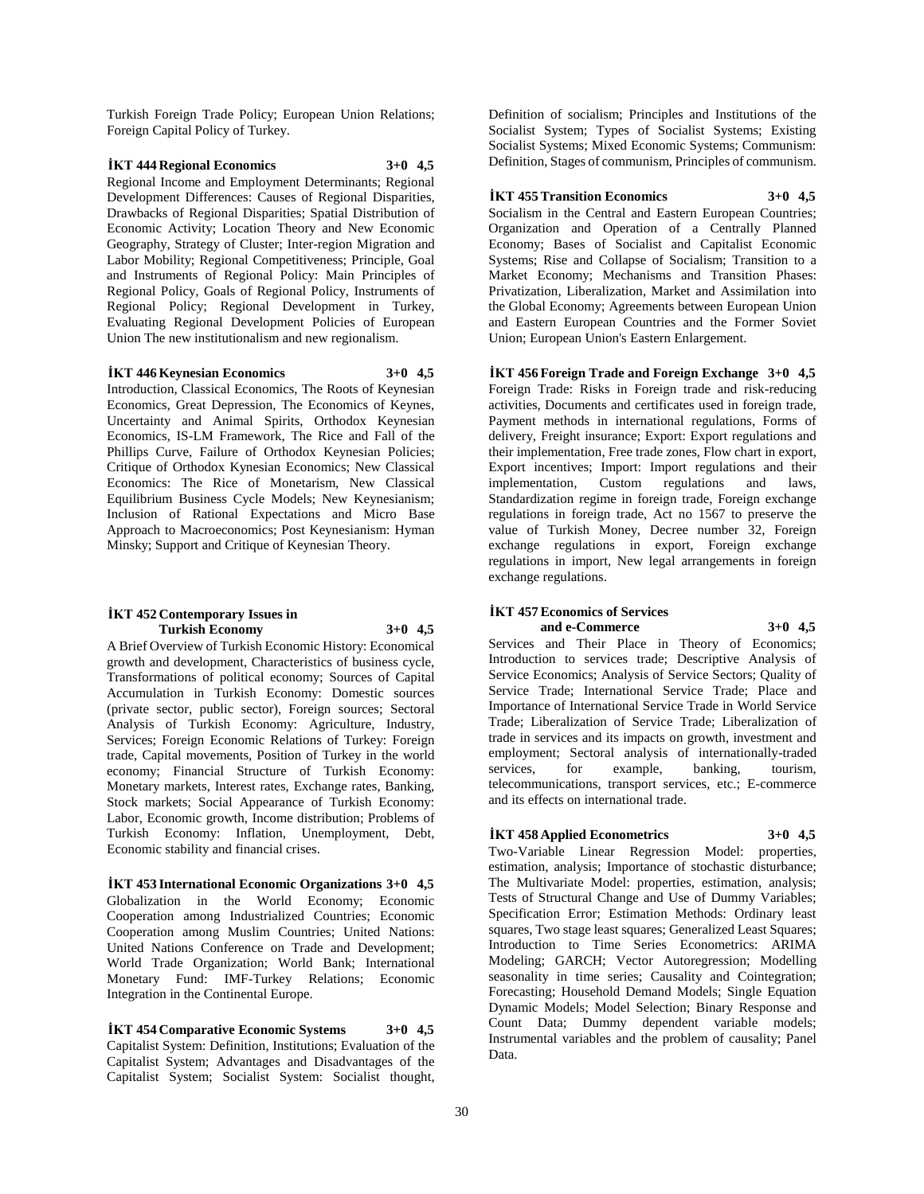Turkish Foreign Trade Policy; European Union Relations; Foreign Capital Policy of Turkey.

### **İKT 444 Regional Economics 3+0 4,5** Regional Income and Employment Determinants; Regional Development Differences: Causes of Regional Disparities, Drawbacks of Regional Disparities; Spatial Distribution of Economic Activity; Location Theory and New Economic

Geography, Strategy of Cluster; Inter-region Migration and Labor Mobility; Regional Competitiveness; Principle, Goal and Instruments of Regional Policy: Main Principles of Regional Policy, Goals of Regional Policy, Instruments of Regional Policy; Regional Development in Turkey, Evaluating Regional Development Policies of European Union The new institutionalism and new regionalism.

#### **İKT 446 Keynesian Economics 3+0 4,5**

Introduction, Classical Economics, The Roots of Keynesian Economics, Great Depression, The Economics of Keynes, Uncertainty and Animal Spirits, Orthodox Keynesian Economics, IS-LM Framework, The Rice and Fall of the Phillips Curve, Failure of Orthodox Keynesian Policies; Critique of Orthodox Kynesian Economics; New Classical Economics: The Rice of Monetarism, New Classical Equilibrium Business Cycle Models; New Keynesianism; Inclusion of Rational Expectations and Micro Base Approach to Macroeconomics; Post Keynesianism: Hyman Minsky; Support and Critique of Keynesian Theory.

#### **İKT 452 Contemporary Issues in Turkish Economy 3+0 4,5**

A Brief Overview of Turkish Economic History: Economical growth and development, Characteristics of business cycle, Transformations of political economy; Sources of Capital Accumulation in Turkish Economy: Domestic sources (private sector, public sector), Foreign sources; Sectoral Analysis of Turkish Economy: Agriculture, Industry, Services; Foreign Economic Relations of Turkey: Foreign trade, Capital movements, Position of Turkey in the world economy; Financial Structure of Turkish Economy: Monetary markets, Interest rates, Exchange rates, Banking, Stock markets; Social Appearance of Turkish Economy: Labor, Economic growth, Income distribution; Problems of Turkish Economy: Inflation, Unemployment, Debt, Economic stability and financial crises.

**İKT 453 International Economic Organizations 3+0 4,5** Globalization in the World Economy; Economic Cooperation among Industrialized Countries; Economic Cooperation among Muslim Countries; United Nations: United Nations Conference on Trade and Development; World Trade Organization; World Bank; International Monetary Fund: IMF-Turkey Relations; Economic Integration in the Continental Europe.

**İKT 454 Comparative Economic Systems 3+0 4,5** Capitalist System: Definition, Institutions; Evaluation of the Capitalist System; Advantages and Disadvantages of the Capitalist System; Socialist System: Socialist thought,

Definition of socialism; Principles and Institutions of the Socialist System; Types of Socialist Systems; Existing Socialist Systems; Mixed Economic Systems; Communism: Definition, Stages of communism, Principles of communism.

#### **İKT 455 Transition Economics 3+0 4,5**

Socialism in the Central and Eastern European Countries; Organization and Operation of a Centrally Planned Economy; Bases of Socialist and Capitalist Economic Systems; Rise and Collapse of Socialism; Transition to a Market Economy; Mechanisms and Transition Phases: Privatization, Liberalization, Market and Assimilation into the Global Economy; Agreements between European Union and Eastern European Countries and the Former Soviet Union; European Union's Eastern Enlargement.

**İKT 456 Foreign Trade and Foreign Exchange 3+0 4,5** Foreign Trade: Risks in Foreign trade and risk-reducing activities, Documents and certificates used in foreign trade, Payment methods in international regulations, Forms of delivery, Freight insurance; Export: Export regulations and their implementation, Free trade zones, Flow chart in export, Export incentives; Import: Import regulations and their implementation, Custom regulations and laws, Standardization regime in foreign trade, Foreign exchange regulations in foreign trade, Act no 1567 to preserve the value of Turkish Money, Decree number 32, Foreign exchange regulations in export, Foreign exchange regulations in import, New legal arrangements in foreign exchange regulations.

### **İKT 457 Economics of Services and e-Commerce 3+0 4,5**

Services and Their Place in Theory of Economics; Introduction to services trade; Descriptive Analysis of Service Economics; Analysis of Service Sectors; Quality of Service Trade; International Service Trade; Place and Importance of International Service Trade in World Service Trade; Liberalization of Service Trade; Liberalization of trade in services and its impacts on growth, investment and employment; Sectoral analysis of internationally-traded services, for example, banking, tourism, telecommunications, transport services, etc.; E-commerce and its effects on international trade.

#### **İKT 458 Applied Econometrics 3+0 4,5**

Two-Variable Linear Regression Model: properties, estimation, analysis; Importance of stochastic disturbance; The Multivariate Model: properties, estimation, analysis; Tests of Structural Change and Use of Dummy Variables; Specification Error; Estimation Methods: Ordinary least squares, Two stage least squares; Generalized Least Squares; Introduction to Time Series Econometrics: ARIMA Modeling; GARCH; Vector Autoregression; Modelling seasonality in time series; Causality and Cointegration; Forecasting; Household Demand Models; Single Equation Dynamic Models; Model Selection; Binary Response and Count Data; Dummy dependent variable models; Instrumental variables and the problem of causality; Panel Data.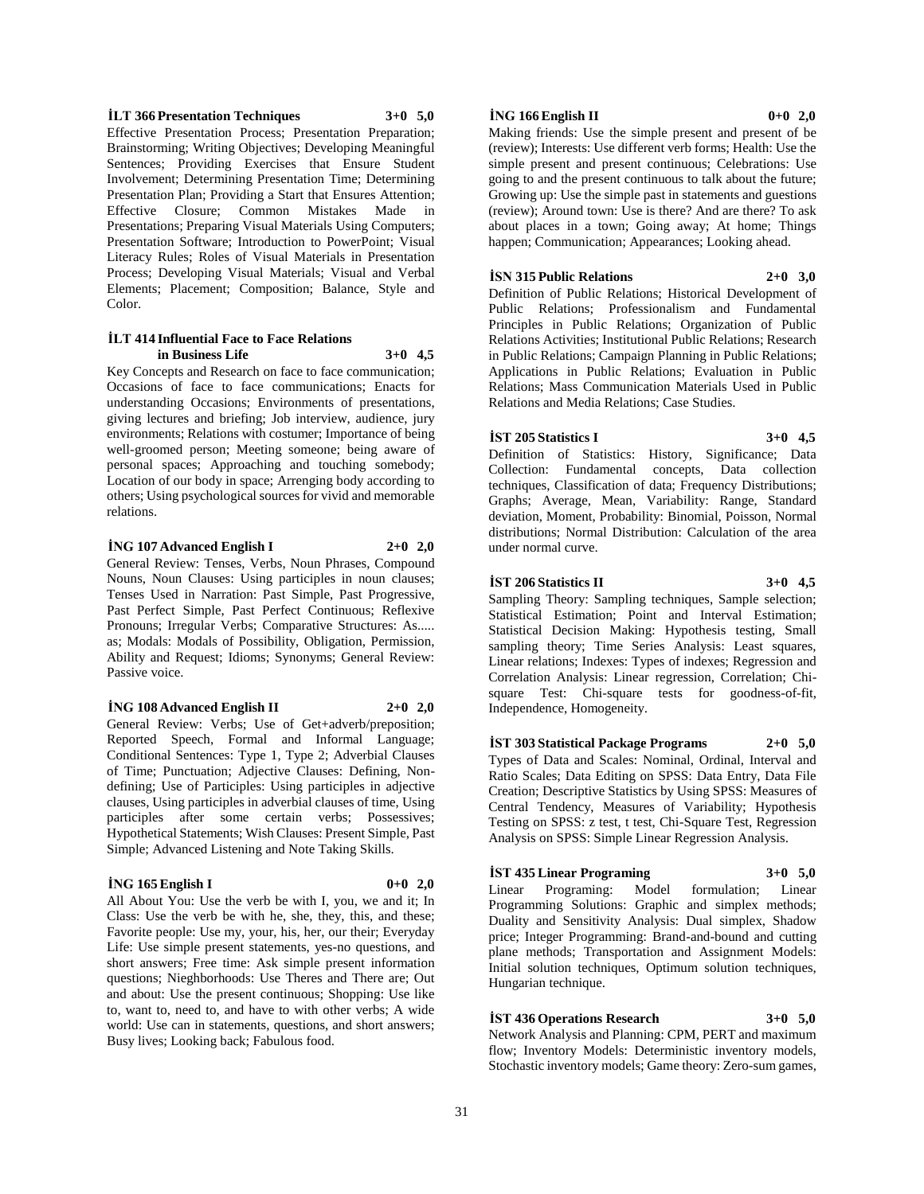**İLT 366 Presentation Techniques 3+0 5,0** Effective Presentation Process; Presentation Preparation; Brainstorming; Writing Objectives; Developing Meaningful Sentences; Providing Exercises that Ensure Student Involvement; Determining Presentation Time; Determining Presentation Plan; Providing a Start that Ensures Attention; Effective Closure; Common Mistakes Made in Presentations; Preparing Visual Materials Using Computers; Presentation Software; Introduction to PowerPoint; Visual Literacy Rules; Roles of Visual Materials in Presentation Process; Developing Visual Materials; Visual and Verbal Elements; Placement; Composition; Balance, Style and Color.

#### **İLT 414 Influential Face to Face Relations in Business Life 3+0 4,5**

Key Concepts and Research on face to face communication; Occasions of face to face communications; Enacts for understanding Occasions; Environments of presentations, giving lectures and briefing; Job interview, audience, jury environments; Relations with costumer; Importance of being well-groomed person; Meeting someone; being aware of personal spaces; Approaching and touching somebody; Location of our body in space; Arrenging body according to others; Using psychological sources for vivid and memorable relations.

### **İNG 107 Advanced English I 2+0 2,0**

General Review: Tenses, Verbs, Noun Phrases, Compound Nouns, Noun Clauses: Using participles in noun clauses; Tenses Used in Narration: Past Simple, Past Progressive, Past Perfect Simple, Past Perfect Continuous; Reflexive Pronouns; Irregular Verbs; Comparative Structures: As..... as; Modals: Modals of Possibility, Obligation, Permission, Ability and Request; Idioms; Synonyms; General Review: Passive voice.

#### **İNG 108 Advanced English II 2+0 2,0**

General Review: Verbs; Use of Get+adverb/preposition; Reported Speech, Formal and Informal Language; Conditional Sentences: Type 1, Type 2; Adverbial Clauses of Time; Punctuation; Adjective Clauses: Defining, Nondefining; Use of Participles: Using participles in adjective clauses, Using participles in adverbial clauses of time, Using participles after some certain verbs; Possessives; Hypothetical Statements; Wish Clauses: Present Simple, Past Simple; Advanced Listening and Note Taking Skills.

### **İNG 165 English I 0+0 2,0**

All About You: Use the verb be with I, you, we and it; In Class: Use the verb be with he, she, they, this, and these; Favorite people: Use my, your, his, her, our their; Everyday Life: Use simple present statements, yes-no questions, and short answers; Free time: Ask simple present information questions; Nieghborhoods: Use Theres and There are; Out and about: Use the present continuous; Shopping: Use like to, want to, need to, and have to with other verbs; A wide world: Use can in statements, questions, and short answers; Busy lives; Looking back; Fabulous food.

#### **İNG 166 English II 0+0 2,0**

Making friends: Use the simple present and present of be (review); Interests: Use different verb forms; Health: Use the simple present and present continuous; Celebrations: Use going to and the present continuous to talk about the future; Growing up: Use the simple past in statements and guestions (review); Around town: Use is there? And are there? To ask about places in a town; Going away; At home; Things happen; Communication; Appearances; Looking ahead.

#### **İSN 315 Public Relations 2+0 3,0**

Definition of Public Relations; Historical Development of Public Relations; Professionalism and Fundamental Principles in Public Relations; Organization of Public Relations Activities; Institutional Public Relations; Research in Public Relations; Campaign Planning in Public Relations; Applications in Public Relations; Evaluation in Public Relations; Mass Communication Materials Used in Public Relations and Media Relations; Case Studies.

### **İST 205 Statistics I 3+0 4,5**

Definition of Statistics: History, Significance; Data Collection: Fundamental concepts, Data collection techniques, Classification of data; Frequency Distributions; Graphs; Average, Mean, Variability: Range, Standard deviation, Moment, Probability: Binomial, Poisson, Normal distributions; Normal Distribution: Calculation of the area under normal curve.

### **İST 206 Statistics II 3+0 4,5**

Sampling Theory: Sampling techniques, Sample selection; Statistical Estimation; Point and Interval Estimation; Statistical Decision Making: Hypothesis testing, Small sampling theory; Time Series Analysis: Least squares, Linear relations; Indexes: Types of indexes; Regression and Correlation Analysis: Linear regression, Correlation; Chisquare Test: Chi-square tests for goodness-of-fit, Independence, Homogeneity.

**İST 303 Statistical Package Programs 2+0 5,0** Types of Data and Scales: Nominal, Ordinal, Interval and Ratio Scales; Data Editing on SPSS: Data Entry, Data File Creation; Descriptive Statistics by Using SPSS: Measures of Central Tendency, Measures of Variability; Hypothesis Testing on SPSS: z test, t test, Chi-Square Test, Regression Analysis on SPSS: Simple Linear Regression Analysis.

### **İST 435 Linear Programing 3+0 5,0**

Linear Programing: Model formulation; Linear Programming Solutions: Graphic and simplex methods; Duality and Sensitivity Analysis: Dual simplex, Shadow price; Integer Programming: Brand-and-bound and cutting plane methods; Transportation and Assignment Models: Initial solution techniques, Optimum solution techniques, Hungarian technique.

### **İST 436 Operations Research 3+0 5,0**

Network Analysis and Planning: CPM, PERT and maximum flow; Inventory Models: Deterministic inventory models, Stochastic inventory models; Game theory: Zero-sum games,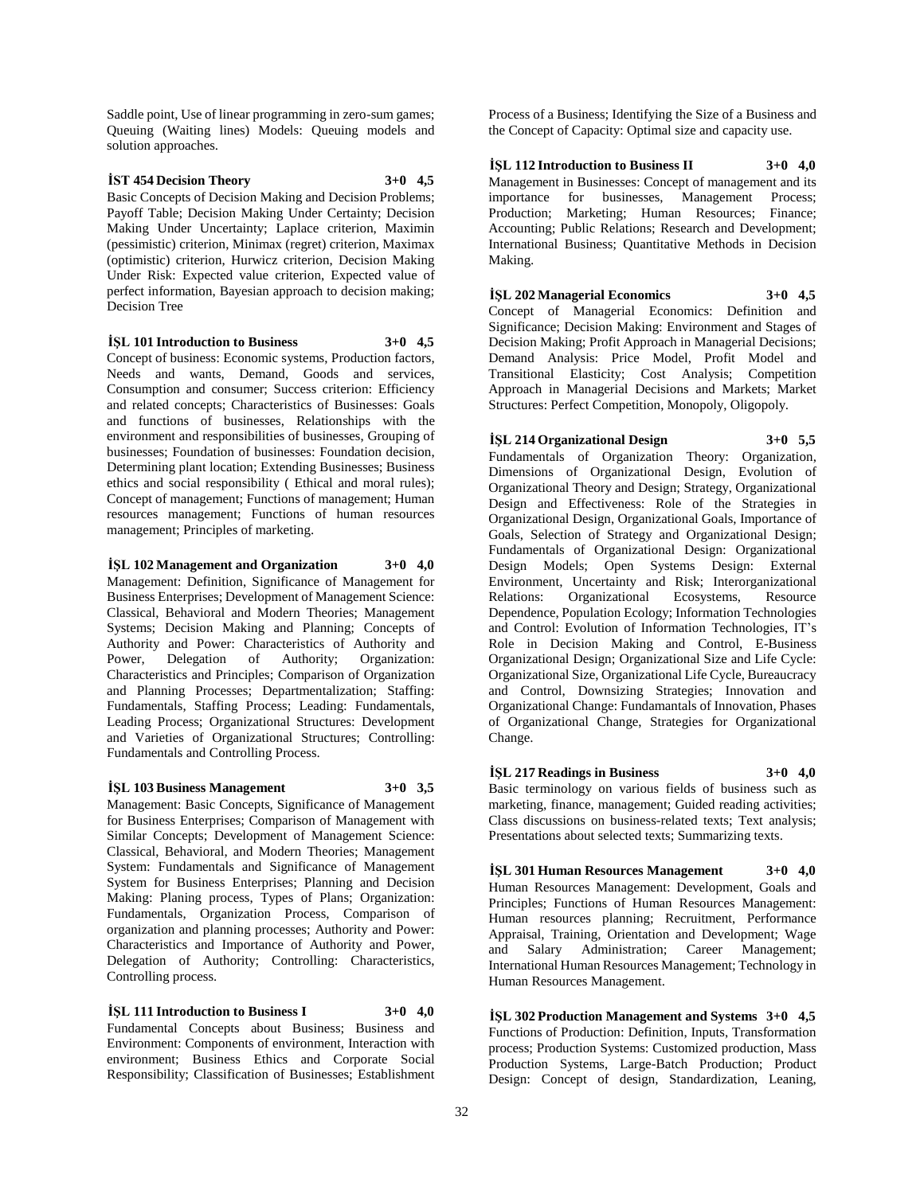Saddle point, Use of linear programming in zero-sum games; Queuing (Waiting lines) Models: Queuing models and solution approaches.

### **İST 454 Decision Theory 3+0 4,5**

Basic Concepts of Decision Making and Decision Problems; Payoff Table; Decision Making Under Certainty; Decision Making Under Uncertainty; Laplace criterion, Maximin (pessimistic) criterion, Minimax (regret) criterion, Maximax (optimistic) criterion, Hurwicz criterion, Decision Making Under Risk: Expected value criterion, Expected value of perfect information, Bayesian approach to decision making; Decision Tree

#### **İŞL 101 Introduction to Business 3+0 4,5**

Concept of business: Economic systems, Production factors, Needs and wants, Demand, Goods and services, Consumption and consumer; Success criterion: Efficiency and related concepts; Characteristics of Businesses: Goals and functions of businesses, Relationships with the environment and responsibilities of businesses, Grouping of businesses; Foundation of businesses: Foundation decision, Determining plant location; Extending Businesses; Business ethics and social responsibility ( Ethical and moral rules); Concept of management; Functions of management; Human resources management; Functions of human resources management; Principles of marketing.

#### **İŞL 102 Management and Organization 3+0 4,0**

Management: Definition, Significance of Management for Business Enterprises; Development of Management Science: Classical, Behavioral and Modern Theories; Management Systems; Decision Making and Planning; Concepts of Authority and Power: Characteristics of Authority and Power, Delegation of Authority; Organization: Characteristics and Principles; Comparison of Organization and Planning Processes; Departmentalization; Staffing: Fundamentals, Staffing Process; Leading: Fundamentals, Leading Process; Organizational Structures: Development and Varieties of Organizational Structures; Controlling: Fundamentals and Controlling Process.

#### **İŞL 103 Business Management 3+0 3,5**

Management: Basic Concepts, Significance of Management for Business Enterprises; Comparison of Management with Similar Concepts; Development of Management Science: Classical, Behavioral, and Modern Theories; Management System: Fundamentals and Significance of Management System for Business Enterprises; Planning and Decision Making: Planing process, Types of Plans; Organization: Fundamentals, Organization Process, Comparison of organization and planning processes; Authority and Power: Characteristics and Importance of Authority and Power, Delegation of Authority; Controlling: Characteristics, Controlling process.

**İŞL 111 Introduction to Business I 3+0 4,0** Fundamental Concepts about Business; Business and Environment: Components of environment, Interaction with environment; Business Ethics and Corporate Social Responsibility; Classification of Businesses; Establishment

Process of a Business; Identifying the Size of a Business and the Concept of Capacity: Optimal size and capacity use.

**İŞL 112 Introduction to Business II 3+0 4,0** Management in Businesses: Concept of management and its importance for businesses, Management Process; Production; Marketing; Human Resources; Finance; Accounting; Public Relations; Research and Development; International Business; Quantitative Methods in Decision Making.

**İŞL 202 Managerial Economics 3+0 4,5** Concept of Managerial Economics: Definition and Significance; Decision Making: Environment and Stages of Decision Making; Profit Approach in Managerial Decisions; Demand Analysis: Price Model, Profit Model and Transitional Elasticity; Cost Analysis; Competition Approach in Managerial Decisions and Markets; Market Structures: Perfect Competition, Monopoly, Oligopoly.

**İŞL 214 Organizational Design 3+0 5,5** Fundamentals of Organization Theory: Organization, Dimensions of Organizational Design, Evolution of Organizational Theory and Design; Strategy, Organizational Design and Effectiveness: Role of the Strategies in Organizational Design, Organizational Goals, Importance of Goals, Selection of Strategy and Organizational Design; Fundamentals of Organizational Design: Organizational Design Models; Open Systems Design: External Environment, Uncertainty and Risk; Interorganizational Relations: Organizational Ecosystems, Resource Dependence, Population Ecology; Information Technologies and Control: Evolution of Information Technologies, IT's Role in Decision Making and Control, E-Business Organizational Design; Organizational Size and Life Cycle: Organizational Size, Organizational Life Cycle, Bureaucracy and Control, Downsizing Strategies; Innovation and Organizational Change: Fundamantals of Innovation, Phases of Organizational Change, Strategies for Organizational Change.

### **İŞL 217 Readings in Business 3+0 4,0**

Basic terminology on various fields of business such as marketing, finance, management; Guided reading activities; Class discussions on business-related texts; Text analysis; Presentations about selected texts; Summarizing texts.

**İŞL 301 Human Resources Management 3+0 4,0** Human Resources Management: Development, Goals and Principles; Functions of Human Resources Management: Human resources planning; Recruitment, Performance Appraisal, Training, Orientation and Development; Wage and Salary Administration; Career Management; International Human Resources Management; Technology in Human Resources Management.

**İŞL 302 Production Management and Systems 3+0 4,5** Functions of Production: Definition, Inputs, Transformation process; Production Systems: Customized production, Mass Production Systems, Large-Batch Production; Product Design: Concept of design, Standardization, Leaning,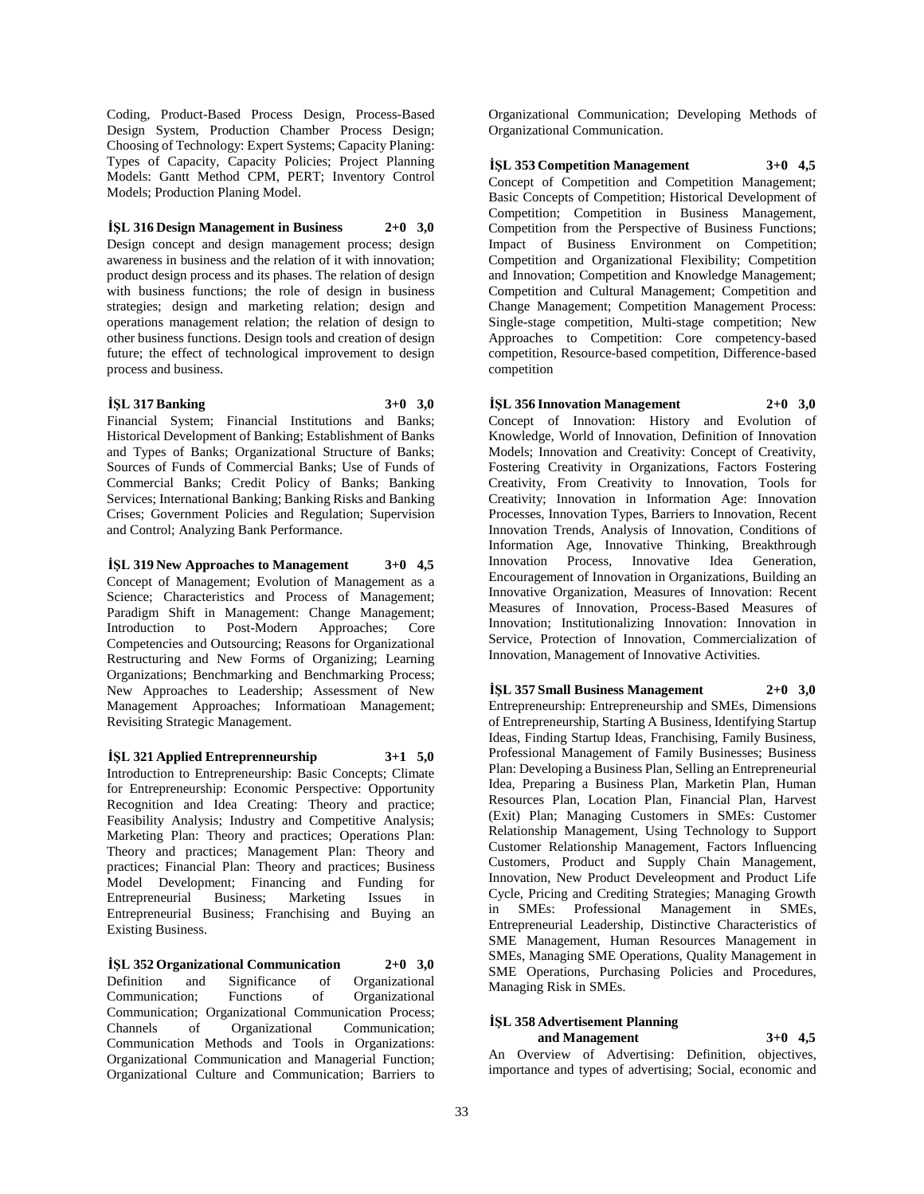Coding, Product-Based Process Design, Process-Based Design System, Production Chamber Process Design; Choosing of Technology: Expert Systems; Capacity Planing: Types of Capacity, Capacity Policies; Project Planning Models: Gantt Method CPM, PERT; Inventory Control Models; Production Planing Model.

### **İŞL 316 Design Management in Business 2+0 3,0**

Design concept and design management process; design awareness in business and the relation of it with innovation; product design process and its phases. The relation of design with business functions; the role of design in business strategies; design and marketing relation; design and operations management relation; the relation of design to other business functions. Design tools and creation of design future; the effect of technological improvement to design process and business.

#### **İŞL 317 Banking 3+0 3,0**

Financial System; Financial Institutions and Banks; Historical Development of Banking; Establishment of Banks and Types of Banks; Organizational Structure of Banks; Sources of Funds of Commercial Banks; Use of Funds of Commercial Banks; Credit Policy of Banks; Banking Services; International Banking; Banking Risks and Banking Crises; Government Policies and Regulation; Supervision and Control; Analyzing Bank Performance.

**İŞL 319 New Approaches to Management 3+0 4,5** Concept of Management; Evolution of Management as a Science; Characteristics and Process of Management; Paradigm Shift in Management: Change Management; Introduction to Post-Modern Approaches; Core Competencies and Outsourcing; Reasons for Organizational Restructuring and New Forms of Organizing; Learning Organizations; Benchmarking and Benchmarking Process; New Approaches to Leadership; Assessment of New Management Approaches; Informatioan Management; Revisiting Strategic Management.

**İŞL 321 Applied Entreprenneurship 3+1 5,0** Introduction to Entrepreneurship: Basic Concepts; Climate for Entrepreneurship: Economic Perspective: Opportunity Recognition and Idea Creating: Theory and practice; Feasibility Analysis; Industry and Competitive Analysis; Marketing Plan: Theory and practices; Operations Plan: Theory and practices; Management Plan: Theory and practices; Financial Plan: Theory and practices; Business Model Development; Financing and Funding for<br>Entrepreneurial Business; Marketing Issues in Entrepreneurial Business; Marketing Issues in Entrepreneurial Business; Franchising and Buying an Existing Business.

**İŞL 352 Organizational Communication 2+0 3,0** Definition and Significance of Organizational Communication; Functions of Organizational Communication; Organizational Communication Process; Channels of Organizational Communication; Communication Methods and Tools in Organizations: Organizational Communication and Managerial Function; Organizational Culture and Communication; Barriers to Organizational Communication; Developing Methods of Organizational Communication.

**İŞL 353 Competition Management 3+0 4,5**

Concept of Competition and Competition Management; Basic Concepts of Competition; Historical Development of Competition; Competition in Business Management, Competition from the Perspective of Business Functions; Impact of Business Environment on Competition; Competition and Organizational Flexibility; Competition and Innovation; Competition and Knowledge Management; Competition and Cultural Management; Competition and Change Management; Competition Management Process: Single-stage competition, Multi-stage competition; New Approaches to Competition: Core competency-based competition, Resource-based competition, Difference-based competition

**İŞL 356 Innovation Management 2+0 3,0** Concept of Innovation: History and Evolution of Knowledge, World of Innovation, Definition of Innovation Models; Innovation and Creativity: Concept of Creativity, Fostering Creativity in Organizations, Factors Fostering Creativity, From Creativity to Innovation, Tools for Creativity; Innovation in Information Age: Innovation Processes, Innovation Types, Barriers to Innovation, Recent Innovation Trends, Analysis of Innovation, Conditions of Information Age, Innovative Thinking, Breakthrough Innovation Process, Innovative Idea Generation, Encouragement of Innovation in Organizations, Building an Innovative Organization, Measures of Innovation: Recent Measures of Innovation, Process-Based Measures of Innovation; Institutionalizing Innovation: Innovation in Service, Protection of Innovation, Commercialization of Innovation, Management of Innovative Activities.

**İŞL 357 Small Business Management 2+0 3,0** Entrepreneurship: Entrepreneurship and SMEs, Dimensions of Entrepreneurship, Starting A Business, Identifying Startup Ideas, Finding Startup Ideas, Franchising, Family Business, Professional Management of Family Businesses; Business Plan: Developing a Business Plan, Selling an Entrepreneurial Idea, Preparing a Business Plan, Marketin Plan, Human Resources Plan, Location Plan, Financial Plan, Harvest (Exit) Plan; Managing Customers in SMEs: Customer Relationship Management, Using Technology to Support Customer Relationship Management, Factors Influencing Customers, Product and Supply Chain Management, Innovation, New Product Develeopment and Product Life Cycle, Pricing and Crediting Strategies; Managing Growth in SMEs: Professional Management in SMEs, Entrepreneurial Leadership, Distinctive Characteristics of SME Management, Human Resources Management in SMEs, Managing SME Operations, Quality Management in SME Operations, Purchasing Policies and Procedures, Managing Risk in SMEs.

#### **İŞL 358 Advertisement Planning and Management 3+0 4,5**

An Overview of Advertising: Definition, objectives, importance and types of advertising; Social, economic and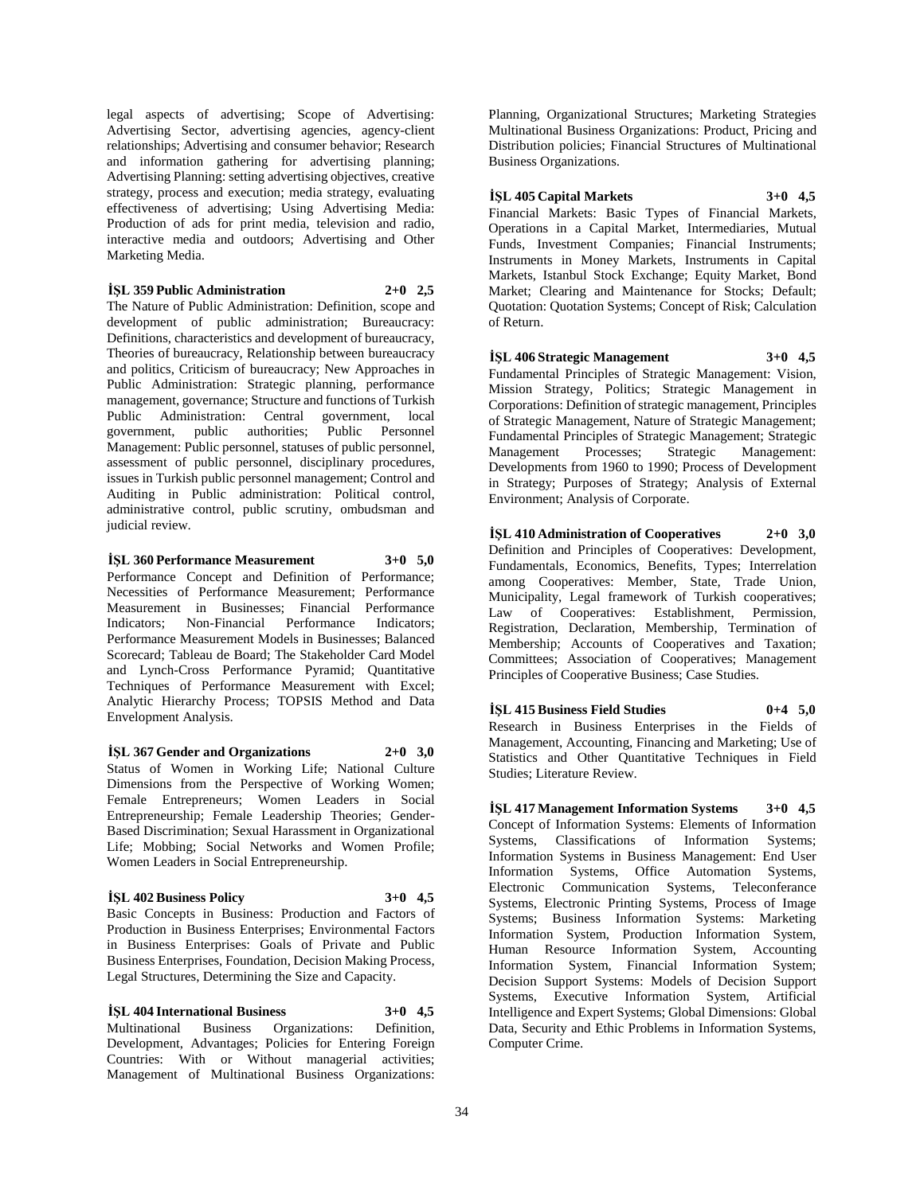legal aspects of advertising; Scope of Advertising: Advertising Sector, advertising agencies, agency-client relationships; Advertising and consumer behavior; Research and information gathering for advertising planning; Advertising Planning: setting advertising objectives, creative strategy, process and execution; media strategy, evaluating effectiveness of advertising; Using Advertising Media: Production of ads for print media, television and radio, interactive media and outdoors; Advertising and Other Marketing Media.

**İŞL 359 Public Administration 2+0 2,5**

The Nature of Public Administration: Definition, scope and development of public administration; Bureaucracy: Definitions, characteristics and development of bureaucracy, Theories of bureaucracy, Relationship between bureaucracy and politics, Criticism of bureaucracy; New Approaches in Public Administration: Strategic planning, performance management, governance; Structure and functions of Turkish<br>Public Administration: Central government. local Administration: Central government, local government, public authorities; Public Personnel Management: Public personnel, statuses of public personnel, assessment of public personnel, disciplinary procedures, issues in Turkish public personnel management; Control and Auditing in Public administration: Political control, administrative control, public scrutiny, ombudsman and judicial review.

**İŞL 360 Performance Measurement 3+0 5,0**

Performance Concept and Definition of Performance; Necessities of Performance Measurement; Performance Measurement in Businesses; Financial Performance Indicators; Non-Financial Performance Indicators; Performance Measurement Models in Businesses; Balanced Scorecard; Tableau de Board; The Stakeholder Card Model and Lynch-Cross Performance Pyramid; Quantitative Techniques of Performance Measurement with Excel; Analytic Hierarchy Process; TOPSIS Method and Data Envelopment Analysis.

#### **İŞL 367 Gender and Organizations 2+0 3,0** Status of Women in Working Life; National Culture Dimensions from the Perspective of Working Women; Female Entrepreneurs; Women Leaders in Social Entrepreneurship; Female Leadership Theories; Gender-Based Discrimination; Sexual Harassment in Organizational Life; Mobbing; Social Networks and Women Profile; Women Leaders in Social Entrepreneurship.

### **İŞL 402 Business Policy 3+0 4,5**

Basic Concepts in Business: Production and Factors of Production in Business Enterprises; Environmental Factors in Business Enterprises: Goals of Private and Public Business Enterprises, Foundation, Decision Making Process, Legal Structures, Determining the Size and Capacity.

**İŞL 404 International Business 3+0 4,5** Multinational Business Organizations: Definition, Development, Advantages; Policies for Entering Foreign Countries: With or Without managerial activities; Management of Multinational Business Organizations: Planning, Organizational Structures; Marketing Strategies Multinational Business Organizations: Product, Pricing and Distribution policies; Financial Structures of Multinational Business Organizations.

**İŞL 405 Capital Markets 3+0 4,5**

Financial Markets: Basic Types of Financial Markets, Operations in a Capital Market, Intermediaries, Mutual Funds, Investment Companies; Financial Instruments; Instruments in Money Markets, Instruments in Capital Markets, Istanbul Stock Exchange; Equity Market, Bond Market; Clearing and Maintenance for Stocks; Default; Quotation: Quotation Systems; Concept of Risk; Calculation of Return.

**İŞL 406 Strategic Management 3+0 4,5** Fundamental Principles of Strategic Management: Vision, Mission Strategy, Politics; Strategic Management in Corporations: Definition of strategic management, Principles of Strategic Management, Nature of Strategic Management; Fundamental Principles of Strategic Management; Strategic Management Processes; Strategic Management: Developments from 1960 to 1990; Process of Development in Strategy; Purposes of Strategy; Analysis of External Environment; Analysis of Corporate.

**İŞL 410 Administration of Cooperatives 2+0 3,0** Definition and Principles of Cooperatives: Development, Fundamentals, Economics, Benefits, Types; Interrelation among Cooperatives: Member, State, Trade Union, Municipality, Legal framework of Turkish cooperatives; Law of Cooperatives: Establishment, Permission, Registration, Declaration, Membership, Termination of Membership; Accounts of Cooperatives and Taxation; Committees; Association of Cooperatives; Management Principles of Cooperative Business; Case Studies.

**İŞL 415 Business Field Studies 0+4 5,0** Research in Business Enterprises in the Fields of Management, Accounting, Financing and Marketing; Use of Statistics and Other Quantitative Techniques in Field Studies; Literature Review.

**İŞL 417 Management Information Systems 3+0 4,5** Concept of Information Systems: Elements of Information Systems, Classifications of Information Systems; Information Systems in Business Management: End User Information Systems, Office Automation Systems, Electronic Communication Systems, Teleconferance Systems, Electronic Printing Systems, Process of Image Systems; Business Information Systems: Marketing Information System, Production Information System, Human Resource Information System, Accounting Information System, Financial Information System; Decision Support Systems: Models of Decision Support Systems, Executive Information System, Artificial Intelligence and Expert Systems; Global Dimensions: Global Data, Security and Ethic Problems in Information Systems, Computer Crime.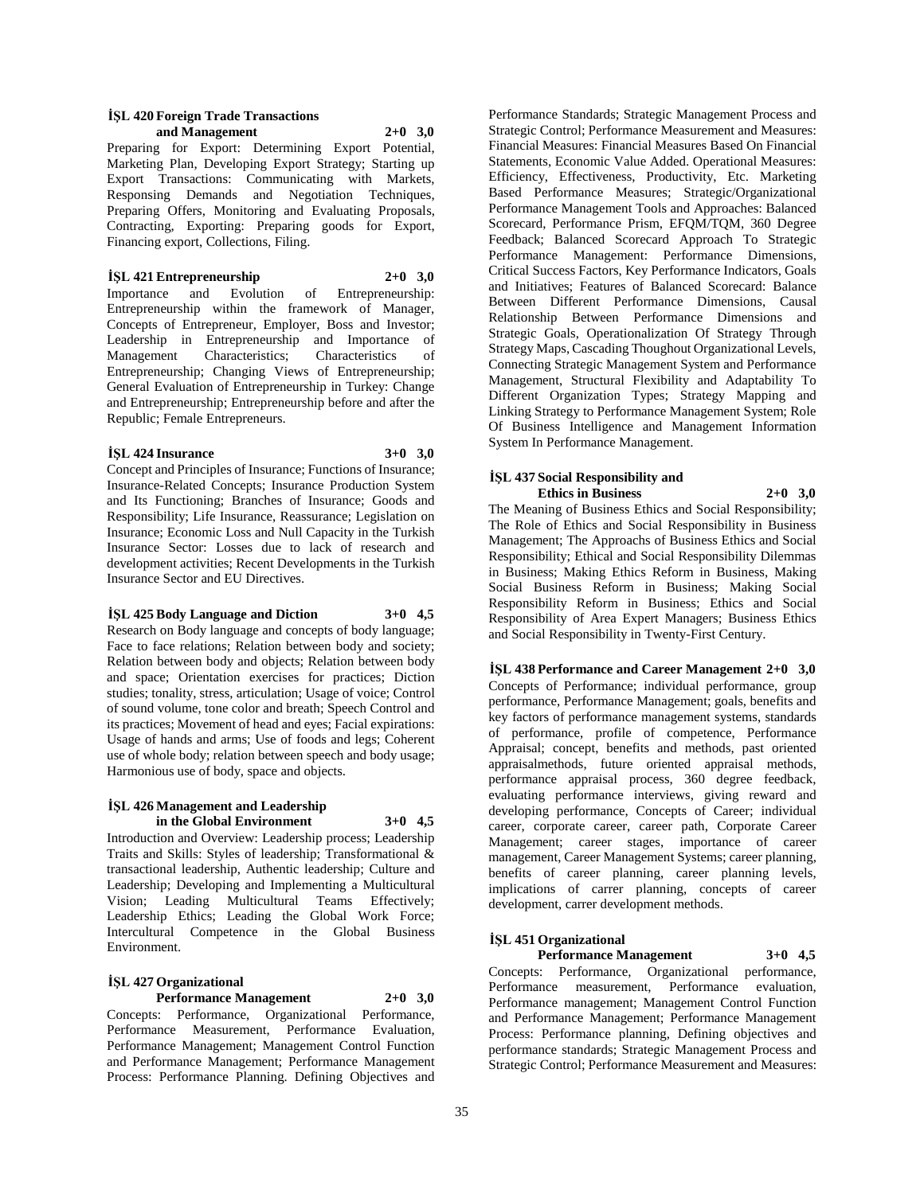#### **İŞL 420 Foreign Trade Transactions and Management 2+0 3,0**

Preparing for Export: Determining Export Potential, Marketing Plan, Developing Export Strategy; Starting up Export Transactions: Communicating with Markets, Responsing Demands and Negotiation Techniques, Preparing Offers, Monitoring and Evaluating Proposals, Contracting, Exporting: Preparing goods for Export, Financing export, Collections, Filing.

**İŞL 421 Entrepreneurship 2+0 3,0**

Importance and Evolution of Entrepreneurship: Entrepreneurship within the framework of Manager, Concepts of Entrepreneur, Employer, Boss and Investor; Leadership in Entrepreneurship and Importance of Characteristics; Characteristics of Entrepreneurship; Changing Views of Entrepreneurship; General Evaluation of Entrepreneurship in Turkey: Change and Entrepreneurship; Entrepreneurship before and after the Republic; Female Entrepreneurs.

### **İŞL 424 Insurance 3+0 3,0**

Concept and Principles of Insurance; Functions of Insurance; Insurance-Related Concepts; Insurance Production System and Its Functioning; Branches of Insurance; Goods and Responsibility; Life Insurance, Reassurance; Legislation on Insurance; Economic Loss and Null Capacity in the Turkish Insurance Sector: Losses due to lack of research and development activities; Recent Developments in the Turkish Insurance Sector and EU Directives.

### **İŞL 425 Body Language and Diction 3+0 4,5**

Research on Body language and concepts of body language; Face to face relations; Relation between body and society; Relation between body and objects; Relation between body and space; Orientation exercises for practices; Diction studies; tonality, stress, articulation; Usage of voice; Control of sound volume, tone color and breath; Speech Control and its practices; Movement of head and eyes; Facial expirations: Usage of hands and arms; Use of foods and legs; Coherent use of whole body; relation between speech and body usage; Harmonious use of body, space and objects.

#### **İŞL 426 Management and Leadership in the Global Environment 3+0 4,5**

Introduction and Overview: Leadership process; Leadership Traits and Skills: Styles of leadership; Transformational & transactional leadership, Authentic leadership; Culture and Leadership; Developing and Implementing a Multicultural Vision; Leading Multicultural Teams Effectively; Leadership Ethics; Leading the Global Work Force; Intercultural Competence in the Global Business Environment.

### **İŞL 427 Organizational**

**Performance Management 2+0 3,0**

Concepts: Performance, Organizational Performance, Performance Measurement, Performance Evaluation, Performance Management; Management Control Function and Performance Management; Performance Management Process: Performance Planning. Defining Objectives and

Performance Standards; Strategic Management Process and Strategic Control; Performance Measurement and Measures: Financial Measures: Financial Measures Based On Financial Statements, Economic Value Added. Operational Measures: Efficiency, Effectiveness, Productivity, Etc. Marketing Based Performance Measures; Strategic/Organizational Performance Management Tools and Approaches: Balanced Scorecard, Performance Prism, EFQM/TQM, 360 Degree Feedback; Balanced Scorecard Approach To Strategic Performance Management: Performance Dimensions, Critical Success Factors, Key Performance Indicators, Goals and Initiatives; Features of Balanced Scorecard: Balance Between Different Performance Dimensions, Causal Relationship Between Performance Dimensions and Strategic Goals, Operationalization Of Strategy Through Strategy Maps, Cascading Thoughout Organizational Levels, Connecting Strategic Management System and Performance Management, Structural Flexibility and Adaptability To Different Organization Types; Strategy Mapping and Linking Strategy to Performance Management System; Role Of Business Intelligence and Management Information System In Performance Management.

#### **İŞL 437 Social Responsibility and Ethics in Business 2+0 3,0**

The Meaning of Business Ethics and Social Responsibility; The Role of Ethics and Social Responsibility in Business Management; The Approachs of Business Ethics and Social Responsibility; Ethical and Social Responsibility Dilemmas in Business; Making Ethics Reform in Business, Making Social Business Reform in Business; Making Social Responsibility Reform in Business; Ethics and Social Responsibility of Area Expert Managers; Business Ethics and Social Responsibility in Twenty-First Century.

**İŞL 438 Performance and Career Management 2+0 3,0** Concepts of Performance; individual performance, group performance, Performance Management; goals, benefits and key factors of performance management systems, standards of performance, profile of competence, Performance Appraisal; concept, benefits and methods, past oriented appraisalmethods, future oriented appraisal methods, performance appraisal process, 360 degree feedback, evaluating performance interviews, giving reward and developing performance, Concepts of Career; individual career, corporate career, career path, Corporate Career Management; career stages, importance of career management, Career Management Systems; career planning, benefits of career planning, career planning levels, implications of carrer planning, concepts of career development, carrer development methods.

### **İŞL 451 Organizational**

**Performance Management 3+0 4,5** Concepts: Performance, Organizational performance, Performance measurement, Performance evaluation, Performance management; Management Control Function and Performance Management; Performance Management Process: Performance planning, Defining objectives and performance standards; Strategic Management Process and Strategic Control; Performance Measurement and Measures: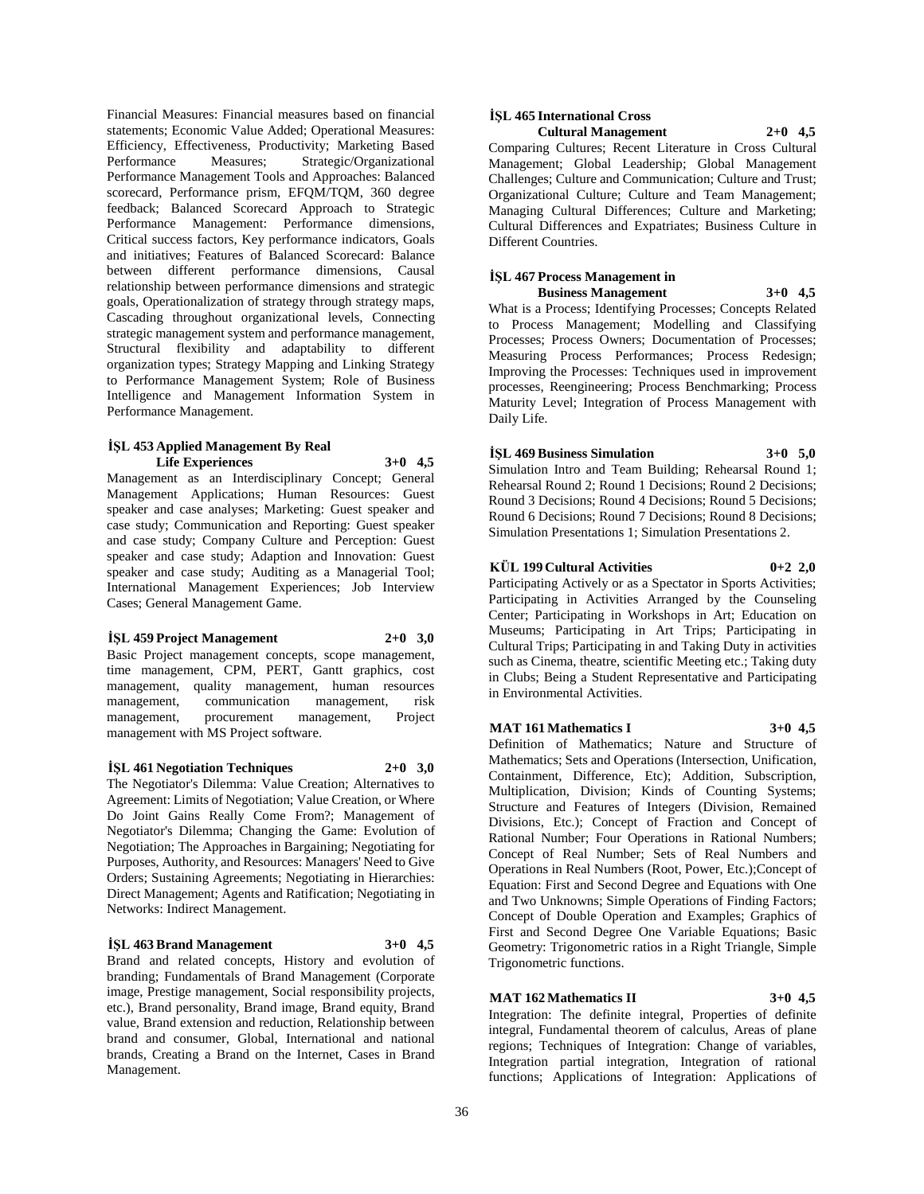Financial Measures: Financial measures based on financial statements; Economic Value Added; Operational Measures: Efficiency, Effectiveness, Productivity; Marketing Based Performance Measures; Strategic/Organizational Performance Management Tools and Approaches: Balanced scorecard, Performance prism, EFQM/TQM, 360 degree feedback; Balanced Scorecard Approach to Strategic Performance Management: Performance dimensions, Critical success factors, Key performance indicators, Goals and initiatives; Features of Balanced Scorecard: Balance between different performance dimensions, Causal relationship between performance dimensions and strategic goals, Operationalization of strategy through strategy maps, Cascading throughout organizational levels, Connecting strategic management system and performance management, Structural flexibility and adaptability to different organization types; Strategy Mapping and Linking Strategy to Performance Management System; Role of Business Intelligence and Management Information System in Performance Management.

#### **İŞL 453 Applied Management By Real Life Experiences 3+0 4,5**

Management as an Interdisciplinary Concept; General Management Applications; Human Resources: Guest speaker and case analyses; Marketing: Guest speaker and case study; Communication and Reporting: Guest speaker and case study; Company Culture and Perception: Guest speaker and case study; Adaption and Innovation: Guest speaker and case study; Auditing as a Managerial Tool; International Management Experiences; Job Interview Cases; General Management Game.

#### **İŞL 459 Project Management 2+0 3,0**

Basic Project management concepts, scope management, time management, CPM, PERT, Gantt graphics, cost management, quality management, human resources management, communication management, risk management, procurement management, Project management with MS Project software.

#### **İŞL 461 Negotiation Techniques 2+0 3,0**

The Negotiator's Dilemma: Value Creation; Alternatives to Agreement: Limits of Negotiation; Value Creation, or Where Do Joint Gains Really Come From?; Management of Negotiator's Dilemma; Changing the Game: Evolution of Negotiation; The Approaches in Bargaining; Negotiating for Purposes, Authority, and Resources: Managers' Need to Give Orders; Sustaining Agreements; Negotiating in Hierarchies: Direct Management; Agents and Ratification; Negotiating in Networks: Indirect Management.

#### **İŞL 463 Brand Management 3+0 4,5**

Brand and related concepts, History and evolution of branding; Fundamentals of Brand Management (Corporate image, Prestige management, Social responsibility projects, etc.), Brand personality, Brand image, Brand equity, Brand value, Brand extension and reduction, Relationship between brand and consumer, Global, International and national brands, Creating a Brand on the Internet, Cases in Brand Management.

#### **İŞL 465 International Cross Cultural Management 2+0 4,5**

Comparing Cultures; Recent Literature in Cross Cultural Management; Global Leadership; Global Management Challenges; Culture and Communication; Culture and Trust; Organizational Culture; Culture and Team Management; Managing Cultural Differences; Culture and Marketing; Cultural Differences and Expatriates; Business Culture in Different Countries.

#### **İŞL 467 Process Management in Business Management 3+0 4,5**

What is a Process; Identifying Processes; Concepts Related to Process Management; Modelling and Classifying Processes; Process Owners; Documentation of Processes; Measuring Process Performances; Process Redesign; Improving the Processes: Techniques used in improvement processes, Reengineering; Process Benchmarking; Process Maturity Level; Integration of Process Management with Daily Life.

### **İŞL 469 Business Simulation 3+0 5,0**

Simulation Intro and Team Building; Rehearsal Round 1; Rehearsal Round 2; Round 1 Decisions; Round 2 Decisions; Round 3 Decisions; Round 4 Decisions; Round 5 Decisions; Round 6 Decisions; Round 7 Decisions; Round 8 Decisions; Simulation Presentations 1; Simulation Presentations 2.

### **KÜL 199 Cultural Activities 0+2 2,0**

Participating Actively or as a Spectator in Sports Activities; Participating in Activities Arranged by the Counseling Center; Participating in Workshops in Art; Education on Museums; Participating in Art Trips; Participating in Cultural Trips; Participating in and Taking Duty in activities such as Cinema, theatre, scientific Meeting etc.; Taking duty in Clubs; Being a Student Representative and Participating in Environmental Activities.

### **MAT 161 Mathematics I 3+0 4,5**

Definition of Mathematics; Nature and Structure of Mathematics; Sets and Operations (Intersection, Unification, Containment, Difference, Etc); Addition, Subscription, Multiplication, Division; Kinds of Counting Systems; Structure and Features of Integers (Division, Remained Divisions, Etc.); Concept of Fraction and Concept of Rational Number; Four Operations in Rational Numbers; Concept of Real Number; Sets of Real Numbers and Operations in Real Numbers (Root, Power, Etc.);Concept of Equation: First and Second Degree and Equations with One and Two Unknowns; Simple Operations of Finding Factors; Concept of Double Operation and Examples; Graphics of First and Second Degree One Variable Equations; Basic Geometry: Trigonometric ratios in a Right Triangle, Simple Trigonometric functions.

### **MAT 162 Mathematics II 3+0 4,5**

Integration: The definite integral, Properties of definite integral, Fundamental theorem of calculus, Areas of plane regions; Techniques of Integration: Change of variables, Integration partial integration, Integration of rational functions; Applications of Integration: Applications of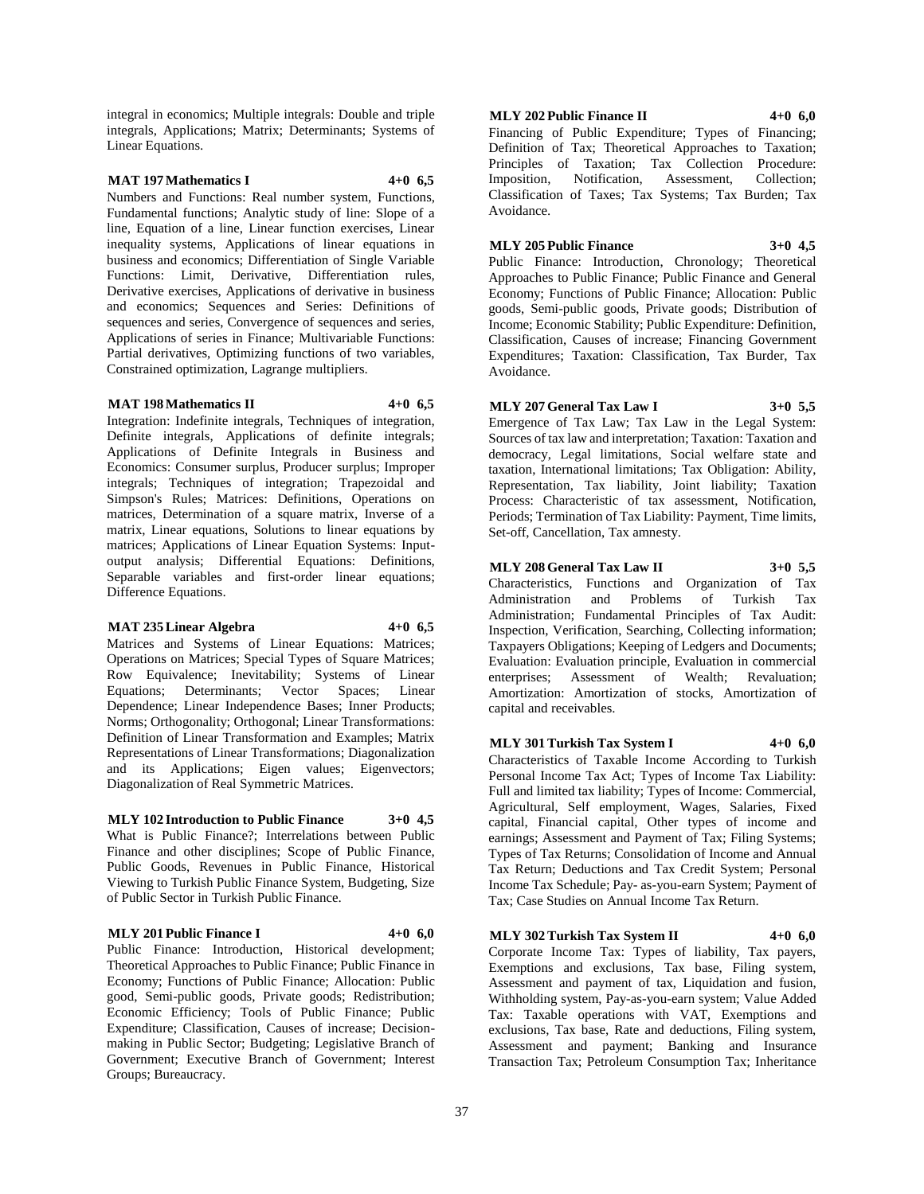integral in economics; Multiple integrals: Double and triple integrals, Applications; Matrix; Determinants; Systems of Linear Equations.

### **MAT 197 Mathematics I 4+0 6,5**

Numbers and Functions: Real number system, Functions, Fundamental functions; Analytic study of line: Slope of a line, Equation of a line, Linear function exercises, Linear inequality systems, Applications of linear equations in business and economics; Differentiation of Single Variable Functions: Limit, Derivative, Differentiation rules, Derivative exercises, Applications of derivative in business and economics; Sequences and Series: Definitions of sequences and series, Convergence of sequences and series, Applications of series in Finance; Multivariable Functions: Partial derivatives, Optimizing functions of two variables, Constrained optimization, Lagrange multipliers.

#### **MAT 198 Mathematics II 4+0 6,5**

Integration: Indefinite integrals, Techniques of integration, Definite integrals, Applications of definite integrals; Applications of Definite Integrals in Business and Economics: Consumer surplus, Producer surplus; Improper integrals; Techniques of integration; Trapezoidal and Simpson's Rules; Matrices: Definitions, Operations on matrices, Determination of a square matrix, Inverse of a matrix, Linear equations, Solutions to linear equations by matrices; Applications of Linear Equation Systems: Inputoutput analysis; Differential Equations: Definitions, Separable variables and first-order linear equations; Difference Equations.

#### **MAT 235 Linear Algebra 4+0 6,5**

Matrices and Systems of Linear Equations: Matrices; Operations on Matrices; Special Types of Square Matrices; Row Equivalence; Inevitability; Systems of Linear Equations; Determinants; Vector Spaces; Linear Dependence; Linear Independence Bases; Inner Products; Norms; Orthogonality; Orthogonal; Linear Transformations: Definition of Linear Transformation and Examples; Matrix Representations of Linear Transformations; Diagonalization and its Applications; Eigen values; Eigenvectors; Diagonalization of Real Symmetric Matrices.

#### **MLY 102 Introduction to Public Finance 3+0 4,5**

What is Public Finance?; Interrelations between Public Finance and other disciplines; Scope of Public Finance, Public Goods, Revenues in Public Finance, Historical Viewing to Turkish Public Finance System, Budgeting, Size of Public Sector in Turkish Public Finance.

### **MLY 201 Public Finance I 4+0 6,0**

Public Finance: Introduction, Historical development; Theoretical Approaches to Public Finance; Public Finance in Economy; Functions of Public Finance; Allocation: Public good, Semi-public goods, Private goods; Redistribution; Economic Efficiency; Tools of Public Finance; Public Expenditure; Classification, Causes of increase; Decisionmaking in Public Sector; Budgeting; Legislative Branch of Government; Executive Branch of Government; Interest Groups; Bureaucracy.

### **MLY 202 Public Finance II 4+0 6,0**

Financing of Public Expenditure; Types of Financing; Definition of Tax; Theoretical Approaches to Taxation; Principles of Taxation; Tax Collection Procedure: Imposition, Notification, Assessment, Collection; Classification of Taxes; Tax Systems; Tax Burden; Tax Avoidance.

#### **MLY 205 Public Finance 3+0 4,5**

Public Finance: Introduction, Chronology; Theoretical Approaches to Public Finance; Public Finance and General Economy; Functions of Public Finance; Allocation: Public goods, Semi-public goods, Private goods; Distribution of Income; Economic Stability; Public Expenditure: Definition, Classification, Causes of increase; Financing Government Expenditures; Taxation: Classification, Tax Burder, Tax Avoidance.

### **MLY 207 General Tax Law I 3+0 5,5**

Emergence of Tax Law; Tax Law in the Legal System: Sources of tax law and interpretation; Taxation: Taxation and democracy, Legal limitations, Social welfare state and taxation, International limitations; Tax Obligation: Ability, Representation, Tax liability, Joint liability; Taxation Process: Characteristic of tax assessment, Notification, Periods; Termination of Tax Liability: Payment, Time limits, Set-off, Cancellation, Tax amnesty.

#### **MLY 208 General Tax Law II 3+0 5,5**

Characteristics, Functions and Organization of Tax Administration and Problems of Turkish Administration; Fundamental Principles of Tax Audit: Inspection, Verification, Searching, Collecting information; Taxpayers Obligations; Keeping of Ledgers and Documents; Evaluation: Evaluation principle, Evaluation in commercial enterprises; Assessment of Wealth; Revaluation; Amortization: Amortization of stocks, Amortization of capital and receivables.

#### **MLY 301 Turkish Tax System I 4+0 6,0**

Characteristics of Taxable Income According to Turkish Personal Income Tax Act; Types of Income Tax Liability: Full and limited tax liability; Types of Income: Commercial, Agricultural, Self employment, Wages, Salaries, Fixed capital, Financial capital, Other types of income and earnings; Assessment and Payment of Tax; Filing Systems; Types of Tax Returns; Consolidation of Income and Annual Tax Return; Deductions and Tax Credit System; Personal Income Tax Schedule; Pay- as-you-earn System; Payment of Tax; Case Studies on Annual Income Tax Return.

#### **MLY 302 Turkish Tax System II 4+0 6,0**

Corporate Income Tax: Types of liability, Tax payers, Exemptions and exclusions, Tax base, Filing system, Assessment and payment of tax, Liquidation and fusion, Withholding system, Pay-as-you-earn system; Value Added Tax: Taxable operations with VAT, Exemptions and exclusions, Tax base, Rate and deductions, Filing system, Assessment and payment; Banking and Insurance Transaction Tax; Petroleum Consumption Tax; Inheritance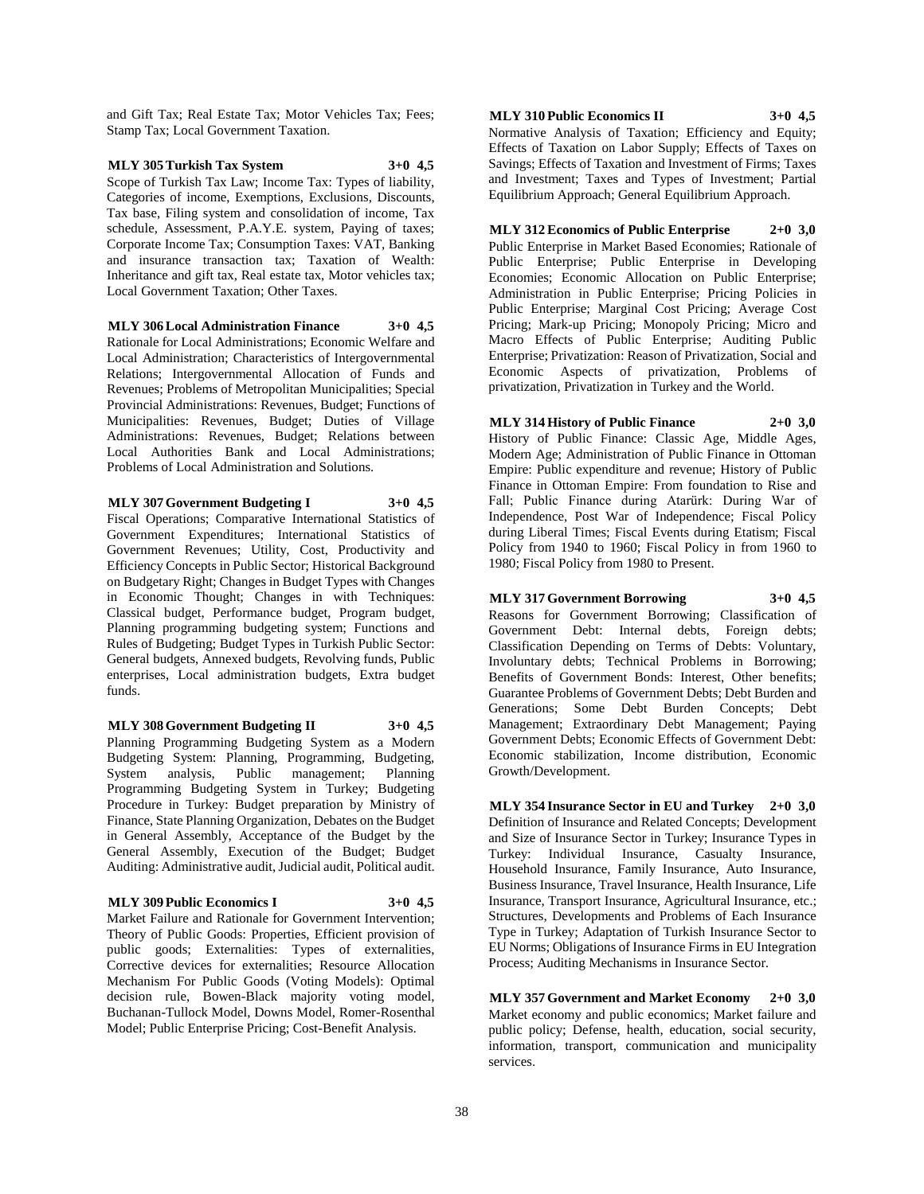and Gift Tax; Real Estate Tax; Motor Vehicles Tax; Fees; Stamp Tax; Local Government Taxation.

**MLY 305 Turkish Tax System 3+0 4,5** Scope of Turkish Tax Law; Income Tax: Types of liability, Categories of income, Exemptions, Exclusions, Discounts, Tax base, Filing system and consolidation of income, Tax schedule, Assessment, P.A.Y.E. system, Paying of taxes; Corporate Income Tax; Consumption Taxes: VAT, Banking and insurance transaction tax; Taxation of Wealth: Inheritance and gift tax, Real estate tax, Motor vehicles tax; Local Government Taxation; Other Taxes.

**MLY 306 Local Administration Finance 3+0 4,5** Rationale for Local Administrations; Economic Welfare and Local Administration; Characteristics of Intergovernmental Relations; Intergovernmental Allocation of Funds and Revenues; Problems of Metropolitan Municipalities; Special Provincial Administrations: Revenues, Budget; Functions of Municipalities: Revenues, Budget; Duties of Village Administrations: Revenues, Budget; Relations between Local Authorities Bank and Local Administrations; Problems of Local Administration and Solutions.

**MLY 307 Government Budgeting I 3+0 4,5** Fiscal Operations; Comparative International Statistics of Government Expenditures; International Statistics of Government Revenues; Utility, Cost, Productivity and Efficiency Concepts in Public Sector; Historical Background on Budgetary Right; Changes in Budget Types with Changes in Economic Thought; Changes in with Techniques: Classical budget, Performance budget, Program budget, Planning programming budgeting system; Functions and Rules of Budgeting; Budget Types in Turkish Public Sector: General budgets, Annexed budgets, Revolving funds, Public enterprises, Local administration budgets, Extra budget funds.

**MLY 308 Government Budgeting II 3+0 4,5** Planning Programming Budgeting System as a Modern Budgeting System: Planning, Programming, Budgeting, System analysis, Public management; Planning Programming Budgeting System in Turkey; Budgeting Procedure in Turkey: Budget preparation by Ministry of Finance, State Planning Organization, Debates on the Budget in General Assembly, Acceptance of the Budget by the General Assembly, Execution of the Budget; Budget Auditing: Administrative audit, Judicial audit, Political audit.

#### **MLY 309 Public Economics I 3+0 4,5**

Market Failure and Rationale for Government Intervention; Theory of Public Goods: Properties, Efficient provision of public goods; Externalities: Types of externalities, Corrective devices for externalities; Resource Allocation Mechanism For Public Goods (Voting Models): Optimal decision rule, Bowen-Black majority voting model, Buchanan-Tullock Model, Downs Model, Romer-Rosenthal Model; Public Enterprise Pricing; Cost-Benefit Analysis.

**MLY 310 Public Economics II 3+0 4,5**

Normative Analysis of Taxation; Efficiency and Equity; Effects of Taxation on Labor Supply; Effects of Taxes on Savings; Effects of Taxation and Investment of Firms; Taxes and Investment; Taxes and Types of Investment; Partial Equilibrium Approach; General Equilibrium Approach.

**MLY 312 Economics of Public Enterprise 2+0 3,0** Public Enterprise in Market Based Economies; Rationale of Public Enterprise; Public Enterprise in Developing Economies; Economic Allocation on Public Enterprise; Administration in Public Enterprise; Pricing Policies in Public Enterprise; Marginal Cost Pricing; Average Cost Pricing; Mark-up Pricing; Monopoly Pricing; Micro and Macro Effects of Public Enterprise; Auditing Public Enterprise; Privatization: Reason of Privatization, Social and Economic Aspects of privatization, Problems of privatization, Privatization in Turkey and the World.

**MLY 314 History of Public Finance 2+0 3,0** History of Public Finance: Classic Age, Middle Ages, Modern Age; Administration of Public Finance in Ottoman Empire: Public expenditure and revenue; History of Public Finance in Ottoman Empire: From foundation to Rise and Fall; Public Finance during Atarürk: During War of Independence, Post War of Independence; Fiscal Policy during Liberal Times; Fiscal Events during Etatism; Fiscal Policy from 1940 to 1960; Fiscal Policy in from 1960 to 1980; Fiscal Policy from 1980 to Present.

# **MLY 317 Government Borrowing 3+0 4,5**

Reasons for Government Borrowing; Classification of Government Debt: Internal debts, Foreign debts; Classification Depending on Terms of Debts: Voluntary, Involuntary debts; Technical Problems in Borrowing; Benefits of Government Bonds: Interest, Other benefits; Guarantee Problems of Government Debts; Debt Burden and Generations; Some Debt Burden Concepts; Debt Management; Extraordinary Debt Management; Paying Government Debts; Economic Effects of Government Debt: Economic stabilization, Income distribution, Economic Growth/Development.

**MLY 354 Insurance Sector in EU and Turkey 2+0 3,0** Definition of Insurance and Related Concepts; Development and Size of Insurance Sector in Turkey; Insurance Types in Turkey: Individual Insurance, Casualty Insurance, Household Insurance, Family Insurance, Auto Insurance, Business Insurance, Travel Insurance, Health Insurance, Life Insurance, Transport Insurance, Agricultural Insurance, etc.; Structures, Developments and Problems of Each Insurance Type in Turkey; Adaptation of Turkish Insurance Sector to EU Norms; Obligations of Insurance Firms in EU Integration Process; Auditing Mechanisms in Insurance Sector.

**MLY 357 Government and Market Economy 2+0 3,0** Market economy and public economics; Market failure and public policy; Defense, health, education, social security, information, transport, communication and municipality services.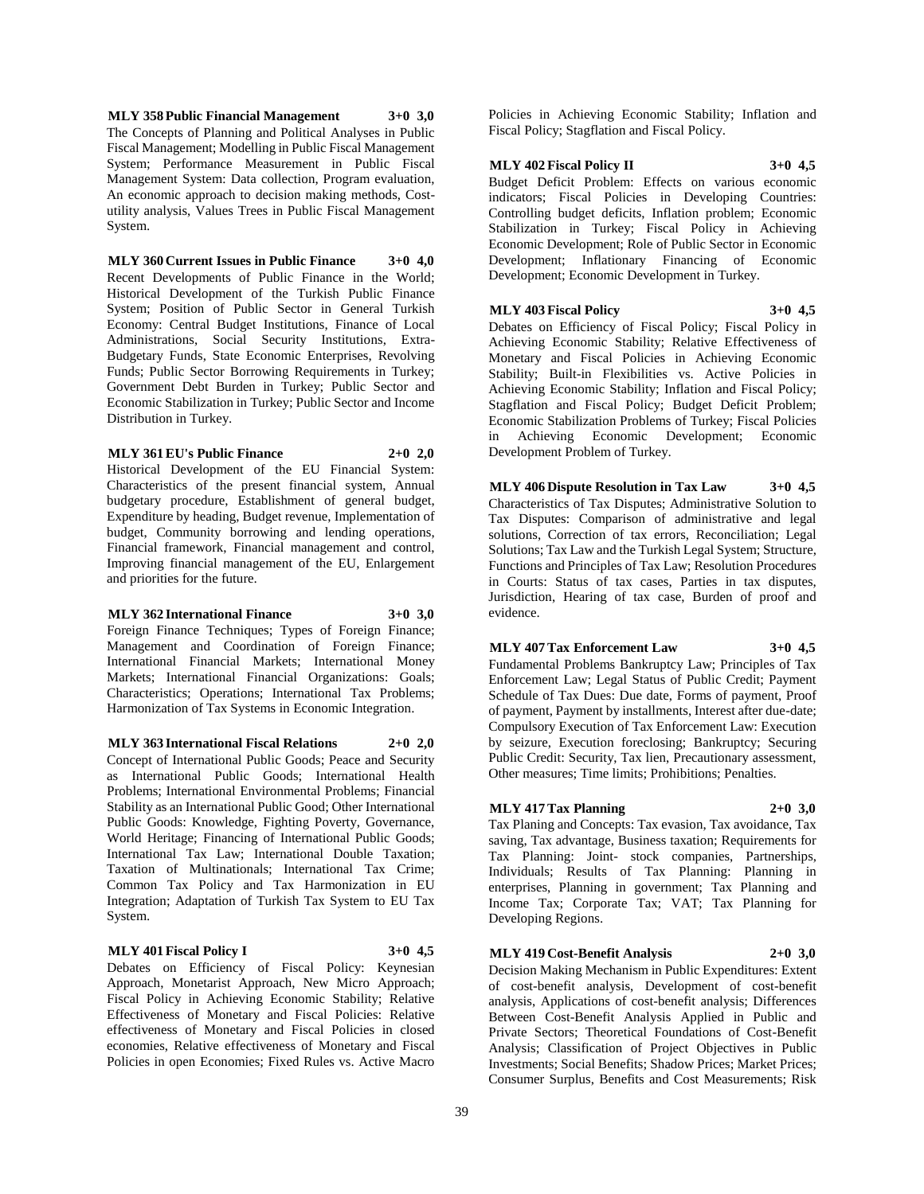**MLY 358 Public Financial Management 3+0 3,0** The Concepts of Planning and Political Analyses in Public Fiscal Management; Modelling in Public Fiscal Management System; Performance Measurement in Public Fiscal Management System: Data collection, Program evaluation, An economic approach to decision making methods, Costutility analysis, Values Trees in Public Fiscal Management System.

**MLY 360 Current Issues in Public Finance 3+0 4,0** Recent Developments of Public Finance in the World; Historical Development of the Turkish Public Finance System; Position of Public Sector in General Turkish Economy: Central Budget Institutions, Finance of Local Administrations, Social Security Institutions, Extra-Budgetary Funds, State Economic Enterprises, Revolving Funds; Public Sector Borrowing Requirements in Turkey; Government Debt Burden in Turkey; Public Sector and Economic Stabilization in Turkey; Public Sector and Income Distribution in Turkey.

#### **MLY 361 EU's Public Finance 2+0 2,0**

Historical Development of the EU Financial System: Characteristics of the present financial system, Annual budgetary procedure, Establishment of general budget, Expenditure by heading, Budget revenue, Implementation of budget, Community borrowing and lending operations, Financial framework, Financial management and control, Improving financial management of the EU, Enlargement and priorities for the future.

#### **MLY 362 International Finance 3+0 3,0**

Foreign Finance Techniques; Types of Foreign Finance; Management and Coordination of Foreign Finance; International Financial Markets; International Money Markets; International Financial Organizations: Goals; Characteristics; Operations; International Tax Problems; Harmonization of Tax Systems in Economic Integration.

**MLY 363 International Fiscal Relations 2+0 2,0** Concept of International Public Goods; Peace and Security as International Public Goods; International Health Problems; International Environmental Problems; Financial Stability as an International Public Good; Other International Public Goods: Knowledge, Fighting Poverty, Governance, World Heritage; Financing of International Public Goods; International Tax Law; International Double Taxation; Taxation of Multinationals; International Tax Crime; Common Tax Policy and Tax Harmonization in EU Integration; Adaptation of Turkish Tax System to EU Tax System.

#### **MLY 401 Fiscal Policy I 3+0 4,5**

Debates on Efficiency of Fiscal Policy: Keynesian Approach, Monetarist Approach, New Micro Approach; Fiscal Policy in Achieving Economic Stability; Relative Effectiveness of Monetary and Fiscal Policies: Relative effectiveness of Monetary and Fiscal Policies in closed economies, Relative effectiveness of Monetary and Fiscal Policies in open Economies; Fixed Rules vs. Active Macro

Policies in Achieving Economic Stability; Inflation and Fiscal Policy; Stagflation and Fiscal Policy.

#### **MLY 402 Fiscal Policy II 3+0 4,5**

Budget Deficit Problem: Effects on various economic indicators; Fiscal Policies in Developing Countries: Controlling budget deficits, Inflation problem; Economic Stabilization in Turkey; Fiscal Policy in Achieving Economic Development; Role of Public Sector in Economic Development; Inflationary Financing of Economic Development; Economic Development in Turkey.

# **MLY 403 Fiscal Policy 3+0 4,5**

Debates on Efficiency of Fiscal Policy; Fiscal Policy in Achieving Economic Stability; Relative Effectiveness of Monetary and Fiscal Policies in Achieving Economic Stability; Built-in Flexibilities vs. Active Policies in Achieving Economic Stability; Inflation and Fiscal Policy; Stagflation and Fiscal Policy; Budget Deficit Problem; Economic Stabilization Problems of Turkey; Fiscal Policies in Achieving Economic Development; Economic Development Problem of Turkey.

**MLY 406 Dispute Resolution in Tax Law 3+0 4,5** Characteristics of Tax Disputes; Administrative Solution to Tax Disputes: Comparison of administrative and legal solutions, Correction of tax errors, Reconciliation; Legal Solutions; Tax Law and the Turkish Legal System; Structure, Functions and Principles of Tax Law; Resolution Procedures in Courts: Status of tax cases, Parties in tax disputes, Jurisdiction, Hearing of tax case, Burden of proof and evidence.

### **MLY 407 Tax Enforcement Law 3+0 4,5** Fundamental Problems Bankruptcy Law; Principles of Tax

Enforcement Law; Legal Status of Public Credit; Payment Schedule of Tax Dues: Due date, Forms of payment, Proof of payment, Payment by installments, Interest after due-date; Compulsory Execution of Tax Enforcement Law: Execution by seizure, Execution foreclosing; Bankruptcy; Securing Public Credit: Security, Tax lien, Precautionary assessment, Other measures; Time limits; Prohibitions; Penalties.

### **MLY 417 Tax Planning 2+0 3,0**

Tax Planing and Concepts: Tax evasion, Tax avoidance, Tax saving, Tax advantage, Business taxation; Requirements for Tax Planning: Joint- stock companies, Partnerships, Individuals; Results of Tax Planning: Planning in enterprises, Planning in government; Tax Planning and Income Tax; Corporate Tax; VAT; Tax Planning for Developing Regions.

### **MLY 419 Cost-Benefit Analysis 2+0 3,0**

Decision Making Mechanism in Public Expenditures: Extent of cost-benefit analysis, Development of cost-benefit analysis, Applications of cost-benefit analysis; Differences Between Cost-Benefit Analysis Applied in Public and Private Sectors; Theoretical Foundations of Cost-Benefit Analysis; Classification of Project Objectives in Public Investments; Social Benefits; Shadow Prices; Market Prices; Consumer Surplus, Benefits and Cost Measurements; Risk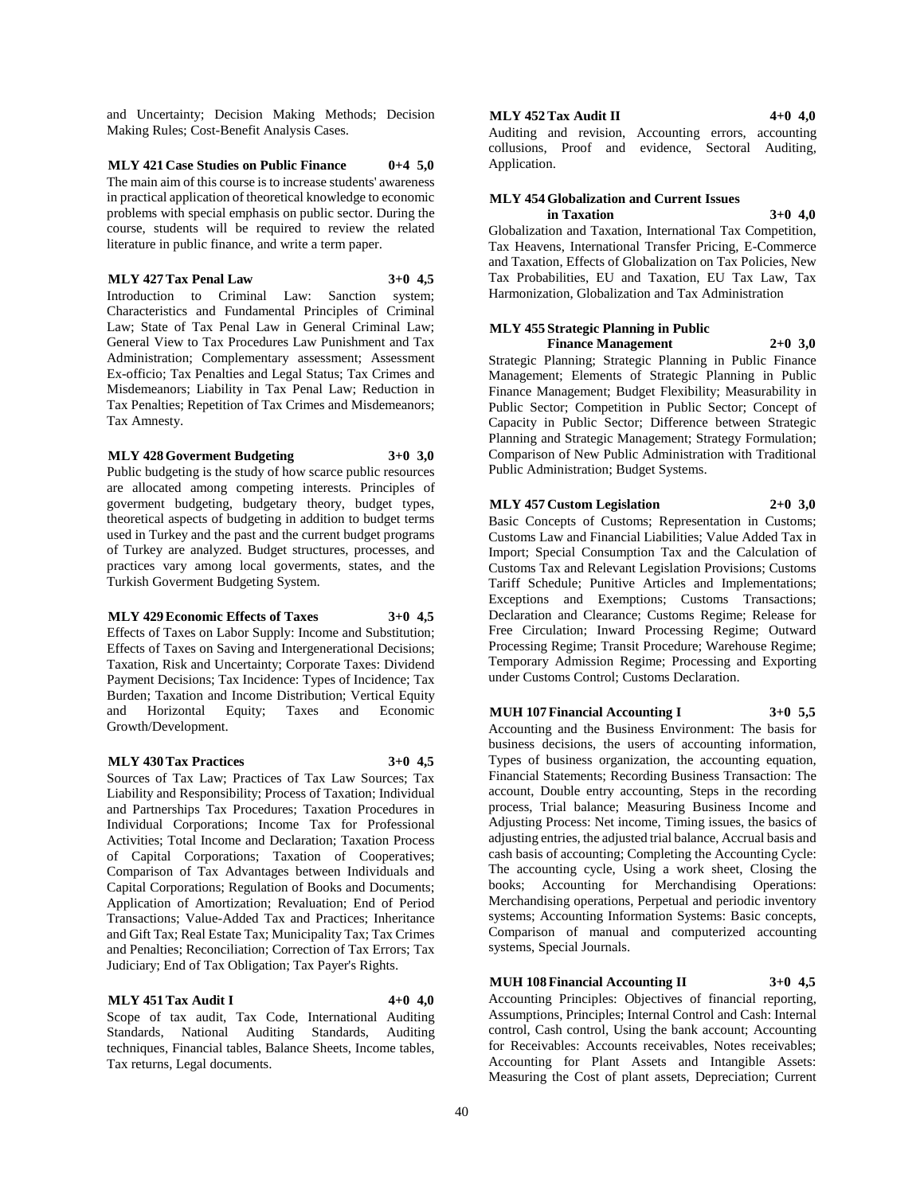and Uncertainty; Decision Making Methods; Decision Making Rules; Cost-Benefit Analysis Cases.

### **MLY 421 Case Studies on Public Finance 0+4 5,0**

The main aim of this course is to increase students' awareness in practical application of theoretical knowledge to economic problems with special emphasis on public sector. During the course, students will be required to review the related literature in public finance, and write a term paper.

#### **MLY 427 Tax Penal Law 3+0 4,5**

Introduction to Criminal Law: Sanction system; Characteristics and Fundamental Principles of Criminal Law; State of Tax Penal Law in General Criminal Law; General View to Tax Procedures Law Punishment and Tax Administration; Complementary assessment; Assessment Ex-officio; Tax Penalties and Legal Status; Tax Crimes and Misdemeanors; Liability in Tax Penal Law; Reduction in Tax Penalties; Repetition of Tax Crimes and Misdemeanors; Tax Amnesty.

#### **MLY 428 Goverment Budgeting 3+0 3,0**

Public budgeting is the study of how scarce public resources are allocated among competing interests. Principles of goverment budgeting, budgetary theory, budget types, theoretical aspects of budgeting in addition to budget terms used in Turkey and the past and the current budget programs of Turkey are analyzed. Budget structures, processes, and practices vary among local goverments, states, and the Turkish Goverment Budgeting System.

#### **MLY 429 Economic Effects of Taxes 3+0 4,5**

Effects of Taxes on Labor Supply: Income and Substitution; Effects of Taxes on Saving and Intergenerational Decisions; Taxation, Risk and Uncertainty; Corporate Taxes: Dividend Payment Decisions; Tax Incidence: Types of Incidence; Tax Burden; Taxation and Income Distribution; Vertical Equity and Horizontal Equity; Taxes and Economic Growth/Development.

### **MLY 430 Tax Practices 3+0 4,5**

Sources of Tax Law; Practices of Tax Law Sources; Tax Liability and Responsibility; Process of Taxation; Individual and Partnerships Tax Procedures; Taxation Procedures in Individual Corporations; Income Tax for Professional Activities; Total Income and Declaration; Taxation Process of Capital Corporations; Taxation of Cooperatives; Comparison of Tax Advantages between Individuals and Capital Corporations; Regulation of Books and Documents; Application of Amortization; Revaluation; End of Period Transactions; Value-Added Tax and Practices; Inheritance and Gift Tax; Real Estate Tax; Municipality Tax; Tax Crimes and Penalties; Reconciliation; Correction of Tax Errors; Tax Judiciary; End of Tax Obligation; Tax Payer's Rights.

#### **MLY 451 Tax Audit I 4+0 4,0**

Scope of tax audit, Tax Code, International Auditing Standards, National Auditing Standards, Auditing techniques, Financial tables, Balance Sheets, Income tables, Tax returns, Legal documents.

#### **MLY 452 Tax Audit II 4+0 4,0**

Auditing and revision, Accounting errors, accounting collusions, Proof and evidence, Sectoral Auditing, Application.

#### **MLY 454 Globalization and Current Issues in Taxation 3+0 4,0**

Globalization and Taxation, International Tax Competition, Tax Heavens, International Transfer Pricing, E-Commerce and Taxation, Effects of Globalization on Tax Policies, New Tax Probabilities, EU and Taxation, EU Tax Law, Tax Harmonization, Globalization and Tax Administration

#### **MLY 455 Strategic Planning in Public Finance Management 2+0 3,0**

Strategic Planning; Strategic Planning in Public Finance Management; Elements of Strategic Planning in Public Finance Management; Budget Flexibility; Measurability in Public Sector; Competition in Public Sector; Concept of Capacity in Public Sector; Difference between Strategic Planning and Strategic Management; Strategy Formulation; Comparison of New Public Administration with Traditional Public Administration; Budget Systems.

### **MLY 457 Custom Legislation 2+0 3,0**

Basic Concepts of Customs; Representation in Customs; Customs Law and Financial Liabilities; Value Added Tax in Import; Special Consumption Tax and the Calculation of Customs Tax and Relevant Legislation Provisions; Customs Tariff Schedule; Punitive Articles and Implementations; Exceptions and Exemptions; Customs Transactions; Declaration and Clearance; Customs Regime; Release for Free Circulation; Inward Processing Regime; Outward Processing Regime; Transit Procedure; Warehouse Regime; Temporary Admission Regime; Processing and Exporting under Customs Control; Customs Declaration.

#### **MUH 107 Financial Accounting I 3+0 5,5**

Accounting and the Business Environment: The basis for business decisions, the users of accounting information, Types of business organization, the accounting equation, Financial Statements; Recording Business Transaction: The account, Double entry accounting, Steps in the recording process, Trial balance; Measuring Business Income and Adjusting Process: Net income, Timing issues, the basics of adjusting entries, the adjusted trial balance, Accrual basis and cash basis of accounting; Completing the Accounting Cycle: The accounting cycle, Using a work sheet, Closing the books; Accounting for Merchandising Operations: Merchandising operations, Perpetual and periodic inventory systems; Accounting Information Systems: Basic concepts, Comparison of manual and computerized accounting systems, Special Journals.

### **MUH 108 Financial Accounting II 3+0 4,5**

Accounting Principles: Objectives of financial reporting, Assumptions, Principles; Internal Control and Cash: Internal control, Cash control, Using the bank account; Accounting for Receivables: Accounts receivables, Notes receivables; Accounting for Plant Assets and Intangible Assets: Measuring the Cost of plant assets, Depreciation; Current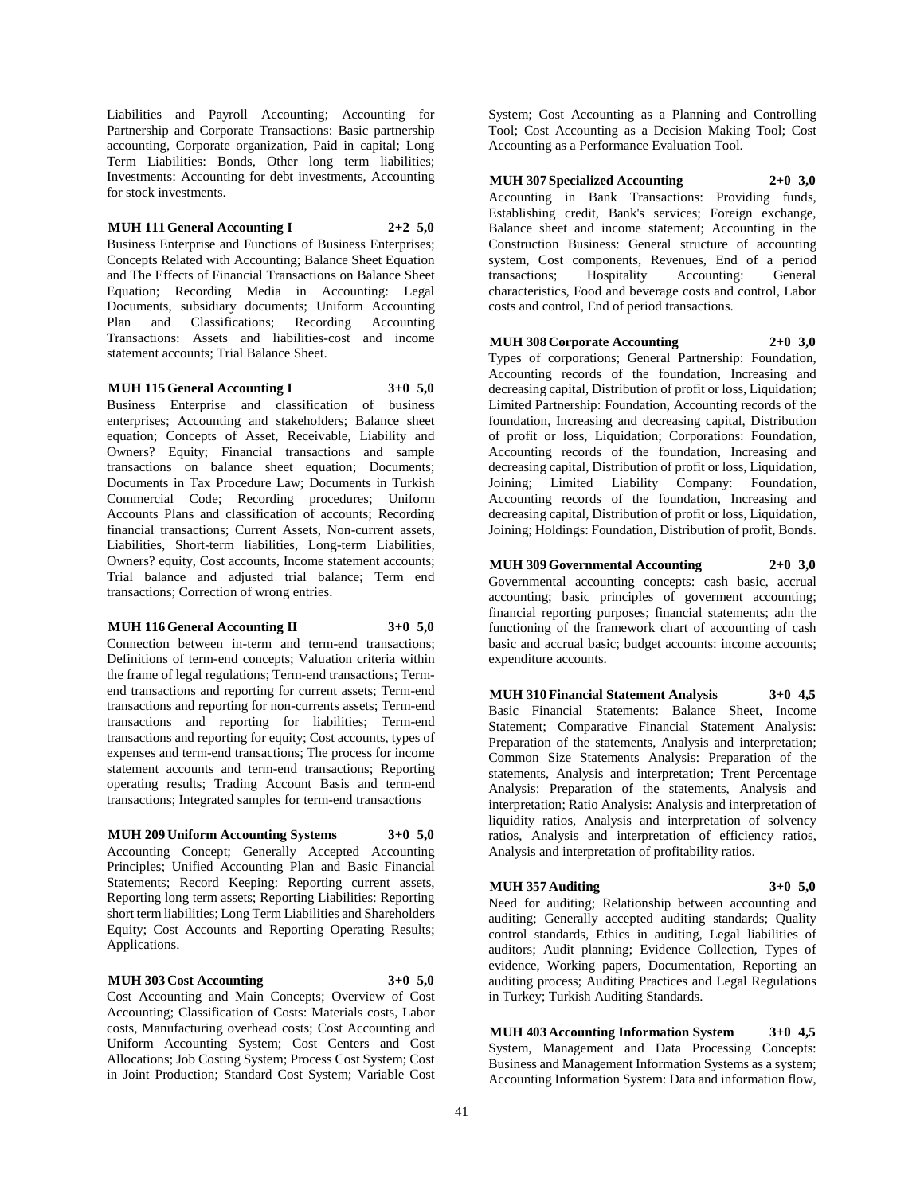Liabilities and Payroll Accounting; Accounting for Partnership and Corporate Transactions: Basic partnership accounting, Corporate organization, Paid in capital; Long Term Liabilities: Bonds, Other long term liabilities; Investments: Accounting for debt investments, Accounting for stock investments.

### **MUH 111 General Accounting I 2+2 5,0**

Business Enterprise and Functions of Business Enterprises; Concepts Related with Accounting; Balance Sheet Equation and The Effects of Financial Transactions on Balance Sheet Equation; Recording Media in Accounting: Legal Documents, subsidiary documents; Uniform Accounting Plan and Classifications; Recording Accounting Transactions: Assets and liabilities-cost and income statement accounts; Trial Balance Sheet.

#### **MUH 115 General Accounting I 3+0 5,0**

Business Enterprise and classification of business enterprises; Accounting and stakeholders; Balance sheet equation; Concepts of Asset, Receivable, Liability and Owners? Equity; Financial transactions and sample transactions on balance sheet equation; Documents; Documents in Tax Procedure Law; Documents in Turkish Commercial Code; Recording procedures; Uniform Accounts Plans and classification of accounts; Recording financial transactions; Current Assets, Non-current assets, Liabilities, Short-term liabilities, Long-term Liabilities, Owners? equity, Cost accounts, Income statement accounts; Trial balance and adjusted trial balance; Term end transactions; Correction of wrong entries.

#### **MUH 116 General Accounting II 3+0 5,0**

Connection between in-term and term-end transactions; Definitions of term-end concepts; Valuation criteria within the frame of legal regulations; Term-end transactions; Termend transactions and reporting for current assets; Term-end transactions and reporting for non-currents assets; Term-end transactions and reporting for liabilities; Term-end transactions and reporting for equity; Cost accounts, types of expenses and term-end transactions; The process for income statement accounts and term-end transactions; Reporting operating results; Trading Account Basis and term-end transactions; Integrated samples for term-end transactions

### **MUH 209 Uniform Accounting Systems 3+0 5,0**

Accounting Concept; Generally Accepted Accounting Principles; Unified Accounting Plan and Basic Financial Statements; Record Keeping: Reporting current assets, Reporting long term assets; Reporting Liabilities: Reporting short term liabilities; Long Term Liabilities and Shareholders Equity; Cost Accounts and Reporting Operating Results; Applications.

### **MUH 303 Cost Accounting 3+0 5,0**

Cost Accounting and Main Concepts; Overview of Cost Accounting; Classification of Costs: Materials costs, Labor costs, Manufacturing overhead costs; Cost Accounting and Uniform Accounting System; Cost Centers and Cost Allocations; Job Costing System; Process Cost System; Cost in Joint Production; Standard Cost System; Variable Cost

System; Cost Accounting as a Planning and Controlling Tool; Cost Accounting as a Decision Making Tool; Cost Accounting as a Performance Evaluation Tool.

### **MUH 307 Specialized Accounting 2+0 3,0**

Accounting in Bank Transactions: Providing funds, Establishing credit, Bank's services; Foreign exchange, Balance sheet and income statement; Accounting in the Construction Business: General structure of accounting system, Cost components, Revenues, End of a period transactions; Hospitality Accounting: General characteristics, Food and beverage costs and control, Labor costs and control, End of period transactions.

### **MUH 308 Corporate Accounting 2+0 3,0**

Types of corporations; General Partnership: Foundation, Accounting records of the foundation, Increasing and decreasing capital, Distribution of profit or loss, Liquidation; Limited Partnership: Foundation, Accounting records of the foundation, Increasing and decreasing capital, Distribution of profit or loss, Liquidation; Corporations: Foundation, Accounting records of the foundation, Increasing and decreasing capital, Distribution of profit or loss, Liquidation, Joining; Limited Liability Company: Foundation, Accounting records of the foundation, Increasing and decreasing capital, Distribution of profit or loss, Liquidation, Joining; Holdings: Foundation, Distribution of profit, Bonds.

### **MUH 309 Governmental Accounting 2+0 3,0**

Governmental accounting concepts: cash basic, accrual accounting; basic principles of goverment accounting; financial reporting purposes; financial statements; adn the functioning of the framework chart of accounting of cash basic and accrual basic; budget accounts: income accounts; expenditure accounts.

#### **MUH 310 Financial Statement Analysis 3+0 4,5** Basic Financial Statements: Balance Sheet, Income

Statement; Comparative Financial Statement Analysis: Preparation of the statements, Analysis and interpretation; Common Size Statements Analysis: Preparation of the statements, Analysis and interpretation; Trent Percentage Analysis: Preparation of the statements, Analysis and interpretation; Ratio Analysis: Analysis and interpretation of liquidity ratios, Analysis and interpretation of solvency ratios, Analysis and interpretation of efficiency ratios, Analysis and interpretation of profitability ratios.

### **MUH 357 Auditing 3+0 5,0**

Need for auditing; Relationship between accounting and auditing; Generally accepted auditing standards; Quality control standards, Ethics in auditing, Legal liabilities of auditors; Audit planning; Evidence Collection, Types of evidence, Working papers, Documentation, Reporting an auditing process; Auditing Practices and Legal Regulations in Turkey; Turkish Auditing Standards.

**MUH 403 Accounting Information System 3+0 4,5** System, Management and Data Processing Concepts: Business and Management Information Systems as a system; Accounting Information System: Data and information flow,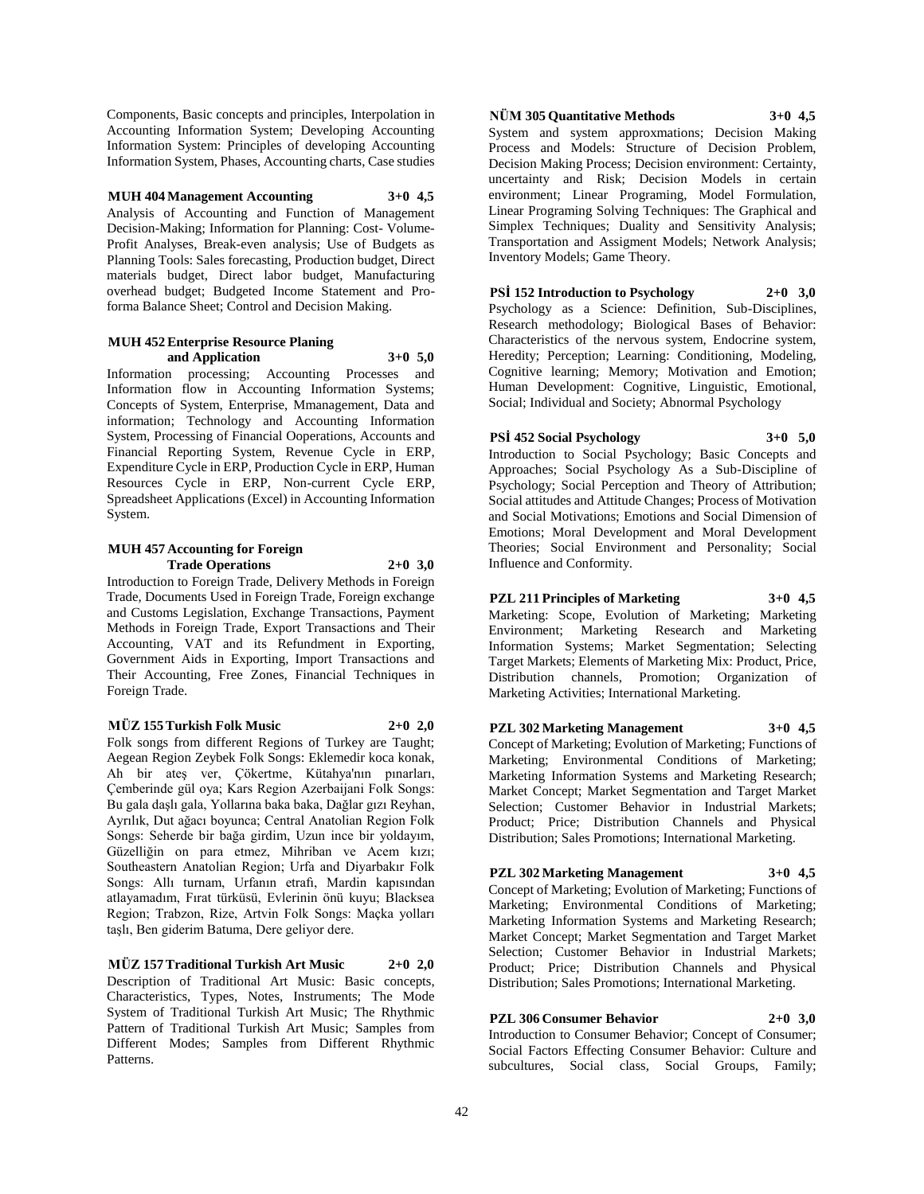Components, Basic concepts and principles, Interpolation in Accounting Information System; Developing Accounting Information System: Principles of developing Accounting Information System, Phases, Accounting charts, Case studies

**MUH 404 Management Accounting 3+0 4,5** Analysis of Accounting and Function of Management Decision-Making; Information for Planning: Cost- Volume-Profit Analyses, Break-even analysis; Use of Budgets as Planning Tools: Sales forecasting, Production budget, Direct materials budget, Direct labor budget, Manufacturing overhead budget; Budgeted Income Statement and Proforma Balance Sheet; Control and Decision Making.

#### **MUH 452 Enterprise Resource Planing and Application 3+0 5,0**

Information processing; Accounting Processes and Information flow in Accounting Information Systems; Concepts of System, Enterprise, Mmanagement, Data and information; Technology and Accounting Information System, Processing of Financial Ooperations, Accounts and Financial Reporting System, Revenue Cycle in ERP, Expenditure Cycle in ERP, Production Cycle in ERP, Human Resources Cycle in ERP, Non-current Cycle ERP, Spreadsheet Applications (Excel) in Accounting Information System.

### **MUH 457 Accounting for Foreign Trade Operations 2+0 3,0**

Introduction to Foreign Trade, Delivery Methods in Foreign Trade, Documents Used in Foreign Trade, Foreign exchange and Customs Legislation, Exchange Transactions, Payment Methods in Foreign Trade, Export Transactions and Their Accounting, VAT and its Refundment in Exporting, Government Aids in Exporting, Import Transactions and Their Accounting, Free Zones, Financial Techniques in Foreign Trade.

### **MÜZ 155 Turkish Folk Music 2+0 2,0**

Folk songs from different Regions of Turkey are Taught; Aegean Region Zeybek Folk Songs: Eklemedir koca konak, Ah bir ateş ver, Çökertme, Kütahya'nın pınarları, Çemberinde gül oya; Kars Region Azerbaijani Folk Songs: Bu gala daşlı gala, Yollarına baka baka, Dağlar gızı Reyhan, Ayrılık, Dut ağacı boyunca; Central Anatolian Region Folk Songs: Seherde bir bağa girdim, Uzun ince bir yoldayım, Güzelliğin on para etmez, Mihriban ve Acem kızı; Southeastern Anatolian Region; Urfa and Diyarbakır Folk Songs: Allı turnam, Urfanın etrafı, Mardin kapısından atlayamadım, Fırat türküsü, Evlerinin önü kuyu; Blacksea Region; Trabzon, Rize, Artvin Folk Songs: Maçka yolları taşlı, Ben giderim Batuma, Dere geliyor dere.

**MÜZ 157 Traditional Turkish Art Music 2+0 2,0** Description of Traditional Art Music: Basic concepts, Characteristics, Types, Notes, Instruments; The Mode System of Traditional Turkish Art Music; The Rhythmic Pattern of Traditional Turkish Art Music; Samples from Different Modes; Samples from Different Rhythmic Patterns.

### **NÜM 305 Quantitative Methods 3+0 4,5**

System and system approxmations; Decision Making Process and Models: Structure of Decision Problem, Decision Making Process; Decision environment: Certainty, uncertainty and Risk; Decision Models in certain environment; Linear Programing, Model Formulation, Linear Programing Solving Techniques: The Graphical and Simplex Techniques; Duality and Sensitivity Analysis; Transportation and Assigment Models; Network Analysis; Inventory Models; Game Theory.

**PSİ 152 Introduction to Psychology 2+0 3,0** Psychology as a Science: Definition, Sub-Disciplines, Research methodology; Biological Bases of Behavior: Characteristics of the nervous system, Endocrine system, Heredity; Perception; Learning: Conditioning, Modeling, Cognitive learning; Memory; Motivation and Emotion; Human Development: Cognitive, Linguistic, Emotional, Social; Individual and Society; Abnormal Psychology

# **PSİ 452 Social Psychology 3+0 5,0**

Introduction to Social Psychology; Basic Concepts and Approaches; Social Psychology As a Sub-Discipline of Psychology; Social Perception and Theory of Attribution; Social attitudes and Attitude Changes; Process of Motivation and Social Motivations; Emotions and Social Dimension of Emotions; Moral Development and Moral Development Theories; Social Environment and Personality; Social Influence and Conformity.

**PZL 211 Principles of Marketing 3+0 4,5** Marketing: Scope, Evolution of Marketing; Marketing Environment; Marketing Research and Marketing Information Systems; Market Segmentation; Selecting Target Markets; Elements of Marketing Mix: Product, Price, Distribution channels, Promotion; Organization of Marketing Activities; International Marketing.

### **PZL 302 Marketing Management 3+0 4,5**

Concept of Marketing; Evolution of Marketing; Functions of Marketing; Environmental Conditions of Marketing; Marketing Information Systems and Marketing Research; Market Concept; Market Segmentation and Target Market Selection; Customer Behavior in Industrial Markets; Product; Price; Distribution Channels and Physical Distribution; Sales Promotions; International Marketing.

### **PZL 302 Marketing Management 3+0 4,5**

Concept of Marketing; Evolution of Marketing; Functions of Marketing; Environmental Conditions of Marketing; Marketing Information Systems and Marketing Research; Market Concept; Market Segmentation and Target Market Selection; Customer Behavior in Industrial Markets; Product; Price; Distribution Channels and Physical Distribution; Sales Promotions; International Marketing.

### **PZL 306 Consumer Behavior 2+0 3,0**

Introduction to Consumer Behavior; Concept of Consumer; Social Factors Effecting Consumer Behavior: Culture and subcultures, Social class, Social Groups, Family;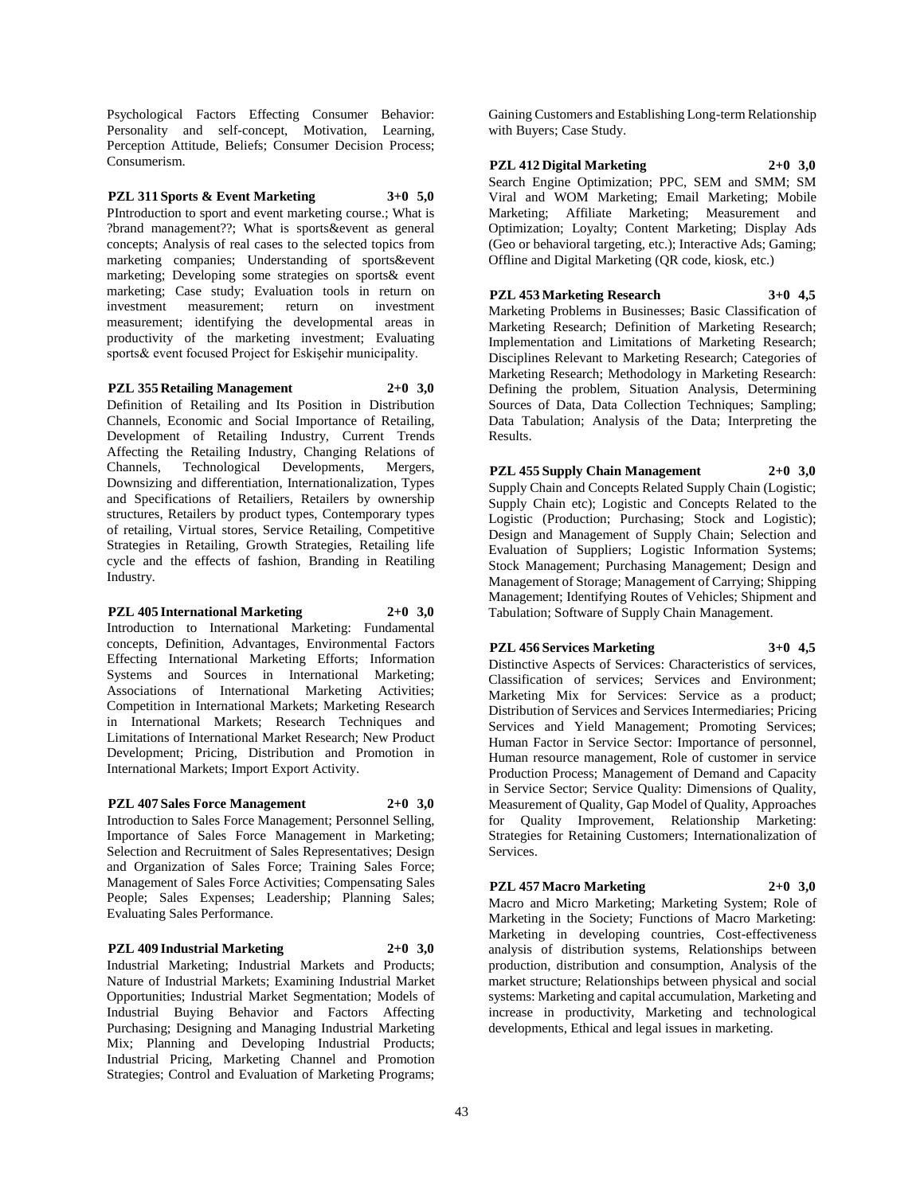Psychological Factors Effecting Consumer Behavior: Personality and self-concept, Motivation, Learning, Perception Attitude, Beliefs; Consumer Decision Process; Consumerism.

**PZL 311 Sports & Event Marketing 3+0 5,0** PIntroduction to sport and event marketing course.; What is ?brand management??; What is sports&event as general concepts; Analysis of real cases to the selected topics from marketing companies; Understanding of sports&event marketing; Developing some strategies on sports& event marketing; Case study; Evaluation tools in return on investment measurement; return on investment measurement; identifying the developmental areas in productivity of the marketing investment; Evaluating sports& event focused Project for Eskişehir municipality.

#### **PZL 355 Retailing Management 2+0 3,0**

Definition of Retailing and Its Position in Distribution Channels, Economic and Social Importance of Retailing, Development of Retailing Industry, Current Trends Affecting the Retailing Industry, Changing Relations of Channels, Technological Developments, Mergers, Downsizing and differentiation, Internationalization, Types and Specifications of Retailiers, Retailers by ownership structures, Retailers by product types, Contemporary types of retailing, Virtual stores, Service Retailing, Competitive Strategies in Retailing, Growth Strategies, Retailing life cycle and the effects of fashion, Branding in Reatiling Industry.

#### **PZL 405 International Marketing 2+0 3,0**

Introduction to International Marketing: Fundamental concepts, Definition, Advantages, Environmental Factors Effecting International Marketing Efforts; Information Systems and Sources in International Marketing; Associations of International Marketing Activities; Competition in International Markets; Marketing Research in International Markets; Research Techniques and Limitations of International Market Research; New Product Development; Pricing, Distribution and Promotion in International Markets; Import Export Activity.

#### **PZL 407 Sales Force Management 2+0 3,0**

Introduction to Sales Force Management; Personnel Selling, Importance of Sales Force Management in Marketing; Selection and Recruitment of Sales Representatives; Design and Organization of Sales Force; Training Sales Force; Management of Sales Force Activities; Compensating Sales People; Sales Expenses; Leadership; Planning Sales; Evaluating Sales Performance.

#### **PZL 409 Industrial Marketing 2+0 3,0**

Industrial Marketing; Industrial Markets and Products; Nature of Industrial Markets; Examining Industrial Market Opportunities; Industrial Market Segmentation; Models of Industrial Buying Behavior and Factors Affecting Purchasing; Designing and Managing Industrial Marketing Mix; Planning and Developing Industrial Products; Industrial Pricing, Marketing Channel and Promotion Strategies; Control and Evaluation of Marketing Programs;

Gaining Customers and Establishing Long-term Relationship with Buyers; Case Study.

**PZL 412 Digital Marketing 2+0 3,0** Search Engine Optimization; PPC, SEM and SMM; SM Viral and WOM Marketing; Email Marketing; Mobile Marketing; Affiliate Marketing; Measurement and Optimization; Loyalty; Content Marketing; Display Ads (Geo or behavioral targeting, etc.); Interactive Ads; Gaming; Offline and Digital Marketing (QR code, kiosk, etc.)

**PZL 453 Marketing Research 3+0 4,5** Marketing Problems in Businesses; Basic Classification of

Marketing Research; Definition of Marketing Research; Implementation and Limitations of Marketing Research; Disciplines Relevant to Marketing Research; Categories of Marketing Research; Methodology in Marketing Research: Defining the problem, Situation Analysis, Determining Sources of Data, Data Collection Techniques; Sampling; Data Tabulation; Analysis of the Data; Interpreting the Results.

**PZL 455 Supply Chain Management 2+0 3,0** Supply Chain and Concepts Related Supply Chain (Logistic; Supply Chain etc); Logistic and Concepts Related to the Logistic (Production; Purchasing; Stock and Logistic); Design and Management of Supply Chain; Selection and Evaluation of Suppliers; Logistic Information Systems; Stock Management; Purchasing Management; Design and Management of Storage; Management of Carrying; Shipping Management; Identifying Routes of Vehicles; Shipment and Tabulation; Software of Supply Chain Management.

### **PZL 456 Services Marketing 3+0 4,5**

Distinctive Aspects of Services: Characteristics of services, Classification of services; Services and Environment; Marketing Mix for Services: Service as a product; Distribution of Services and Services Intermediaries; Pricing Services and Yield Management; Promoting Services; Human Factor in Service Sector: Importance of personnel, Human resource management, Role of customer in service Production Process; Management of Demand and Capacity in Service Sector; Service Quality: Dimensions of Quality, Measurement of Quality, Gap Model of Quality, Approaches for Quality Improvement, Relationship Marketing: Strategies for Retaining Customers; Internationalization of Services.

#### **PZL 457 Macro Marketing 2+0 3,0**

Macro and Micro Marketing; Marketing System; Role of Marketing in the Society; Functions of Macro Marketing: Marketing in developing countries, Cost-effectiveness analysis of distribution systems, Relationships between production, distribution and consumption, Analysis of the market structure; Relationships between physical and social systems: Marketing and capital accumulation, Marketing and increase in productivity, Marketing and technological developments, Ethical and legal issues in marketing.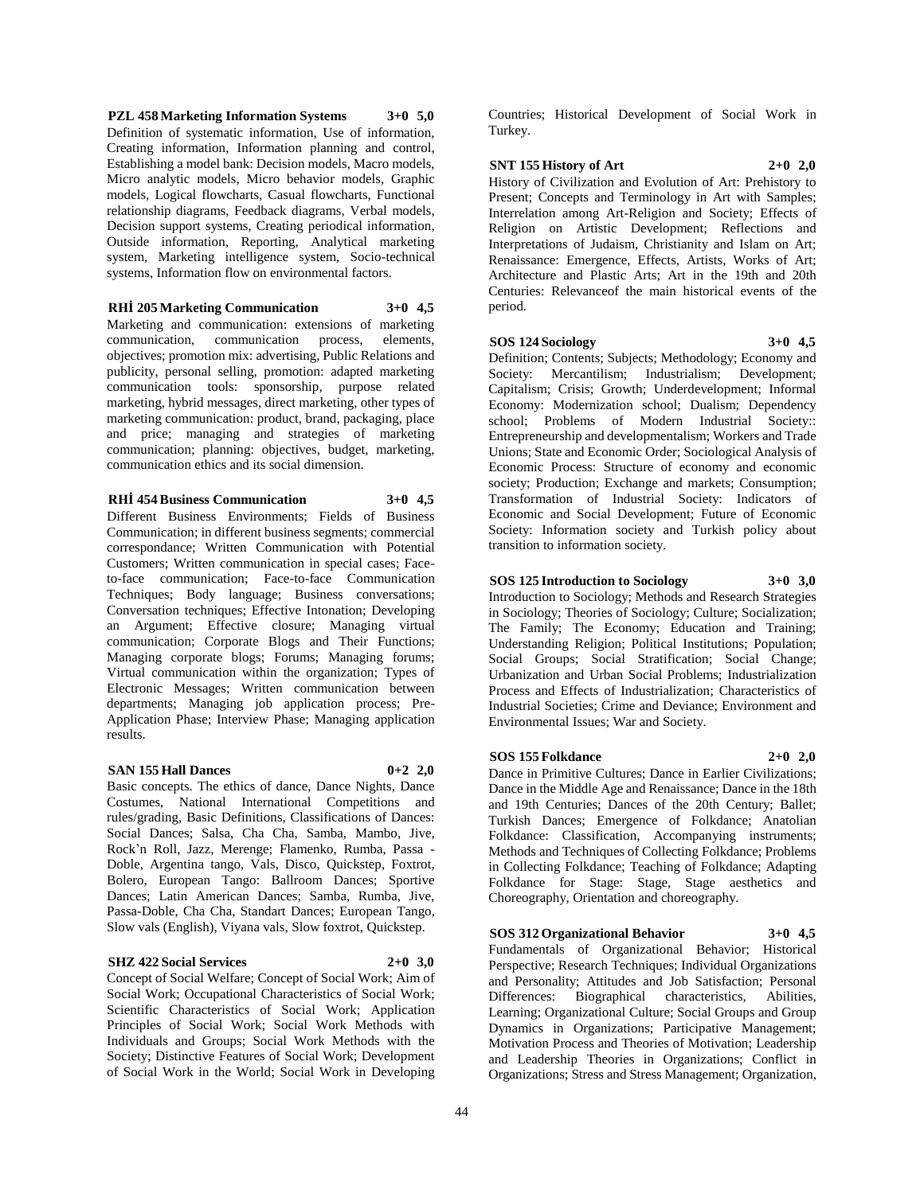**PZL 458 Marketing Information Systems 3+0 5,0** Definition of systematic information, Use of information, Creating information, Information planning and control, Establishing a model bank: Decision models, Macro models, Micro analytic models, Micro behavior models, Graphic models, Logical flowcharts, Casual flowcharts, Functional relationship diagrams, Feedback diagrams, Verbal models, Decision support systems, Creating periodical information, Outside information, Reporting, Analytical marketing system, Marketing intelligence system, Socio-technical systems, Information flow on environmental factors.

**RHİ 205 Marketing Communication 3+0 4,5**

Marketing and communication: extensions of marketing communication, communication process, elements, objectives; promotion mix: advertising, Public Relations and publicity, personal selling, promotion: adapted marketing communication tools: sponsorship, purpose related marketing, hybrid messages, direct marketing, other types of marketing communication: product, brand, packaging, place and price; managing and strategies of marketing communication; planning: objectives, budget, marketing, communication ethics and its social dimension.

#### **RHİ 454 Business Communication 3+0 4,5**

Different Business Environments; Fields of Business Communication; in different business segments; commercial correspondance; Written Communication with Potential Customers; Written communication in special cases; Faceto-face communication; Face-to-face Communication Techniques; Body language; Business conversations; Conversation techniques; Effective Intonation; Developing an Argument; Effective closure; Managing virtual communication; Corporate Blogs and Their Functions; Managing corporate blogs; Forums; Managing forums; Virtual communication within the organization; Types of Electronic Messages; Written communication between departments; Managing job application process; Pre-Application Phase; Interview Phase; Managing application results.

#### **SAN 155 Hall Dances 0+2 2,0**

Basic concepts. The ethics of dance, Dance Nights, Dance Costumes, National International Competitions and rules/grading, Basic Definitions, Classifications of Dances: Social Dances; Salsa, Cha Cha, Samba, Mambo, Jive, Rock'n Roll, Jazz, Merenge; Flamenko, Rumba, Passa - Doble, Argentina tango, Vals, Disco, Quickstep, Foxtrot, Bolero, European Tango: Ballroom Dances; Sportive Dances; Latin American Dances; Samba, Rumba, Jive, Passa-Doble, Cha Cha, Standart Dances; European Tango, Slow vals (English), Viyana vals, Slow foxtrot, Quickstep.

#### **SHZ 422 Social Services 2+0 3,0**

Concept of Social Welfare; Concept of Social Work; Aim of Social Work; Occupational Characteristics of Social Work; Scientific Characteristics of Social Work; Application Principles of Social Work; Social Work Methods with Individuals and Groups; Social Work Methods with the Society; Distinctive Features of Social Work; Development of Social Work in the World; Social Work in Developing

Countries; Historical Development of Social Work in Turkey.

### **SNT 155 History of Art 2+0 2,0**

History of Civilization and Evolution of Art: Prehistory to Present; Concepts and Terminology in Art with Samples; Interrelation among Art-Religion and Society; Effects of Religion on Artistic Development; Reflections and Interpretations of Judaism, Christianity and Islam on Art; Renaissance: Emergence, Effects, Artists, Works of Art; Architecture and Plastic Arts; Art in the 19th and 20th Centuries: Relevanceof the main historical events of the period.

#### **SOS 124 Sociology 3+0 4,5**

Definition; Contents; Subjects; Methodology; Economy and Society: Mercantilism; Industrialism; Development; Capitalism; Crisis; Growth; Underdevelopment; Informal Economy: Modernization school; Dualism; Dependency school; Problems of Modern Industrial Society:: Entrepreneurship and developmentalism; Workers and Trade Unions; State and Economic Order; Sociological Analysis of Economic Process: Structure of economy and economic society; Production; Exchange and markets; Consumption; Transformation of Industrial Society: Indicators of Economic and Social Development; Future of Economic Society: Information society and Turkish policy about transition to information society.

### **SOS 125 Introduction to Sociology 3+0 3,0**

Introduction to Sociology; Methods and Research Strategies in Sociology; Theories of Sociology; Culture; Socialization; The Family; The Economy; Education and Training; Understanding Religion; Political Institutions; Population; Social Groups; Social Stratification; Social Change; Urbanization and Urban Social Problems; Industrialization Process and Effects of Industrialization; Characteristics of Industrial Societies; Crime and Deviance; Environment and Environmental Issues; War and Society.

#### **SOS 155 Folkdance 2+0 2,0**

Dance in Primitive Cultures; Dance in Earlier Civilizations; Dance in the Middle Age and Renaissance; Dance in the 18th and 19th Centuries; Dances of the 20th Century; Ballet; Turkish Dances; Emergence of Folkdance; Anatolian Folkdance: Classification, Accompanying instruments; Methods and Techniques of Collecting Folkdance; Problems in Collecting Folkdance; Teaching of Folkdance; Adapting Folkdance for Stage: Stage, Stage aesthetics and Choreography, Orientation and choreography.

### **SOS 312 Organizational Behavior 3+0 4,5**

Fundamentals of Organizational Behavior; Historical Perspective; Research Techniques; Individual Organizations and Personality; Attitudes and Job Satisfaction; Personal Differences: Biographical characteristics, Abilities, Learning; Organizational Culture; Social Groups and Group Dynamics in Organizations; Participative Management; Motivation Process and Theories of Motivation; Leadership and Leadership Theories in Organizations; Conflict in Organizations; Stress and Stress Management; Organization,